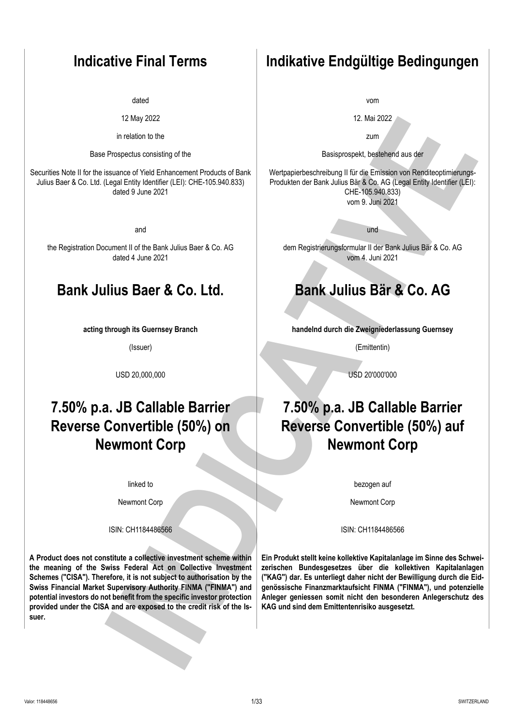dated

12 May 2022

in relation to the

Base Prospectus consisting of the

Securities Note II for the issuance of Yield Enhancement Products of Bank Julius Baer & Co. Ltd. (Legal Entity Identifier (LEI): CHE-105.940.833) dated 9 June 2021

and

the Registration Document II of the Bank Julius Baer & Co. AG dated 4 June 2021

# **Bank Julius Baer & Co. Ltd. Bank Julius Bär & Co. AG**

**acting through its Guernsey Branch**

(Issuer)

USD 20,000,000 USD 20'000'000

# **7.50% p.a. JB Callable Barrier Reverse Convertible (50%) on Newmont Corp**

linked to

Newmont Corp

**A Product does not constitute a collective investment scheme within the meaning of the Swiss Federal Act on Collective Investment Schemes ("CISA"). Therefore, it is not subject to authorisation by the Swiss Financial Market Supervisory Authority FINMA ("FINMA") and potential investors do not benefit from the specific investor protection provided under the CISA and are exposed to the credit risk of the Issuer.**

# **Indicative Final Terms Indikative Endgültige Bedingungen**

vom

12. Mai 2022

zum

Basisprospekt, bestehend aus der

Wertpapierbeschreibung II für die Emission von Renditeoptimierungs-Produkten der Bank Julius Bär & Co. AG (Legal Entity Identifier (LEI): CHE-105.940.833) vom 9. Juni 2021

und

dem Registrierungsformular II der Bank Julius Bär & Co. AG vom 4. Juni 2021

**handelnd durch die Zweigniederlassung Guernsey**

(Emittentin)

# **7.50% p.a. JB Callable Barrier Reverse Convertible (50%) auf Newmont Corp**

bezogen auf

Newmont Corp

ISIN: CH1184486566 ISIN: CH1184486566

**Ein Produkt stellt keine kollektive Kapitalanlage im Sinne des Schweizerischen Bundesgesetzes über die kollektiven Kapitalanlagen ("KAG") dar. Es unterliegt daher nicht der Bewilligung durch die Eidgenössische Finanzmarktaufsicht FINMA ("FINMA"), und potenzielle Anleger geniessen somit nicht den besonderen Anlegerschutz des KAG und sind dem Emittentenrisiko ausgesetzt.** Interaction to the control of the control of the control of the control of the control of the control of the control of the control of the control of the control of the control of the control of the control of the control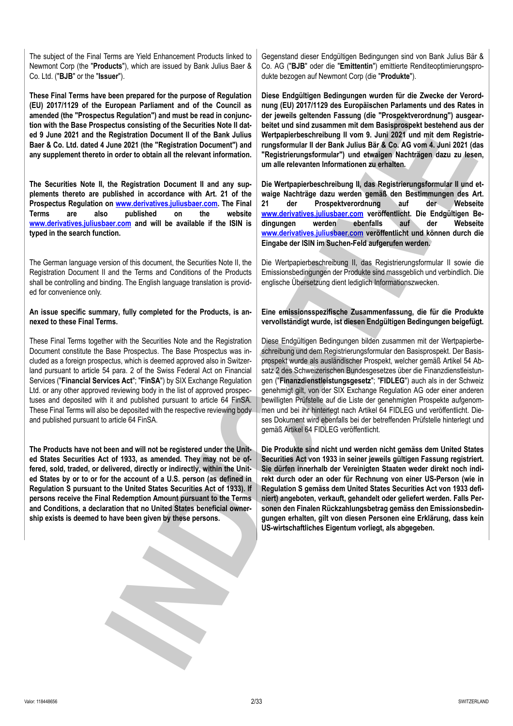The subject of the Final Terms are Yield Enhancement Products linked to Newmont Corp (the "**Products**"), which are issued by Bank Julius Baer & Co. Ltd. ("**BJB**" or the "**Issuer**").

**These Final Terms have been prepared for the purpose of Regulation (EU) 2017/1129 of the European Parliament and of the Council as amended (the "Prospectus Regulation") and must be read in conjunction with the Base Prospectus consisting of the Securities Note II dated 9 June 2021 and the Registration Document II of the Bank Julius Baer & Co. Ltd. dated 4 June 2021 (the "Registration Document") and any supplement thereto in order to obtain all the relevant information.**

**The Securities Note II, the Registration Document II and any supplements thereto are published in accordance with Art. 21 of the Prospectus Regulation on www.derivatives.juliusbaer.com. The Final Terms are also published on the website [www.derivatives.juliusbaer.com](https://www.derivatives.juliusbaer.com) and will be available if the ISIN is typed in the search function.**

The German language version of this document, the Securities Note II, the Registration Document II and the Terms and Conditions of the Products shall be controlling and binding. The English language translation is provided for convenience only.

### **An issue specific summary, fully completed for the Products, is annexed to these Final Terms.**

These Final Terms together with the Securities Note and the Registration Document constitute the Base Prospectus. The Base Prospectus was included as a foreign prospectus, which is deemed approved also in Switzerland pursuant to article 54 para. 2 of the Swiss Federal Act on Financial Services ("**Financial Services Act**"; "**FinSA**") by SIX Exchange Regulation Ltd. or any other approved reviewing body in the list of approved prospectuses and deposited with it and published pursuant to article 64 FinSA. These Final Terms will also be deposited with the respective reviewing body and published pursuant to article 64 FinSA.

**The Products have not been and will not be registered under the United States Securities Act of 1933, as amended. They may not be offered, sold, traded, or delivered, directly or indirectly, within the United States by or to or for the account of a U.S. person (as defined in Regulation S pursuant to the United States Securities Act of 1933). If persons receive the Final Redemption Amount pursuant to the Terms and Conditions, a declaration that no United States beneficial ownership exists is deemed to have been given by these persons.**

Gegenstand dieser Endgültigen Bedingungen sind von Bank Julius Bär & Co. AG ("**BJB**" oder die "**Emittentin**") emittierte Renditeoptimierungsprodukte bezogen auf Newmont Corp (die "**Produkte**").

**Diese Endgültigen Bedingungen wurden für die Zwecke der Verordnung (EU) 2017/1129 des Europäischen Parlaments und des Rates in der jeweils geltenden Fassung (die "Prospektverordnung") ausgearbeitet und sind zusammen mit dem Basisprospekt bestehend aus der Wertpapierbeschreibung II vom 9. Juni 2021 und mit dem Registrierungsformular II der Bank Julius Bär & Co. AG vom 4. Juni 2021 (das "Registrierungsformular") und etwaigen Nachträgen dazu zu lesen, um alle relevanten Informationen zu erhalten.**

**Die Wertpapierbeschreibung II, das Registrierungsformular II und etwaige Nachträge dazu werden gemäß den Bestimmungen des Art. 21 der Prospektverordnung auf der Webseite www.derivatives.juliusbaer.com veröffentlicht. Die Endgültigen Bedingungen werden ebenfalls auf der Webseite www.derivatives.juliusbaer.com veröffentlicht und können durch die Eingabe der ISIN im Suchen-Feld aufgerufen werden.**

Die Wertpapierbeschreibung II, das Registrierungsformular II sowie die Emissionsbedingungen der Produkte sind massgeblich und verbindlich. Die englische Übersetzung dient lediglich Informationszwecken.

**Eine emissionsspezifische Zusammenfassung, die für die Produkte vervollständigt wurde, ist diesen Endgültigen Bedingungen beigefügt.**

Diese Endgültigen Bedingungen bilden zusammen mit der Wertpapierbeschreibung und dem Registrierungsformular den Basisprospekt. Der Basisprospekt wurde als ausländischer Prospekt, welcher gemäß Artikel 54 Absatz 2 des Schweizerischen Bundesgesetzes über die Finanzdienstleistungen ("**Finanzdienstleistungsgesetz**"; "**FIDLEG**") auch als in der Schweiz genehmigt gilt, von der SIX Exchange Regulation AG oder einer anderen bewilligten Prüfstelle auf die Liste der genehmigten Prospekte aufgenommen und bei ihr hinterlegt nach Artikel 64 FIDLEG und veröffentlicht. Dieses Dokument wird ebenfalls bei der betreffenden Prüfstelle hinterlegt und gemäß Artikel 64 FIDLEG veröffentlicht. **INSURAL CONFIDENTIAL CONFIDENTIAL CONFIDENTIAL CONFIDENTIAL CONFIDENTIAL CONFIDENTIAL CONFIDENTIAL CONFIDENTIAL CONFIDENTIAL CONFIDENTIAL CONFIDENTIAL CONFIDENTIAL CONFIDENTIAL CONFIDENTIAL CONFIDENTIAL CONFIDENTIAL CONFI** 

**Die Produkte sind nicht und werden nicht gemäss dem United States Securities Act von 1933 in seiner jeweils gültigen Fassung registriert. Sie dürfen innerhalb der Vereinigten Staaten weder direkt noch indirekt durch oder an oder für Rechnung von einer US-Person (wie in Regulation S gemäss dem United States Securities Act von 1933 definiert) angeboten, verkauft, gehandelt oder geliefert werden. Falls Personen den Finalen Rückzahlungsbetrag gemäss den Emissionsbedingungen erhalten, gilt von diesen Personen eine Erklärung, dass kein US-wirtschaftliches Eigentum vorliegt, als abgegeben.**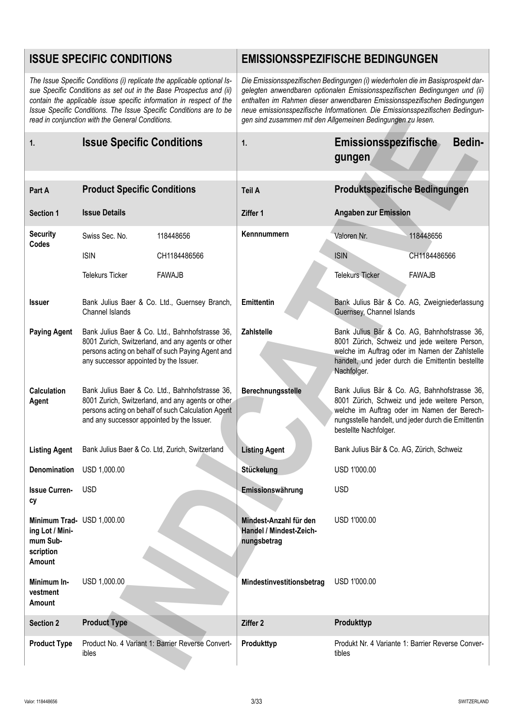|                                                                                  | <b>ISSUE SPECIFIC CONDITIONS</b>                                                                                                                                                                                                                                                                                                               |                                                                  | <b>EMISSIONSSPEZIFISCHE BEDINGUNGEN</b>                                                                                                                                                                                                                                                                                                                                                  |
|----------------------------------------------------------------------------------|------------------------------------------------------------------------------------------------------------------------------------------------------------------------------------------------------------------------------------------------------------------------------------------------------------------------------------------------|------------------------------------------------------------------|------------------------------------------------------------------------------------------------------------------------------------------------------------------------------------------------------------------------------------------------------------------------------------------------------------------------------------------------------------------------------------------|
|                                                                                  | The Issue Specific Conditions (i) replicate the applicable optional Is-<br>sue Specific Conditions as set out in the Base Prospectus and (ii)<br>contain the applicable issue specific information in respect of the<br>Issue Specific Conditions. The Issue Specific Conditions are to be<br>read in conjunction with the General Conditions. |                                                                  | Die Emissionsspezifischen Bedingungen (i) wiederholen die im Basisprospekt dar-<br>gelegten anwendbaren optionalen Emissionsspezifischen Bedingungen und (ii)<br>enthalten im Rahmen dieser anwendbaren Emissionsspezifischen Bedingungen<br>neue emissionsspezifische Informationen. Die Emissionsspezifischen Bedingun-<br>gen sind zusammen mit den Allgemeinen Bedingungen zu lesen. |
| 1.                                                                               | <b>Issue Specific Conditions</b>                                                                                                                                                                                                                                                                                                               | 1.                                                               | Emissionsspezifische<br><b>Bedin-</b><br>gungen                                                                                                                                                                                                                                                                                                                                          |
| Part A                                                                           | <b>Product Specific Conditions</b>                                                                                                                                                                                                                                                                                                             | Teil A                                                           | Produktspezifische Bedingungen                                                                                                                                                                                                                                                                                                                                                           |
|                                                                                  |                                                                                                                                                                                                                                                                                                                                                |                                                                  |                                                                                                                                                                                                                                                                                                                                                                                          |
| <b>Section 1</b>                                                                 | <b>Issue Details</b>                                                                                                                                                                                                                                                                                                                           | Ziffer 1                                                         | <b>Angaben zur Emission</b>                                                                                                                                                                                                                                                                                                                                                              |
| <b>Security</b><br>Codes                                                         | Swiss Sec. No.<br>118448656                                                                                                                                                                                                                                                                                                                    | Kennnummern                                                      | Valoren Nr.<br>118448656                                                                                                                                                                                                                                                                                                                                                                 |
|                                                                                  | <b>ISIN</b><br>CH1184486566                                                                                                                                                                                                                                                                                                                    |                                                                  | <b>ISIN</b><br>CH1184486566                                                                                                                                                                                                                                                                                                                                                              |
|                                                                                  | <b>Telekurs Ticker</b><br><b>FAWAJB</b>                                                                                                                                                                                                                                                                                                        |                                                                  | <b>Telekurs Ticker</b><br><b>FAWAJB</b>                                                                                                                                                                                                                                                                                                                                                  |
| <b>Issuer</b>                                                                    | Bank Julius Baer & Co. Ltd., Guernsey Branch,<br>Channel Islands                                                                                                                                                                                                                                                                               | Emittentin                                                       | Bank Julius Bär & Co. AG, Zweigniederlassung<br>Guernsey, Channel Islands                                                                                                                                                                                                                                                                                                                |
| <b>Paying Agent</b>                                                              | Bank Julius Baer & Co. Ltd., Bahnhofstrasse 36,<br>8001 Zurich, Switzerland, and any agents or other<br>persons acting on behalf of such Paying Agent and<br>any successor appointed by the Issuer.                                                                                                                                            | Zahlstelle                                                       | Bank Julius Bär & Co. AG, Bahnhofstrasse 36,<br>8001 Zürich, Schweiz und jede weitere Person,<br>welche im Auftrag oder im Namen der Zahlstelle<br>handelt, und jeder durch die Emittentin bestellte<br>Nachfolger.                                                                                                                                                                      |
| <b>Calculation</b><br>Agent                                                      | Bank Julius Baer & Co. Ltd., Bahnhofstrasse 36,<br>8001 Zurich, Switzerland, and any agents or other<br>persons acting on behalf of such Calculation Agent<br>and any successor appointed by the Issuer.                                                                                                                                       | Berechnungsstelle                                                | Bank Julius Bär & Co. AG, Bahnhofstrasse 36,<br>8001 Zürich, Schweiz und jede weitere Person,<br>welche im Auftrag oder im Namen der Berech-<br>nungsstelle handelt, und jeder durch die Emittentin<br>bestellte Nachfolger.                                                                                                                                                             |
| <b>Listing Agent</b>                                                             | Bank Julius Baer & Co. Ltd, Zurich, Switzerland                                                                                                                                                                                                                                                                                                | <b>Listing Agent</b>                                             | Bank Julius Bär & Co. AG, Zürich, Schweiz                                                                                                                                                                                                                                                                                                                                                |
| <b>Denomination</b>                                                              | USD 1,000.00                                                                                                                                                                                                                                                                                                                                   | Stückelung                                                       | USD 1'000.00                                                                                                                                                                                                                                                                                                                                                                             |
| <b>Issue Curren-</b><br>сy                                                       | <b>USD</b>                                                                                                                                                                                                                                                                                                                                     | Emissionswährung                                                 | <b>USD</b>                                                                                                                                                                                                                                                                                                                                                                               |
| Minimum Trad- USD 1,000.00<br>ing Lot / Mini-<br>mum Sub-<br>scription<br>Amount |                                                                                                                                                                                                                                                                                                                                                | Mindest-Anzahl für den<br>Handel / Mindest-Zeich-<br>nungsbetrag | USD 1'000.00                                                                                                                                                                                                                                                                                                                                                                             |
| Minimum In-<br>vestment<br>Amount                                                | USD 1,000.00                                                                                                                                                                                                                                                                                                                                   | Mindestinvestitionsbetrag                                        | USD 1'000.00                                                                                                                                                                                                                                                                                                                                                                             |
| <b>Section 2</b>                                                                 | <b>Product Type</b>                                                                                                                                                                                                                                                                                                                            | Ziffer 2                                                         | Produkttyp                                                                                                                                                                                                                                                                                                                                                                               |
| <b>Product Type</b>                                                              | Product No. 4 Variant 1: Barrier Reverse Convert-<br>ibles                                                                                                                                                                                                                                                                                     | Produkttyp                                                       | Produkt Nr. 4 Variante 1: Barrier Reverse Conver-<br>tibles                                                                                                                                                                                                                                                                                                                              |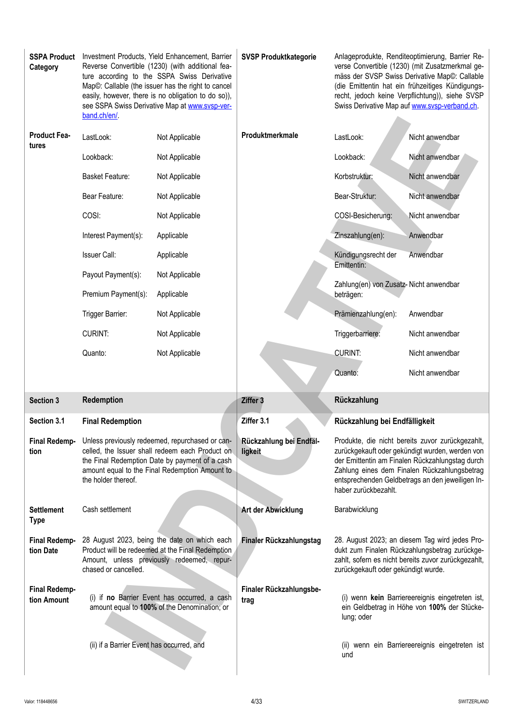| <b>SSPA Product</b><br>Category     | band.ch/en/.            | Investment Products, Yield Enhancement, Barrier<br>Reverse Convertible (1230) (with additional fea-<br>ture according to the SSPA Swiss Derivative<br>Map©: Callable (the issuer has the right to cancel<br>easily, however, there is no obligation to do so)),<br>see SSPA Swiss Derivative Map at www.svsp-ver- | <b>SVSP Produktkategorie</b>       |                                        | Anlageprodukte, Renditeoptimierung, Barrier Re-<br>verse Convertible (1230) (mit Zusatzmerkmal ge-<br>mäss der SVSP Swiss Derivative Map©: Callable<br>(die Emittentin hat ein frühzeitiges Kündigungs-<br>recht, jedoch keine Verpflichtung)), siehe SVSP<br>Swiss Derivative Map auf www.svsp-verband.ch. |
|-------------------------------------|-------------------------|-------------------------------------------------------------------------------------------------------------------------------------------------------------------------------------------------------------------------------------------------------------------------------------------------------------------|------------------------------------|----------------------------------------|-------------------------------------------------------------------------------------------------------------------------------------------------------------------------------------------------------------------------------------------------------------------------------------------------------------|
| <b>Product Fea-</b><br>tures        | LastLook:               | Not Applicable                                                                                                                                                                                                                                                                                                    | Produktmerkmale                    | LastLook:                              | Nicht anwendbar                                                                                                                                                                                                                                                                                             |
|                                     | Lookback:               | Not Applicable                                                                                                                                                                                                                                                                                                    |                                    | Lookback:                              | Nicht anwendbar                                                                                                                                                                                                                                                                                             |
|                                     | <b>Basket Feature:</b>  | Not Applicable                                                                                                                                                                                                                                                                                                    |                                    | Korbstruktur:                          | Nicht anwendbar                                                                                                                                                                                                                                                                                             |
|                                     | Bear Feature:           | Not Applicable                                                                                                                                                                                                                                                                                                    |                                    | Bear-Struktur:                         | Nicht anwendbar                                                                                                                                                                                                                                                                                             |
|                                     | COSI:                   | Not Applicable                                                                                                                                                                                                                                                                                                    |                                    | COSI-Besicherung:                      | Nicht anwendbar                                                                                                                                                                                                                                                                                             |
|                                     | Interest Payment(s):    | Applicable                                                                                                                                                                                                                                                                                                        |                                    | Zinszahlung(en):                       | Anwendbar                                                                                                                                                                                                                                                                                                   |
|                                     | Issuer Call:            | Applicable                                                                                                                                                                                                                                                                                                        |                                    | Kündigungsrecht der<br>Emittentin:     | Anwendbar                                                                                                                                                                                                                                                                                                   |
|                                     | Payout Payment(s):      | Not Applicable                                                                                                                                                                                                                                                                                                    |                                    | Zahlung(en) von Zusatz-Nicht anwendbar |                                                                                                                                                                                                                                                                                                             |
|                                     | Premium Payment(s):     | Applicable                                                                                                                                                                                                                                                                                                        |                                    | beträgen:                              |                                                                                                                                                                                                                                                                                                             |
|                                     | Trigger Barrier:        | Not Applicable                                                                                                                                                                                                                                                                                                    |                                    | Prämienzahlung(en):                    | Anwendbar                                                                                                                                                                                                                                                                                                   |
|                                     | <b>CURINT:</b>          | Not Applicable                                                                                                                                                                                                                                                                                                    |                                    | Triggerbarriere:                       | Nicht anwendbar                                                                                                                                                                                                                                                                                             |
|                                     | Quanto:                 | Not Applicable                                                                                                                                                                                                                                                                                                    |                                    | <b>CURINT:</b>                         | Nicht anwendbar                                                                                                                                                                                                                                                                                             |
|                                     |                         |                                                                                                                                                                                                                                                                                                                   |                                    | Quanto:                                | Nicht anwendbar                                                                                                                                                                                                                                                                                             |
| <b>Section 3</b>                    | Redemption              |                                                                                                                                                                                                                                                                                                                   | Ziffer 3                           | Rückzahlung                            |                                                                                                                                                                                                                                                                                                             |
| Section 3.1                         | <b>Final Redemption</b> |                                                                                                                                                                                                                                                                                                                   | Ziffer 3.1                         | Rückzahlung bei Endfälligkeit          |                                                                                                                                                                                                                                                                                                             |
| <b>Final Redemp-</b><br>tion        | the holder thereof.     | Unless previously redeemed, repurchased or can-<br>celled, the Issuer shall redeem each Product on<br>the Final Redemption Date by payment of a cash<br>amount equal to the Final Redemption Amount to                                                                                                            | Rückzahlung bei Endfäl-<br>ligkeit | haber zurückbezahlt.                   | Produkte, die nicht bereits zuvor zurückgezahlt,<br>zurückgekauft oder gekündigt wurden, werden von<br>der Emittentin am Finalen Rückzahlungstag durch<br>Zahlung eines dem Finalen Rückzahlungsbetrag<br>entsprechenden Geldbetrags an den jeweiligen In-                                                  |
| <b>Settlement</b><br><b>Type</b>    | Cash settlement         |                                                                                                                                                                                                                                                                                                                   | Art der Abwicklung                 | Barabwicklung                          |                                                                                                                                                                                                                                                                                                             |
| <b>Final Redemp-</b><br>tion Date   | chased or cancelled.    | 28 August 2023, being the date on which each<br>Product will be redeemed at the Final Redemption<br>Amount, unless previously redeemed, repur-                                                                                                                                                                    | Finaler Rückzahlungstag            | zurückgekauft oder gekündigt wurde.    | 28. August 2023; an diesem Tag wird jedes Pro-<br>dukt zum Finalen Rückzahlungsbetrag zurückge-<br>zahlt, sofern es nicht bereits zuvor zurückgezahlt,                                                                                                                                                      |
| <b>Final Redemp-</b><br>tion Amount |                         | (i) if no Barrier Event has occurred, a cash<br>amount equal to 100% of the Denomination; or                                                                                                                                                                                                                      | Finaler Rückzahlungsbe-<br>trag    | lung; oder                             | (i) wenn kein Barriereereignis eingetreten ist,<br>ein Geldbetrag in Höhe von 100% der Stücke-                                                                                                                                                                                                              |
|                                     |                         |                                                                                                                                                                                                                                                                                                                   |                                    |                                        |                                                                                                                                                                                                                                                                                                             |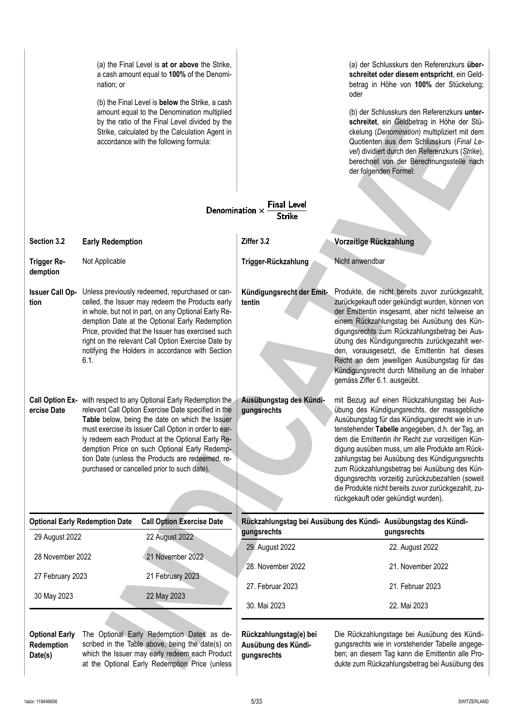|                                                | (a) the Final Level is at or above the Strike,<br>a cash amount equal to 100% of the Denomi-<br>nation; or<br>(b) the Final Level is <b>below</b> the Strike, a cash<br>amount equal to the Denomination multiplied<br>by the ratio of the Final Level divided by the<br>Strike, calculated by the Calculation Agent in<br>accordance with the following formula:<br>Denomination $\times$                                                   | <b>Final Level</b><br><b>Strike</b>                          | (a) der Schlusskurs den Referenzkurs über-<br>schreitet oder diesem entspricht, ein Geld-<br>betrag in Höhe von 100% der Stückelung;<br>oder<br>(b) der Schlusskurs den Referenzkurs unter-<br>schreitet, ein Geldbetrag in Höhe der Stü-<br>ckelung (Denomination) multipliziert mit dem<br>Quotienten aus dem Schlusskurs (Final Le-<br>vel) dividiert durch den Referenzkurs (Strike),<br>berechnet von der Berechnungsstelle nach<br>der folgenden Formel:                                                                                                |
|------------------------------------------------|----------------------------------------------------------------------------------------------------------------------------------------------------------------------------------------------------------------------------------------------------------------------------------------------------------------------------------------------------------------------------------------------------------------------------------------------|--------------------------------------------------------------|---------------------------------------------------------------------------------------------------------------------------------------------------------------------------------------------------------------------------------------------------------------------------------------------------------------------------------------------------------------------------------------------------------------------------------------------------------------------------------------------------------------------------------------------------------------|
| Section 3.2                                    | <b>Early Redemption</b>                                                                                                                                                                                                                                                                                                                                                                                                                      | Ziffer 3.2                                                   | Vorzeitige Rückzahlung                                                                                                                                                                                                                                                                                                                                                                                                                                                                                                                                        |
| <b>Trigger Re-</b><br>demption                 | Not Applicable                                                                                                                                                                                                                                                                                                                                                                                                                               | Trigger-Rückzahlung                                          | Nicht anwendbar                                                                                                                                                                                                                                                                                                                                                                                                                                                                                                                                               |
| <b>Issuer Call Op-</b><br>tion                 | Unless previously redeemed, repurchased or can-<br>celled, the Issuer may redeem the Products early<br>in whole, but not in part, on any Optional Early Re-<br>demption Date at the Optional Early Redemption<br>Price, provided that the Issuer has exercised such<br>right on the relevant Call Option Exercise Date by<br>notifying the Holders in accordance with Section<br>6.1.                                                        | Kündigungsrecht der Emit-<br>tentin                          | Produkte, die nicht bereits zuvor zurückgezahlt,<br>zurückgekauft oder gekündigt wurden, können von<br>der Emittentin insgesamt, aber nicht teilweise an<br>einem Rückzahlungstag bei Ausübung des Kün-<br>digungsrechts zum Rückzahlungsbetrag bei Aus-<br>übung des Kündigungsrechts zurückgezahlt wer-<br>den, vorausgesetzt, die Emittentin hat dieses<br>Recht an dem jeweiligen Ausübungstag für das<br>Kündigungsrecht durch Mitteilung an die Inhaber<br>gemäss Ziffer 6.1. ausgeübt.                                                                 |
| ercise Date                                    | Call Option Ex- with respect to any Optional Early Redemption the<br>relevant Call Option Exercise Date specified in the<br>Table below, being the date on which the Issuer<br>must exercise its Issuer Call Option in order to ear-<br>ly redeem each Product at the Optional Early Re-<br>demption Price on such Optional Early Redemp-<br>tion Date (unless the Products are redeemed, re-<br>purchased or cancelled prior to such date). | Ausübungstag des Kündi-<br>gungsrechts                       | mit Bezug auf einen Rückzahlungstag bei Aus-<br>übung des Kündigungsrechts, der massgebliche<br>Ausübungstag für das Kündigungsrecht wie in un-<br>tenstehender Tabelle angegeben, d.h. der Tag, an<br>dem die Emittentin ihr Recht zur vorzeitigen Kün-<br>digung ausüben muss, um alle Produkte am Rück-<br>zahlungstag bei Ausübung des Kündigungsrechts<br>zum Rückzahlungsbetrag bei Ausübung des Kün-<br>digungsrechts vorzeitig zurückzubezahlen (soweit<br>die Produkte nicht bereits zuvor zurückgezahlt, zu-<br>rückgekauft oder gekündigt wurden). |
|                                                | <b>Optional Early Redemption Date</b><br><b>Call Option Exercise Date</b>                                                                                                                                                                                                                                                                                                                                                                    | gungsrechts                                                  | Rückzahlungstag bei Ausübung des Kündi- Ausübungstag des Kündi-<br>gungsrechts                                                                                                                                                                                                                                                                                                                                                                                                                                                                                |
| 29 August 2022                                 | 22 August 2022                                                                                                                                                                                                                                                                                                                                                                                                                               | 29. August 2022                                              | 22. August 2022                                                                                                                                                                                                                                                                                                                                                                                                                                                                                                                                               |
| 28 November 2022                               | 21 November 2022                                                                                                                                                                                                                                                                                                                                                                                                                             | 28. November 2022                                            | 21. November 2022                                                                                                                                                                                                                                                                                                                                                                                                                                                                                                                                             |
| 27 February 2023                               | 21 February 2023                                                                                                                                                                                                                                                                                                                                                                                                                             |                                                              |                                                                                                                                                                                                                                                                                                                                                                                                                                                                                                                                                               |
| 30 May 2023                                    | 22 May 2023                                                                                                                                                                                                                                                                                                                                                                                                                                  | 27. Februar 2023<br>30. Mai 2023                             | 21. Februar 2023<br>22. Mai 2023                                                                                                                                                                                                                                                                                                                                                                                                                                                                                                                              |
| <b>Optional Early</b><br>Redemption<br>Date(s) | The Optional Early Redemption Dates as de-<br>scribed in the Table above, being the date(s) on<br>which the Issuer may early redeem each Product<br>at the Optional Early Redemption Price (unless                                                                                                                                                                                                                                           | Rückzahlungstag(e) bei<br>Ausübung des Kündi-<br>gungsrechts | Die Rückzahlungstage bei Ausübung des Kündi-<br>gungsrechts wie in vorstehender Tabelle angege-<br>ben; an diesem Tag kann die Emittentin alle Pro-<br>dukte zum Rückzahlungsbetrag bei Ausübung des                                                                                                                                                                                                                                                                                                                                                          |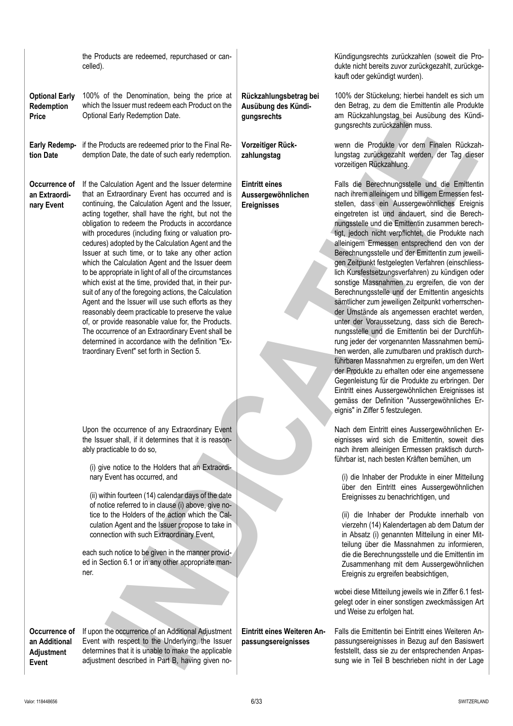| <b>Price</b>                                          | Optional Early Regemption Date.                                                                                                                                                                                                                                                                                                                                                                                                                                                                                                                                                                                                                                                                                                                                                                                                                                                                                                                                                            | gungsrechts                                                       | ani Ruckzaniungstag bei Ausubung des Kundi-<br>gungsrechts zurückzahlen muss.                                                                                                                                                                                                                                                                                                                                                                                                                                                                                                                                                                                                                                                                                                                                                                                                                                                                                                                                                                                                                                                                                                                                                                       |
|-------------------------------------------------------|--------------------------------------------------------------------------------------------------------------------------------------------------------------------------------------------------------------------------------------------------------------------------------------------------------------------------------------------------------------------------------------------------------------------------------------------------------------------------------------------------------------------------------------------------------------------------------------------------------------------------------------------------------------------------------------------------------------------------------------------------------------------------------------------------------------------------------------------------------------------------------------------------------------------------------------------------------------------------------------------|-------------------------------------------------------------------|-----------------------------------------------------------------------------------------------------------------------------------------------------------------------------------------------------------------------------------------------------------------------------------------------------------------------------------------------------------------------------------------------------------------------------------------------------------------------------------------------------------------------------------------------------------------------------------------------------------------------------------------------------------------------------------------------------------------------------------------------------------------------------------------------------------------------------------------------------------------------------------------------------------------------------------------------------------------------------------------------------------------------------------------------------------------------------------------------------------------------------------------------------------------------------------------------------------------------------------------------------|
| <b>Early Redemp-</b><br>tion Date                     | if the Products are redeemed prior to the Final Re-<br>demption Date, the date of such early redemption.                                                                                                                                                                                                                                                                                                                                                                                                                                                                                                                                                                                                                                                                                                                                                                                                                                                                                   | Vorzeitiger Rück-<br>zahlungstag                                  | wenn die Produkte vor dem Finalen Rückzah-<br>lungstag zurückgezahlt werden, der Tag dieser<br>vorzeitigen Rückzahlung.                                                                                                                                                                                                                                                                                                                                                                                                                                                                                                                                                                                                                                                                                                                                                                                                                                                                                                                                                                                                                                                                                                                             |
| Occurrence of<br>an Extraordi-<br>nary Event          | If the Calculation Agent and the Issuer determine<br>that an Extraordinary Event has occurred and is<br>continuing, the Calculation Agent and the Issuer,<br>acting together, shall have the right, but not the<br>obligation to redeem the Products in accordance<br>with procedures (including fixing or valuation pro-<br>cedures) adopted by the Calculation Agent and the<br>Issuer at such time, or to take any other action<br>which the Calculation Agent and the Issuer deem<br>to be appropriate in light of all of the circumstances<br>which exist at the time, provided that, in their pur-<br>suit of any of the foregoing actions, the Calculation<br>Agent and the Issuer will use such efforts as they<br>reasonably deem practicable to preserve the value<br>of, or provide reasonable value for, the Products.<br>The occurrence of an Extraordinary Event shall be<br>determined in accordance with the definition "Ex-<br>traordinary Event" set forth in Section 5. | <b>Eintritt eines</b><br>Aussergewöhnlichen<br><b>Ereignisses</b> | Falls die Berechnungsstelle und die Emittentin<br>nach ihrem alleinigem und billigem Ermessen fest-<br>stellen, dass ein Aussergewöhnliches Ereignis<br>eingetreten ist und andauert, sind die Berech-<br>nungsstelle und die Emittentin zusammen berech-<br>tigt, jedoch nicht verpflichtet, die Produkte nach<br>alleinigem Ermessen entsprechend den von der<br>Berechnungsstelle und der Emittentin zum jeweili-<br>gen Zeitpunkt festgelegten Verfahren (einschliess-<br>lich Kursfestsetzungsverfahren) zu kündigen oder<br>sonstige Massnahmen zu ergreifen, die von der<br>Berechnungsstelle und der Emittentin angesichts<br>sämtlicher zum jeweiligen Zeitpunkt vorherrschen-<br>der Umstände als angemessen erachtet werden,<br>unter der Voraussetzung, dass sich die Berech-<br>nungsstelle und die Emittentin bei der Durchfüh-<br>rung jeder der vorgenannten Massnahmen bemü-<br>hen werden, alle zumutbaren und praktisch durch-<br>führbaren Massnahmen zu ergreifen, um den Wert<br>der Produkte zu erhalten oder eine angemessene<br>Gegenleistung für die Produkte zu erbringen. Der<br>Eintritt eines Aussergewöhnlichen Ereignisses ist<br>gemäss der Definition "Aussergewöhnliches Er-<br>eignis" in Ziffer 5 festzulegen. |
|                                                       | Upon the occurrence of any Extraordinary Event<br>the Issuer shall, if it determines that it is reason-<br>ably practicable to do so,<br>(i) give notice to the Holders that an Extraordi-                                                                                                                                                                                                                                                                                                                                                                                                                                                                                                                                                                                                                                                                                                                                                                                                 |                                                                   | Nach dem Eintritt eines Aussergewöhnlichen Er-<br>eignisses wird sich die Emittentin, soweit dies<br>nach ihrem alleinigen Ermessen praktisch durch-<br>führbar ist, nach besten Kräften bemühen, um                                                                                                                                                                                                                                                                                                                                                                                                                                                                                                                                                                                                                                                                                                                                                                                                                                                                                                                                                                                                                                                |
|                                                       | nary Event has occurred, and<br>(ii) within fourteen (14) calendar days of the date<br>of notice referred to in clause (i) above, give no-<br>tice to the Holders of the action which the Cal-<br>culation Agent and the Issuer propose to take in<br>connection with such Extraordinary Event,<br>each such notice to be given in the manner provid-<br>ed in Section 6.1 or in any other appropriate man-<br>ner.                                                                                                                                                                                                                                                                                                                                                                                                                                                                                                                                                                        |                                                                   | (i) die Inhaber der Produkte in einer Mitteilung<br>über den Eintritt eines Aussergewöhnlichen<br>Ereignisses zu benachrichtigen, und<br>(ii) die Inhaber der Produkte innerhalb von<br>vierzehn (14) Kalendertagen ab dem Datum der<br>in Absatz (i) genannten Mitteilung in einer Mit-<br>teilung über die Massnahmen zu informieren,<br>die die Berechnungsstelle und die Emittentin im<br>Zusammenhang mit dem Aussergewöhnlichen<br>Ereignis zu ergreifen beabsichtigen,                                                                                                                                                                                                                                                                                                                                                                                                                                                                                                                                                                                                                                                                                                                                                                       |
|                                                       |                                                                                                                                                                                                                                                                                                                                                                                                                                                                                                                                                                                                                                                                                                                                                                                                                                                                                                                                                                                            |                                                                   | wobei diese Mitteilung jeweils wie in Ziffer 6.1 fest-<br>gelegt oder in einer sonstigen zweckmässigen Art<br>und Weise zu erfolgen hat.                                                                                                                                                                                                                                                                                                                                                                                                                                                                                                                                                                                                                                                                                                                                                                                                                                                                                                                                                                                                                                                                                                            |
| Occurrence of<br>an Additional<br>Adjustment<br>Event | If upon the occurrence of an Additional Adjustment<br>Event with respect to the Underlying, the Issuer<br>determines that it is unable to make the applicable<br>adjustment described in Part B, having given no-                                                                                                                                                                                                                                                                                                                                                                                                                                                                                                                                                                                                                                                                                                                                                                          | Eintritt eines Weiteren An-<br>passungsereignisses                | Falls die Emittentin bei Eintritt eines Weiteren An-<br>passungsereignisses in Bezug auf den Basiswert<br>feststellt, dass sie zu der entsprechenden Anpas-<br>sung wie in Teil B beschrieben nicht in der Lage                                                                                                                                                                                                                                                                                                                                                                                                                                                                                                                                                                                                                                                                                                                                                                                                                                                                                                                                                                                                                                     |
| Valor: 118448656                                      |                                                                                                                                                                                                                                                                                                                                                                                                                                                                                                                                                                                                                                                                                                                                                                                                                                                                                                                                                                                            | 6/33                                                              | SWITZERLAND                                                                                                                                                                                                                                                                                                                                                                                                                                                                                                                                                                                                                                                                                                                                                                                                                                                                                                                                                                                                                                                                                                                                                                                                                                         |
|                                                       |                                                                                                                                                                                                                                                                                                                                                                                                                                                                                                                                                                                                                                                                                                                                                                                                                                                                                                                                                                                            |                                                                   |                                                                                                                                                                                                                                                                                                                                                                                                                                                                                                                                                                                                                                                                                                                                                                                                                                                                                                                                                                                                                                                                                                                                                                                                                                                     |

the Products are redeemed, repurchased or cancelled).

100% of the Denomination, being the price at which the Issuer must redeem each Product on the

**Rückzahlungsbetrag bei Ausübung des Kündi-**

**gungsrechts**

Optional Early Redemption Date.

**Optional Early Redemption Price**

Kündigungsrechts zurückzahlen (soweit die Produkte nicht bereits zuvor zurückgezahlt, zurückgekauft oder gekündigt wurden).

100% der Stückelung; hierbei handelt es sich um den Betrag, zu dem die Emittentin alle Produkte am Rückzahlungstag bei Ausübung des Kündigungsrechts zurückzahlen muss.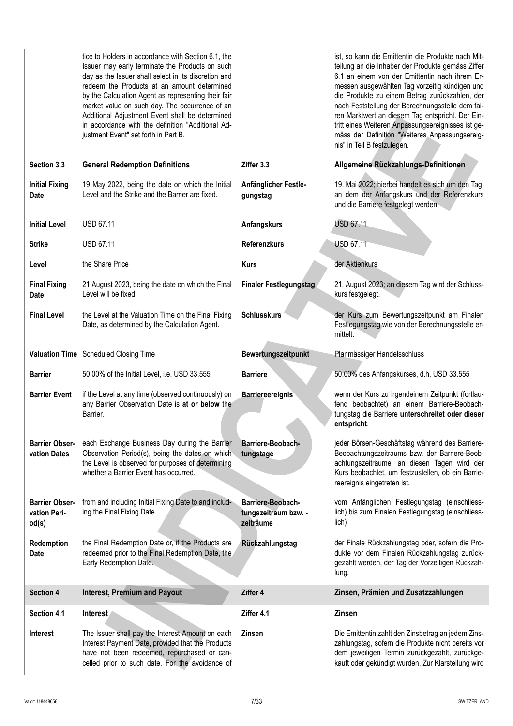tice to Holders in accordance with Section 6.1, the Issuer may early terminate the Products on such day as the Issuer shall select in its discretion and redeem the Products at an amount determined by the Calculation Agent as representing their fair market value on such day. The occurrence of an Additional Adjustment Event shall be determined in accordance with the definition "Additional Adjustment Event" set forth in Part B. ist, so kann die Emittentin die Produkte nach Mitteilung an die Inhaber der Produkte gemäss Ziffer 6.1 an einem von der Emittentin nach ihrem Ermessen ausgewählten Tag vorzeitig kündigen und die Produkte zu einem Betrag zurückzahlen, der nach Feststellung der Berechnungsstelle dem fairen Marktwert an diesem Tag entspricht. Der Eintritt eines Weiteren Anpassungsereignisses ist gemäss der Definition "Weiteres Anpassungsereignis" in Teil B festzulegen. **Section 3.3 General Redemption Definitions Ziffer 3.3 Allgemeine Rückzahlungs-Definitionen Initial Fixing Date** 19 May 2022, being the date on which the Initial Level and the Strike and the Barrier are fixed. **Anfänglicher Festlegungstag** 19. Mai 2022; hierbei handelt es sich um den Tag, an dem der Anfangskurs und der Referenzkurs und die Barriere festgelegt werden. **Initial Level** USD 67.11 **Anfangskurs** USD 67.11 **Strike** USD 67.11 **Referenzkurs** USD 67.11 **Level** the Share Price **Kurs Kurs** der Aktienkurs **Final Fixing Date** 21 August 2023, being the date on which the Final Level will be fixed. Finaler Festlegungstag 21. August 2023; an diesem Tag wird der Schlusskurs festgelegt. **Final Level** the Level at the Valuation Time on the Final Fixing Date, as determined by the Calculation Agent. **Schlusskurs** der Kurs zum Bewertungszeitpunkt am Finalen Festlegungstag wie von der Berechnungsstelle ermittelt. **Valuation Time** Scheduled Closing Time **Bewertungszeitpunkt** Planmässiger Handelsschluss **Barrier** 50.00% of the Initial Level, i.e. USD 33.555 **Barriere** 50.00% des Anfangskurses, d.h. USD 33.555 **Barrier Event** if the Level at any time (observed continuously) on any Barrier Observation Date is **at or below** the Barrier. **Barriereereignis** wenn der Kurs zu irgendeinem Zeitpunkt (fortlaufend beobachtet) an einem Barriere-Beobachtungstag die Barriere **unterschreitet oder dieser entspricht**. **Barrier Obser-**each Exchange Business Day during the Barrier **vation Dates** Observation Period(s), being the dates on which the Level is observed for purposes of determining whether a Barrier Event has occurred. **Barriere-Beobachtungstage** jeder Börsen-Geschäftstag während des Barriere-Beobachtungszeitraums bzw. der Barriere-Beobachtungszeiträume; an diesen Tagen wird der Kurs beobachtet, um festzustellen, ob ein Barriereereignis eingetreten ist. **Barrier Observation Period(s)** from and including Initial Fixing Date to and including the Final Fixing Date **Barriere-Beobachtungszeitraum bzw. zeiträume** vom Anfänglichen Festlegungstag (einschliesslich) bis zum Finalen Festlegungstag (einschliesslich) **Redemption Date** the Final Redemption Date or, if the Products are redeemed prior to the Final Redemption Date, the Early Redemption Date. **Rückzahlungstag** der Finale Rückzahlungstag oder, sofern die Produkte vor dem Finalen Rückzahlungstag zurückgezahlt werden, der Tag der Vorzeitigen Rückzahlung. **Section 4 Interest, Premium and Payout Ziffer 4 Zinsen, Prämien und Zusatzzahlungen Section 4.1 Interest Ziffer 4.1 Zinsen Interest** The Issuer shall pay the Interest Amount on each Interest Payment Date, provided that the Products have not been redeemed, repurchased or cancelled prior to such date. For the avoidance of **Zinsen** Die Emittentin zahlt den Zinsbetrag an jedem Zinszahlungstag, sofern die Produkte nicht bereits vor democratic method in the set of the method in the set of the set of the set of the set of the set of the set of the set of the set of the set of the set of the set of the set of the set of the set of the set of the set of kauft oder gekündigt wurden. Zur Klarstellung wird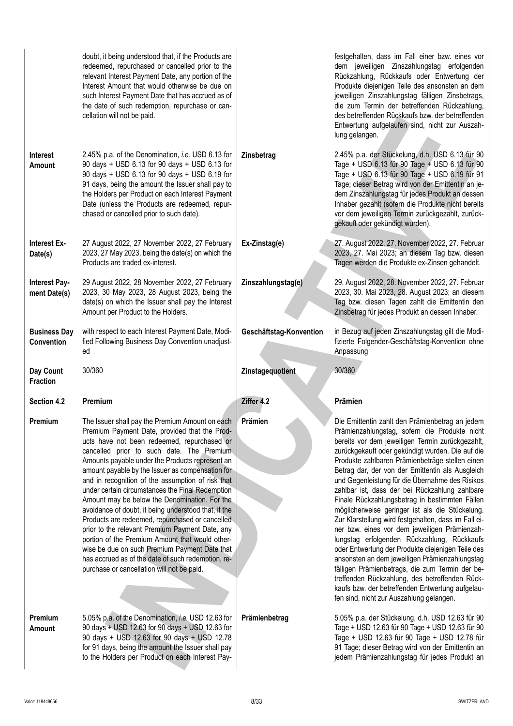|                                          | doubt, it being understood that, if the Products are<br>redeemed, repurchased or cancelled prior to the<br>relevant Interest Payment Date, any portion of the<br>Interest Amount that would otherwise be due on<br>such Interest Payment Date that has accrued as of<br>the date of such redemption, repurchase or can-<br>cellation will not be paid.                                                                                                                                                                                                                                                                                                                                                                                                                                                                              |                         | festgehalten, dass im Fall einer bzw. eines vor<br>dem jeweiligen Zinszahlungstag erfolgenden<br>Rückzahlung, Rückkaufs oder Entwertung der<br>Produkte diejenigen Teile des ansonsten an dem<br>jeweiligen Zinszahlungstag fälligen Zinsbetrags,<br>die zum Termin der betreffenden Rückzahlung,<br>des betreffenden Rückkaufs bzw. der betreffenden<br>Entwertung aufgelaufen sind, nicht zur Auszah-<br>lung gelangen.                                                                                                                                                                                                                                                                                                                                                                                                                                                                                                                                                                     |
|------------------------------------------|-------------------------------------------------------------------------------------------------------------------------------------------------------------------------------------------------------------------------------------------------------------------------------------------------------------------------------------------------------------------------------------------------------------------------------------------------------------------------------------------------------------------------------------------------------------------------------------------------------------------------------------------------------------------------------------------------------------------------------------------------------------------------------------------------------------------------------------|-------------------------|-----------------------------------------------------------------------------------------------------------------------------------------------------------------------------------------------------------------------------------------------------------------------------------------------------------------------------------------------------------------------------------------------------------------------------------------------------------------------------------------------------------------------------------------------------------------------------------------------------------------------------------------------------------------------------------------------------------------------------------------------------------------------------------------------------------------------------------------------------------------------------------------------------------------------------------------------------------------------------------------------|
| <b>Interest</b><br>Amount                | 2.45% p.a. of the Denomination, i.e. USD 6.13 for<br>90 days + USD 6.13 for 90 days + USD 6.13 for<br>90 days + USD 6.13 for 90 days + USD 6.19 for<br>91 days, being the amount the Issuer shall pay to<br>the Holders per Product on each Interest Payment<br>Date (unless the Products are redeemed, repur-<br>chased or cancelled prior to such date).                                                                                                                                                                                                                                                                                                                                                                                                                                                                          | Zinsbetrag              | 2.45% p.a. der Stückelung, d.h. USD 6.13 für 90<br>Tage + USD 6.13 für 90 Tage + USD 6.13 für 90<br>Tage + USD 6.13 für 90 Tage + USD 6.19 für 91<br>Tage; dieser Betrag wird von der Emittentin an je-<br>dem Zinszahlungstag für jedes Produkt an dessen<br>Inhaber gezahlt (sofern die Produkte nicht bereits<br>vor dem jeweiligen Termin zurückgezahlt, zurück-<br>gekauft oder gekündigt wurden).                                                                                                                                                                                                                                                                                                                                                                                                                                                                                                                                                                                       |
| <b>Interest Ex-</b><br>Date(s)           | 27 August 2022, 27 November 2022, 27 February<br>2023, 27 May 2023, being the date(s) on which the<br>Products are traded ex-interest.                                                                                                                                                                                                                                                                                                                                                                                                                                                                                                                                                                                                                                                                                              | Ex-Zinstag(e)           | 27. August 2022, 27. November 2022, 27. Februar<br>2023, 27. Mai 2023; an diesem Tag bzw. diesen<br>Tagen werden die Produkte ex-Zinsen gehandelt.                                                                                                                                                                                                                                                                                                                                                                                                                                                                                                                                                                                                                                                                                                                                                                                                                                            |
| Interest Pay-<br>ment Date(s)            | 29 August 2022, 28 November 2022, 27 February<br>2023, 30 May 2023, 28 August 2023, being the<br>date(s) on which the Issuer shall pay the Interest<br>Amount per Product to the Holders.                                                                                                                                                                                                                                                                                                                                                                                                                                                                                                                                                                                                                                           | Zinszahlungstag(e)      | 29. August 2022, 28. November 2022, 27. Februar<br>2023, 30. Mai 2023, 28. August 2023; an diesem<br>Tag bzw. diesen Tagen zahlt die Emittentin den<br>Zinsbetrag für jedes Produkt an dessen Inhaber.                                                                                                                                                                                                                                                                                                                                                                                                                                                                                                                                                                                                                                                                                                                                                                                        |
| <b>Business Day</b><br><b>Convention</b> | with respect to each Interest Payment Date, Modi-<br>fied Following Business Day Convention unadjust-<br>ed                                                                                                                                                                                                                                                                                                                                                                                                                                                                                                                                                                                                                                                                                                                         | Geschäftstag-Konvention | in Bezug auf jeden Zinszahlungstag gilt die Modi-<br>fizierte Folgender-Geschäftstag-Konvention ohne<br>Anpassung                                                                                                                                                                                                                                                                                                                                                                                                                                                                                                                                                                                                                                                                                                                                                                                                                                                                             |
|                                          |                                                                                                                                                                                                                                                                                                                                                                                                                                                                                                                                                                                                                                                                                                                                                                                                                                     |                         |                                                                                                                                                                                                                                                                                                                                                                                                                                                                                                                                                                                                                                                                                                                                                                                                                                                                                                                                                                                               |
| Day Count<br><b>Fraction</b>             | 30/360                                                                                                                                                                                                                                                                                                                                                                                                                                                                                                                                                                                                                                                                                                                                                                                                                              | Zinstagequotient        | 30/360                                                                                                                                                                                                                                                                                                                                                                                                                                                                                                                                                                                                                                                                                                                                                                                                                                                                                                                                                                                        |
| Section 4.2                              | Premium                                                                                                                                                                                                                                                                                                                                                                                                                                                                                                                                                                                                                                                                                                                                                                                                                             | Ziffer 4.2              | Prämien                                                                                                                                                                                                                                                                                                                                                                                                                                                                                                                                                                                                                                                                                                                                                                                                                                                                                                                                                                                       |
| Premium                                  | The Issuer shall pay the Premium Amount on each<br>Premium Payment Date, provided that the Prod-<br>ucts have not been redeemed, repurchased or<br>cancelled prior to such date. The Premium<br>Amounts payable under the Products represent an<br>amount payable by the Issuer as compensation for<br>and in recognition of the assumption of risk that<br>under certain circumstances the Final Redemption<br>Amount may be below the Denomination. For the<br>avoidance of doubt, it being understood that, if the<br>Products are redeemed, repurchased or cancelled<br>prior to the relevant Premium Payment Date, any<br>portion of the Premium Amount that would other-<br>wise be due on such Premium Payment Date that<br>has accrued as of the date of such redemption, re-<br>purchase or cancellation will not be paid. | Prämien                 | Die Emittentin zahlt den Prämienbetrag an jedem<br>Prämienzahlungstag, sofern die Produkte nicht<br>bereits vor dem jeweiligen Termin zurückgezahlt,<br>zurückgekauft oder gekündigt wurden. Die auf die<br>Produkte zahlbaren Prämienbeträge stellen einen<br>Betrag dar, der von der Emittentin als Ausgleich<br>und Gegenleistung für die Übernahme des Risikos<br>zahlbar ist, dass der bei Rückzahlung zahlbare<br>Finale Rückzahlungsbetrag in bestimmten Fällen<br>möglicherweise geringer ist als die Stückelung.<br>Zur Klarstellung wird festgehalten, dass im Fall ei-<br>ner bzw. eines vor dem jeweiligen Prämienzah-<br>lungstag erfolgenden Rückzahlung, Rückkaufs<br>oder Entwertung der Produkte diejenigen Teile des<br>ansonsten an dem jeweiligen Prämienzahlungstag<br>fälligen Prämienbetrags, die zum Termin der be-<br>treffenden Rückzahlung, des betreffenden Rück-<br>kaufs bzw. der betreffenden Entwertung aufgelau-<br>fen sind, nicht zur Auszahlung gelangen. |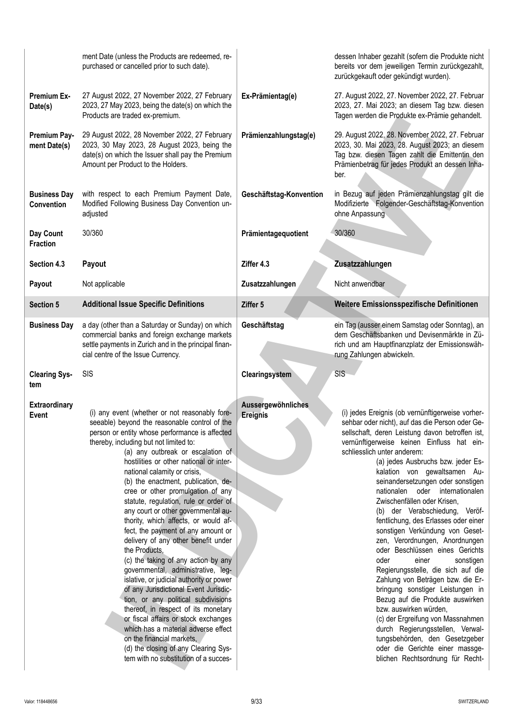|                                          | ment Date (unless the Products are redeemed, re-<br>purchased or cancelled prior to such date).                                                                                                                                                                                                                                                                                                                                                                                                                                                                                                                                                                                                                                                                                                                                                                                                                                                                                                                                                            |                                | dessen Inhaber gezahlt (sofern die Produkte nicht<br>bereits vor dem jeweiligen Termin zurückgezahlt,<br>zurückgekauft oder gekündigt wurden).                                                                                                                                                                                                                                                                                                                                                                                                                                                                                                                                                                                                                                                                                                                                                                                                                                                     |
|------------------------------------------|------------------------------------------------------------------------------------------------------------------------------------------------------------------------------------------------------------------------------------------------------------------------------------------------------------------------------------------------------------------------------------------------------------------------------------------------------------------------------------------------------------------------------------------------------------------------------------------------------------------------------------------------------------------------------------------------------------------------------------------------------------------------------------------------------------------------------------------------------------------------------------------------------------------------------------------------------------------------------------------------------------------------------------------------------------|--------------------------------|----------------------------------------------------------------------------------------------------------------------------------------------------------------------------------------------------------------------------------------------------------------------------------------------------------------------------------------------------------------------------------------------------------------------------------------------------------------------------------------------------------------------------------------------------------------------------------------------------------------------------------------------------------------------------------------------------------------------------------------------------------------------------------------------------------------------------------------------------------------------------------------------------------------------------------------------------------------------------------------------------|
| <b>Premium Ex-</b><br>Date(s)            | 27 August 2022, 27 November 2022, 27 February<br>2023, 27 May 2023, being the date(s) on which the<br>Products are traded ex-premium.                                                                                                                                                                                                                                                                                                                                                                                                                                                                                                                                                                                                                                                                                                                                                                                                                                                                                                                      | Ex-Prämientag(e)               | 27. August 2022, 27. November 2022, 27. Februar<br>2023, 27. Mai 2023; an diesem Tag bzw. diesen<br>Tagen werden die Produkte ex-Prämie gehandelt.                                                                                                                                                                                                                                                                                                                                                                                                                                                                                                                                                                                                                                                                                                                                                                                                                                                 |
| Premium Pay-<br>ment Date(s)             | 29 August 2022, 28 November 2022, 27 February<br>2023, 30 May 2023, 28 August 2023, being the<br>date(s) on which the Issuer shall pay the Premium<br>Amount per Product to the Holders.                                                                                                                                                                                                                                                                                                                                                                                                                                                                                                                                                                                                                                                                                                                                                                                                                                                                   | Prämienzahlungstag(e)          | 29. August 2022, 28. November 2022, 27. Februar<br>2023, 30. Mai 2023, 28. August 2023; an diesem<br>Tag bzw. diesen Tagen zahlt die Emittentin den<br>Prämienbetrag für jedes Produkt an dessen Inha-<br>ber.                                                                                                                                                                                                                                                                                                                                                                                                                                                                                                                                                                                                                                                                                                                                                                                     |
| <b>Business Day</b><br><b>Convention</b> | with respect to each Premium Payment Date,<br>Modified Following Business Day Convention un-<br>adjusted                                                                                                                                                                                                                                                                                                                                                                                                                                                                                                                                                                                                                                                                                                                                                                                                                                                                                                                                                   | Geschäftstag-Konvention        | in Bezug auf jeden Prämienzahlungstag gilt die<br>Modifizierte Folgender-Geschäftstag-Konvention<br>ohne Anpassung                                                                                                                                                                                                                                                                                                                                                                                                                                                                                                                                                                                                                                                                                                                                                                                                                                                                                 |
| Day Count<br><b>Fraction</b>             | 30/360                                                                                                                                                                                                                                                                                                                                                                                                                                                                                                                                                                                                                                                                                                                                                                                                                                                                                                                                                                                                                                                     | Prämientagequotient            | 30/360                                                                                                                                                                                                                                                                                                                                                                                                                                                                                                                                                                                                                                                                                                                                                                                                                                                                                                                                                                                             |
| Section 4.3                              | Payout                                                                                                                                                                                                                                                                                                                                                                                                                                                                                                                                                                                                                                                                                                                                                                                                                                                                                                                                                                                                                                                     | Ziffer 4.3                     | Zusatzzahlungen                                                                                                                                                                                                                                                                                                                                                                                                                                                                                                                                                                                                                                                                                                                                                                                                                                                                                                                                                                                    |
| Payout                                   | Not applicable                                                                                                                                                                                                                                                                                                                                                                                                                                                                                                                                                                                                                                                                                                                                                                                                                                                                                                                                                                                                                                             | Zusatzzahlungen                | Nicht anwendbar                                                                                                                                                                                                                                                                                                                                                                                                                                                                                                                                                                                                                                                                                                                                                                                                                                                                                                                                                                                    |
| <b>Section 5</b>                         | <b>Additional Issue Specific Definitions</b>                                                                                                                                                                                                                                                                                                                                                                                                                                                                                                                                                                                                                                                                                                                                                                                                                                                                                                                                                                                                               | Ziffer 5                       | Weitere Emissionsspezifische Definitionen                                                                                                                                                                                                                                                                                                                                                                                                                                                                                                                                                                                                                                                                                                                                                                                                                                                                                                                                                          |
| <b>Business Day</b>                      | a day (other than a Saturday or Sunday) on which<br>commercial banks and foreign exchange markets<br>settle payments in Zurich and in the principal finan-<br>cial centre of the Issue Currency.                                                                                                                                                                                                                                                                                                                                                                                                                                                                                                                                                                                                                                                                                                                                                                                                                                                           | Geschäftstag                   | ein Tag (ausser einem Samstag oder Sonntag), an<br>dem Geschäftsbanken und Devisenmärkte in Zü-<br>rich und am Hauptfinanzplatz der Emissionswäh-<br>rung Zahlungen abwickeln.                                                                                                                                                                                                                                                                                                                                                                                                                                                                                                                                                                                                                                                                                                                                                                                                                     |
| <b>Clearing Sys-</b><br>tem              | <b>SIS</b>                                                                                                                                                                                                                                                                                                                                                                                                                                                                                                                                                                                                                                                                                                                                                                                                                                                                                                                                                                                                                                                 | Clearingsystem                 | SIS                                                                                                                                                                                                                                                                                                                                                                                                                                                                                                                                                                                                                                                                                                                                                                                                                                                                                                                                                                                                |
| <b>Extraordinary</b><br>Event            | (i) any event (whether or not reasonably fore-<br>seeable) beyond the reasonable control of the<br>person or entity whose performance is affected<br>thereby, including but not limited to:<br>(a) any outbreak or escalation of<br>hostilities or other national or inter-<br>national calamity or crisis,<br>(b) the enactment, publication, de-<br>cree or other promulgation of any<br>statute, regulation, rule or order of<br>any court or other governmental au-<br>thority, which affects, or would af-<br>fect, the payment of any amount or<br>delivery of any other benefit under<br>the Products,<br>(c) the taking of any action by any<br>governmental, administrative, leg-<br>islative, or judicial authority or power<br>of any Jurisdictional Event Jurisdic-<br>tion, or any political subdivisions<br>thereof, in respect of its monetary<br>or fiscal affairs or stock exchanges<br>which has a material adverse effect<br>on the financial markets,<br>(d) the closing of any Clearing Sys-<br>tem with no substitution of a succes- | Aussergewöhnliches<br>Ereignis | (i) jedes Ereignis (ob vernünftigerweise vorher-<br>sehbar oder nicht), auf das die Person oder Ge-<br>sellschaft, deren Leistung davon betroffen ist,<br>vernünftigerweise keinen Einfluss hat ein-<br>schliesslich unter anderem:<br>(a) jedes Ausbruchs bzw. jeder Es-<br>kalation von gewaltsamen Au-<br>seinandersetzungen oder sonstigen<br>nationalen oder internationalen<br>Zwischenfällen oder Krisen,<br>(b) der Verabschiedung,<br>Veröf-<br>fentlichung, des Erlasses oder einer<br>sonstigen Verkündung von Geset-<br>zen, Verordnungen, Anordnungen<br>oder Beschlüssen eines Gerichts<br>oder<br>einer<br>sonstigen<br>Regierungsstelle, die sich auf die<br>Zahlung von Beträgen bzw. die Er-<br>bringung sonstiger Leistungen in<br>Bezug auf die Produkte auswirken<br>bzw. auswirken würden.<br>(c) der Ergreifung von Massnahmen<br>durch Regierungsstellen, Verwal-<br>tungsbehörden, den Gesetzgeber<br>oder die Gerichte einer massge-<br>blichen Rechtsordnung für Recht- |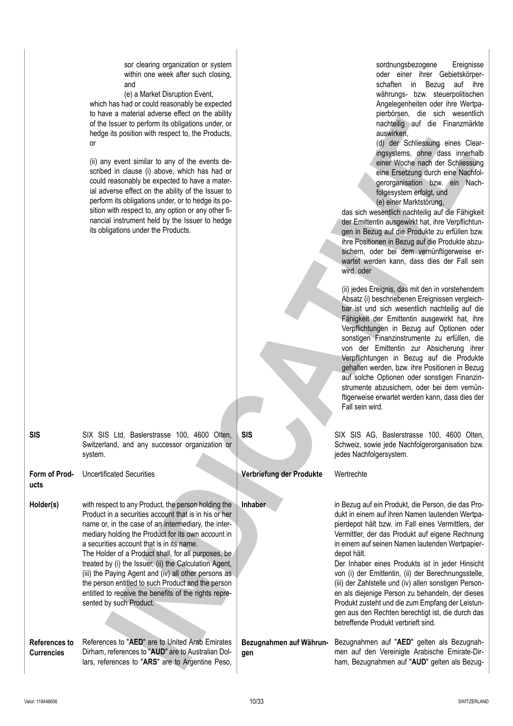|                                           | and<br>(e) a Market Disruption Event,<br>which has had or could reasonably be expected<br>to have a material adverse effect on the ability<br>of the Issuer to perform its obligations under, or<br>hedge its position with respect to, the Products,<br><b>or</b><br>(ii) any event similar to any of the events de-<br>scribed in clause (i) above, which has had or<br>could reasonably be expected to have a mater-<br>ial adverse effect on the ability of the Issuer to<br>perform its obligations under, or to hedge its po-<br>sition with respect to, any option or any other fi-<br>nancial instrument held by the Issuer to hedge<br>its obligations under the Products. |                                | schaften in Bezug auf ihre<br>währungs- bzw. steuerpolitischen<br>Angelegenheiten oder ihre Wertpa-<br>pierbörsen, die sich wesentlich<br>nachteilig auf die Finanzmärkte<br>auswirken.<br>(d) der Schliessung eines Clear-<br>ingsystems, ohne dass innerhalb<br>einer Woche nach der Schliessung<br>eine Ersetzung durch eine Nachfol-<br>gerorganisation bzw. ein Nach-<br>folgesystem erfolgt, und<br>(e) einer Marktstörung,<br>das sich wesentlich nachteilig auf die Fähigkeit<br>der Emittentin ausgewirkt hat, ihre Verpflichtun-<br>gen in Bezug auf die Produkte zu erfüllen bzw.<br>ihre Positionen in Bezug auf die Produkte abzu-<br>sichern, oder bei dem vernünftigerweise er-<br>wartet werden kann, dass dies der Fall sein<br>wird, oder<br>(ii) jedes Ereignis, das mit den in vorstehendem<br>Absatz (i) beschriebenen Ereignissen vergleich-<br>bar ist und sich wesentlich nachteilig auf die<br>Fähigkeit der Emittentin ausgewirkt hat, ihre<br>Verpflichtungen in Bezug auf Optionen oder<br>sonstigen Finanzinstrumente zu erfüllen, die<br>von der Emittentin zur Absicherung ihrer<br>Verpflichtungen in Bezug auf die Produkte<br>gehalten werden, bzw. ihre Positionen in Bezug<br>auf solche Optionen oder sonstigen Finanzin-<br>strumente abzusichern, oder bei dem vernün-<br>ftigerweise erwartet werden kann, dass dies der<br>Fall sein wird. |
|-------------------------------------------|-------------------------------------------------------------------------------------------------------------------------------------------------------------------------------------------------------------------------------------------------------------------------------------------------------------------------------------------------------------------------------------------------------------------------------------------------------------------------------------------------------------------------------------------------------------------------------------------------------------------------------------------------------------------------------------|--------------------------------|-------------------------------------------------------------------------------------------------------------------------------------------------------------------------------------------------------------------------------------------------------------------------------------------------------------------------------------------------------------------------------------------------------------------------------------------------------------------------------------------------------------------------------------------------------------------------------------------------------------------------------------------------------------------------------------------------------------------------------------------------------------------------------------------------------------------------------------------------------------------------------------------------------------------------------------------------------------------------------------------------------------------------------------------------------------------------------------------------------------------------------------------------------------------------------------------------------------------------------------------------------------------------------------------------------------------------------------------------------------------------------------|
| <b>SIS</b>                                | SIX SIS Ltd, Baslerstrasse 100, 4600 Olten,<br>Switzerland, and any successor organization or<br>system.                                                                                                                                                                                                                                                                                                                                                                                                                                                                                                                                                                            | <b>SIS</b>                     | SIX SIS AG, Baslerstrasse 100, 4600 Olten,<br>Schweiz, sowie jede Nachfolgerorganisation bzw.<br>jedes Nachfolgersystem.                                                                                                                                                                                                                                                                                                                                                                                                                                                                                                                                                                                                                                                                                                                                                                                                                                                                                                                                                                                                                                                                                                                                                                                                                                                            |
| Form of Prod-<br>ucts                     | <b>Uncertificated Securities</b>                                                                                                                                                                                                                                                                                                                                                                                                                                                                                                                                                                                                                                                    | Verbriefung der Produkte       | Wertrechte                                                                                                                                                                                                                                                                                                                                                                                                                                                                                                                                                                                                                                                                                                                                                                                                                                                                                                                                                                                                                                                                                                                                                                                                                                                                                                                                                                          |
| Holder(s)                                 | with respect to any Product, the person holding the<br>Product in a securities account that is in his or her<br>name or, in the case of an intermediary, the inter-<br>mediary holding the Product for its own account in<br>a securities account that is in its name.<br>The Holder of a Product shall, for all purposes, be<br>treated by (i) the Issuer, (ii) the Calculation Agent,<br>(iii) the Paying Agent and (iv) all other persons as<br>the person entitled to such Product and the person<br>entitled to receive the benefits of the rights repre-<br>sented by such Product.                                                                                           | Inhaber                        | in Bezug auf ein Produkt, die Person, die das Pro-<br>dukt in einem auf ihren Namen lautenden Wertpa-<br>pierdepot hält bzw. im Fall eines Vermittlers, der<br>Vermittler, der das Produkt auf eigene Rechnung<br>in einem auf seinen Namen lautenden Wertpapier-<br>depot hält.<br>Der Inhaber eines Produkts ist in jeder Hinsicht<br>von (i) der Emittentin, (ii) der Berechnungsstelle,<br>(iii) der Zahlstelle und (iv) allen sonstigen Person-<br>en als diejenige Person zu behandeln, der dieses<br>Produkt zusteht und die zum Empfang der Leistun-<br>gen aus den Rechten berechtigt ist, die durch das<br>betreffende Produkt verbrieft sind.                                                                                                                                                                                                                                                                                                                                                                                                                                                                                                                                                                                                                                                                                                                            |
| <b>References to</b><br><b>Currencies</b> | References to "AED" are to United Arab Emirates<br>Dirham, references to "AUD" are to Australian Dol-<br>lars, references to "ARS" are to Argentine Peso,                                                                                                                                                                                                                                                                                                                                                                                                                                                                                                                           | Bezugnahmen auf Währun-<br>gen | Bezugnahmen auf "AED" gelten als Bezugnah-<br>men auf den Vereinigte Arabische Emirate-Dir-<br>ham, Bezugnahmen auf "AUD" gelten als Bezug-                                                                                                                                                                                                                                                                                                                                                                                                                                                                                                                                                                                                                                                                                                                                                                                                                                                                                                                                                                                                                                                                                                                                                                                                                                         |

sor clearing organization or system within one week after such closing, sordnungsbezogene Ereignisse oder einer ihrer Gebietskörper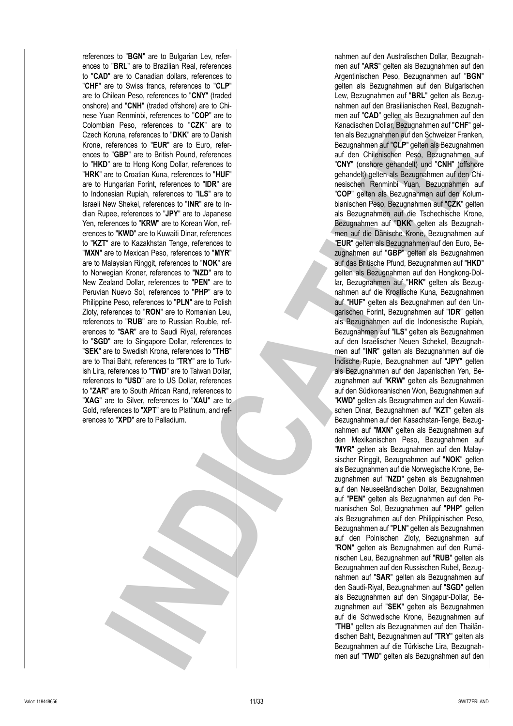references to "**BGN**" are to Bulgarian Lev, references to "**BRL**" are to Brazilian Real, references to "**CAD**" are to Canadian dollars, references to "**CHF**" are to Swiss francs, references to "**CLP**" are to Chilean Peso, references to "**CNY**" (traded onshore) and "**CNH**" (traded offshore) are to Chinese Yuan Renminbi, references to "**COP**" are to Colombian Peso, references to "**CZK**" are to Czech Koruna, references to "**DKK**" are to Danish Krone, references to "**EUR**" are to Euro, references to "**GBP**" are to British Pound, references to "**HKD**" are to Hong Kong Dollar, references to "**HRK**" are to Croatian Kuna, references to "**HUF**" are to Hungarian Forint, references to "**IDR**" are to Indonesian Rupiah, references to "**ILS**" are to Israeli New Shekel, references to "**INR**" are to Indian Rupee, references to "**JPY**" are to Japanese Yen, references to "**KRW**" are to Korean Won, references to "**KWD**" are to Kuwaiti Dinar, references to "**KZT**" are to Kazakhstan Tenge, references to "**MXN**" are to Mexican Peso, references to "**MYR**" are to Malaysian Ringgit, references to "**NOK**" are to Norwegian Kroner, references to "**NZD**" are to New Zealand Dollar, references to "**PEN**" are to Peruvian Nuevo Sol, references to "**PHP**" are to Philippine Peso, references to "**PLN**" are to Polish Zloty, references to "**RON**" are to Romanian Leu, references to "**RUB**" are to Russian Rouble, references to "**SAR**" are to Saudi Riyal, references to "**SGD**" are to Singapore Dollar, references to "**SEK**" are to Swedish Krona, references to "**THB**" are to Thai Baht, references to "**TRY**" are to Turkish Lira, references to "**TWD**" are to Taiwan Dollar, references to "**USD**" are to US Dollar, references to "**ZAR**" are to South African Rand, references to "**XAG**" are to Silver, references to "**XAU**" are to Gold, references to "**XPT**" are to Platinum, and references to "**XPD**" are to Palladium.

nahmen auf den Australischen Dollar, Bezugnahmen auf "**ARS**" gelten als Bezugnahmen auf den Argentinischen Peso, Bezugnahmen auf "**BGN**" gelten als Bezugnahmen auf den Bulgarischen Lew, Bezugnahmen auf "**BRL**" gelten als Bezugnahmen auf den Brasilianischen Real, Bezugnahmen auf "**CAD**" gelten als Bezugnahmen auf den Kanadischen Dollar, Bezugnahmen auf "**CHF**" gelten als Bezugnahmen auf den Schweizer Franken, Bezugnahmen auf "**CLP**" gelten als Bezugnahmen auf den Chilenischen Peso, Bezugnahmen auf "**CNY**" (onshore gehandelt) und "**CNH**" (offshore gehandelt) gelten als Bezugnahmen auf den Chinesischen Renminbi Yuan, Bezugnahmen auf "**COP**" gelten als Bezugnahmen auf den Kolumbianischen Peso, Bezugnahmen auf "**CZK**" gelten als Bezugnahmen auf die Tschechische Krone, Bezugnahmen auf "**DKK**" gelten als Bezugnahmen auf die Dänische Krone, Bezugnahmen auf "**EUR**" gelten als Bezugnahmen auf den Euro, Bezugnahmen auf "**GBP**" gelten als Bezugnahmen auf das Britische Pfund, Bezugnahmen auf "**HKD**" gelten als Bezugnahmen auf den Hongkong-Dollar, Bezugnahmen auf "**HRK**" gelten als Bezugnahmen auf die Kroatische Kuna, Bezugnahmen auf "**HUF**" gelten als Bezugnahmen auf den Ungarischen Forint, Bezugnahmen auf "**IDR**" gelten als Bezugnahmen auf die Indonesische Rupiah, Bezugnahmen auf "**ILS**" gelten als Bezugnahmen auf den Israelischer Neuen Schekel, Bezugnahmen auf "**INR**" gelten als Bezugnahmen auf die Indische Rupie, Bezugnahmen auf "**JPY**" gelten als Bezugnahmen auf den Japanischen Yen, Bezugnahmen auf "**KRW**" gelten als Bezugnahmen auf den Südkoreanischen Won, Bezugnahmen auf "**KWD**" gelten als Bezugnahmen auf den Kuwaitischen Dinar, Bezugnahmen auf "**KZT**" gelten als Bezugnahmen auf den Kasachstan-Tenge, Bezugnahmen auf "**MXN**" gelten als Bezugnahmen auf den Mexikanischen Peso, Bezugnahmen auf "**MYR**" gelten als Bezugnahmen auf den Malaysischer Ringgit, Bezugnahmen auf "**NOK**" gelten als Bezugnahmen auf die Norwegische Krone, Bezugnahmen auf "**NZD**" gelten als Bezugnahmen auf den Neuseeländischen Dollar, Bezugnahmen auf "**PEN**" gelten als Bezugnahmen auf den Peruanischen Sol, Bezugnahmen auf "**PHP**" gelten als Bezugnahmen auf den Philippinischen Peso, Bezugnahmen auf "**PLN**" gelten als Bezugnahmen auf den Polnischen Zloty, Bezugnahmen auf "**RON**" gelten als Bezugnahmen auf den Rumänischen Leu, Bezugnahmen auf "**RUB**" gelten als Bezugnahmen auf den Russischen Rubel, Bezugnahmen auf "**SAR**" gelten als Bezugnahmen auf den Saudi-Riyal, Bezugnahmen auf "**SGD**" gelten als Bezugnahmen auf den Singapur-Dollar, Bezugnahmen auf "**SEK**" gelten als Bezugnahmen auf die Schwedische Krone, Bezugnahmen auf "**THB**" gelten als Bezugnahmen auf den Thailändischen Baht, Bezugnahmen auf "**TRY**" gelten als Bezugnahmen auf die Türkische Lira, Bezugnahmen auf "**TWD**" gelten als Bezugnahmen auf den In the contents of the basis of the contents of the contents of the contents of the pair of the contents of the contents of the contents of the contents of the contents of the contents of the pair of the pair of the conte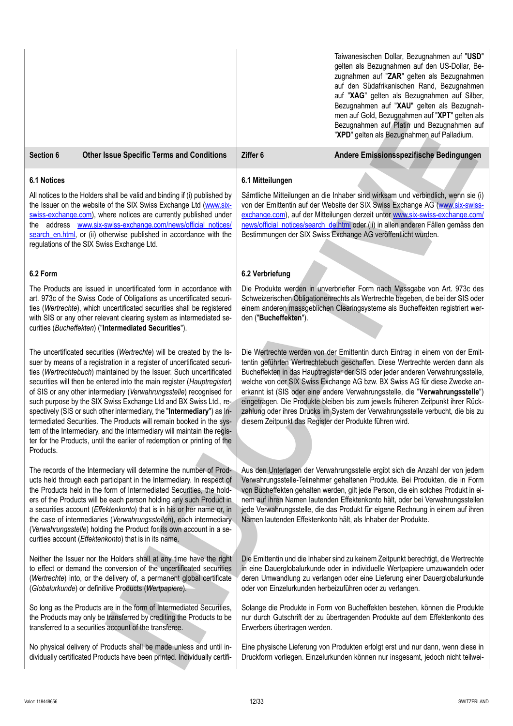|                                                                                                                                                                                                                                                                                                                                                     |                                                                                                                                                                                                                                                                                                                                                                                                                                                                                                                                                                                                                                                                                                                                                      |                                                                                                                                                                                                                                                                                                                                                                                                                                                                                                                                                                                                                                                  | Taiwanesischen Dollar, Bezugnahmen auf "USD"<br>gelten als Bezugnahmen auf den US-Dollar, Be-<br>zugnahmen auf "ZAR" gelten als Bezugnahmen<br>auf den Südafrikanischen Rand, Bezugnahmen<br>auf "XAG" gelten als Bezugnahmen auf Silber,<br>Bezugnahmen auf "XAU" gelten als Bezugnah-<br>men auf Gold, Bezugnahmen auf "XPT" gelten als<br>Bezugnahmen auf Platin und Bezugnahmen auf<br>"XPD" gelten als Bezugnahmen auf Palladium.                                                  |
|-----------------------------------------------------------------------------------------------------------------------------------------------------------------------------------------------------------------------------------------------------------------------------------------------------------------------------------------------------|------------------------------------------------------------------------------------------------------------------------------------------------------------------------------------------------------------------------------------------------------------------------------------------------------------------------------------------------------------------------------------------------------------------------------------------------------------------------------------------------------------------------------------------------------------------------------------------------------------------------------------------------------------------------------------------------------------------------------------------------------|--------------------------------------------------------------------------------------------------------------------------------------------------------------------------------------------------------------------------------------------------------------------------------------------------------------------------------------------------------------------------------------------------------------------------------------------------------------------------------------------------------------------------------------------------------------------------------------------------------------------------------------------------|-----------------------------------------------------------------------------------------------------------------------------------------------------------------------------------------------------------------------------------------------------------------------------------------------------------------------------------------------------------------------------------------------------------------------------------------------------------------------------------------|
| Section 6                                                                                                                                                                                                                                                                                                                                           | <b>Other Issue Specific Terms and Conditions</b>                                                                                                                                                                                                                                                                                                                                                                                                                                                                                                                                                                                                                                                                                                     | Ziffer 6                                                                                                                                                                                                                                                                                                                                                                                                                                                                                                                                                                                                                                         | Andere Emissionsspezifische Bedingungen                                                                                                                                                                                                                                                                                                                                                                                                                                                 |
| <b>6.1 Notices</b>                                                                                                                                                                                                                                                                                                                                  |                                                                                                                                                                                                                                                                                                                                                                                                                                                                                                                                                                                                                                                                                                                                                      | 6.1 Mitteilungen                                                                                                                                                                                                                                                                                                                                                                                                                                                                                                                                                                                                                                 |                                                                                                                                                                                                                                                                                                                                                                                                                                                                                         |
|                                                                                                                                                                                                                                                                                                                                                     | All notices to the Holders shall be valid and binding if (i) published by<br>the Issuer on the website of the SIX Swiss Exchange Ltd (www.six-<br>swiss-exchange.com), where notices are currently published under<br>the address www.six-swiss-exchange.com/news/official notices/<br>search en.html, or (ii) otherwise published in accordance with the<br>regulations of the SIX Swiss Exchange Ltd.                                                                                                                                                                                                                                                                                                                                              |                                                                                                                                                                                                                                                                                                                                                                                                                                                                                                                                                                                                                                                  | Sämtliche Mitteilungen an die Inhaber sind wirksam und verbindlich, wenn sie (i)<br>von der Emittentin auf der Website der SIX Swiss Exchange AG (www.six-swiss-<br>exchange.com), auf der Mitteilungen derzeit unter www.six-swiss-exchange.com/<br>news/official notices/search de.html oder (ii) in allen anderen Fällen gemäss den<br>Bestimmungen der SIX Swiss Exchange AG veröffentlicht wurden.                                                                                 |
| 6.2 Form                                                                                                                                                                                                                                                                                                                                            |                                                                                                                                                                                                                                                                                                                                                                                                                                                                                                                                                                                                                                                                                                                                                      | 6.2 Verbriefung                                                                                                                                                                                                                                                                                                                                                                                                                                                                                                                                                                                                                                  |                                                                                                                                                                                                                                                                                                                                                                                                                                                                                         |
| The Products are issued in uncertificated form in accordance with<br>art. 973c of the Swiss Code of Obligations as uncertificated securi-<br>ties (Wertrechte), which uncertificated securities shall be registered<br>with SIS or any other relevant clearing system as intermediated se-<br>curities (Bucheffekten) ("Intermediated Securities"). |                                                                                                                                                                                                                                                                                                                                                                                                                                                                                                                                                                                                                                                                                                                                                      | den ("Bucheffekten").                                                                                                                                                                                                                                                                                                                                                                                                                                                                                                                                                                                                                            | Die Produkte werden in unverbriefter Form nach Massgabe von Art. 973c des<br>Schweizerischen Obligationenrechts als Wertrechte begeben, die bei der SIS oder<br>einem anderen massgeblichen Clearingsysteme als Bucheffekten registriert wer-                                                                                                                                                                                                                                           |
| Products.                                                                                                                                                                                                                                                                                                                                           | The uncertificated securities (Wertrechte) will be created by the Is-<br>suer by means of a registration in a register of uncertificated securi-<br>ties (Wertrechtebuch) maintained by the Issuer. Such uncertificated<br>securities will then be entered into the main register (Hauptregister)<br>of SIS or any other intermediary (Verwahrungsstelle) recognised for<br>such purpose by the SIX Swiss Exchange Ltd and BX Swiss Ltd., re-<br>spectively (SIS or such other intermediary, the "Intermediary") as In-<br>termediated Securities. The Products will remain booked in the sys-<br>tem of the Intermediary, and the Intermediary will maintain the regis-<br>ter for the Products, until the earlier of redemption or printing of the | Die Wertrechte werden von der Emittentin durch Eintrag in einem von der Emit-<br>tentin geführten Wertrechtebuch geschaffen. Diese Wertrechte werden dann als<br>Bucheffekten in das Hauptregister der SIS oder jeder anderen Verwahrungsstelle,<br>welche von der SIX Swiss Exchange AG bzw. BX Swiss AG für diese Zwecke an-<br>erkannt ist (SIS oder eine andere Verwahrungsstelle, die "Verwahrungsstelle")<br>eingetragen. Die Produkte bleiben bis zum jeweils früheren Zeitpunkt ihrer Rück-<br>zahlung oder ihres Drucks im System der Verwahrungsstelle verbucht, die bis zu<br>diesem Zeitpunkt das Register der Produkte führen wird. |                                                                                                                                                                                                                                                                                                                                                                                                                                                                                         |
|                                                                                                                                                                                                                                                                                                                                                     | The records of the Intermediary will determine the number of Prod-<br>ucts held through each participant in the Intermediary. In respect of<br>the Products held in the form of Intermediated Securities, the hold-<br>ers of the Products will be each person holding any such Product in<br>a securities account (Effektenkonto) that is in his or her name or, in<br>the case of intermediaries (Verwahrungsstellen), each intermediary<br>(Verwahrungsstelle) holding the Product for its own account in a se-<br>curities account (Effektenkonto) that is in its name.                                                                                                                                                                          |                                                                                                                                                                                                                                                                                                                                                                                                                                                                                                                                                                                                                                                  | Aus den Unterlagen der Verwahrungsstelle ergibt sich die Anzahl der von jedem<br>Verwahrungsstelle-Teilnehmer gehaltenen Produkte. Bei Produkten, die in Form<br>von Bucheffekten gehalten werden, gilt jede Person, die ein solches Produkt in ei-<br>nem auf ihren Namen lautenden Effektenkonto hält, oder bei Verwahrungsstellen<br>jede Verwahrungsstelle, die das Produkt für eigene Rechnung in einem auf ihren<br>Namen lautenden Effektenkonto hält, als Inhaber der Produkte. |
|                                                                                                                                                                                                                                                                                                                                                     | Neither the Issuer nor the Holders shall at any time have the right<br>to effect or demand the conversion of the uncertificated securities<br>(Wertrechte) into, or the delivery of, a permanent global certificate<br>(Globalurkunde) or definitive Products (Wertpapiere).                                                                                                                                                                                                                                                                                                                                                                                                                                                                         |                                                                                                                                                                                                                                                                                                                                                                                                                                                                                                                                                                                                                                                  | Die Emittentin und die Inhaber sind zu keinem Zeitpunkt berechtigt, die Wertrechte<br>in eine Dauerglobalurkunde oder in individuelle Wertpapiere umzuwandeln oder<br>deren Umwandlung zu verlangen oder eine Lieferung einer Dauerglobalurkunde<br>oder von Einzelurkunden herbeizuführen oder zu verlangen.                                                                                                                                                                           |
|                                                                                                                                                                                                                                                                                                                                                     | So long as the Products are in the form of Intermediated Securities,<br>the Products may only be transferred by crediting the Products to be<br>transferred to a securities account of the transferee.                                                                                                                                                                                                                                                                                                                                                                                                                                                                                                                                               | Erwerbers übertragen werden.                                                                                                                                                                                                                                                                                                                                                                                                                                                                                                                                                                                                                     | Solange die Produkte in Form von Bucheffekten bestehen, können die Produkte<br>nur durch Gutschrift der zu übertragenden Produkte auf dem Effektenkonto des                                                                                                                                                                                                                                                                                                                             |
|                                                                                                                                                                                                                                                                                                                                                     | No physical delivery of Products shall be made unless and until in-<br>dividually certificated Products have been printed. Individually certifi-                                                                                                                                                                                                                                                                                                                                                                                                                                                                                                                                                                                                     |                                                                                                                                                                                                                                                                                                                                                                                                                                                                                                                                                                                                                                                  | Eine physische Lieferung von Produkten erfolgt erst und nur dann, wenn diese in<br>Druckform vorliegen. Einzelurkunden können nur insgesamt, jedoch nicht teilwei-                                                                                                                                                                                                                                                                                                                      |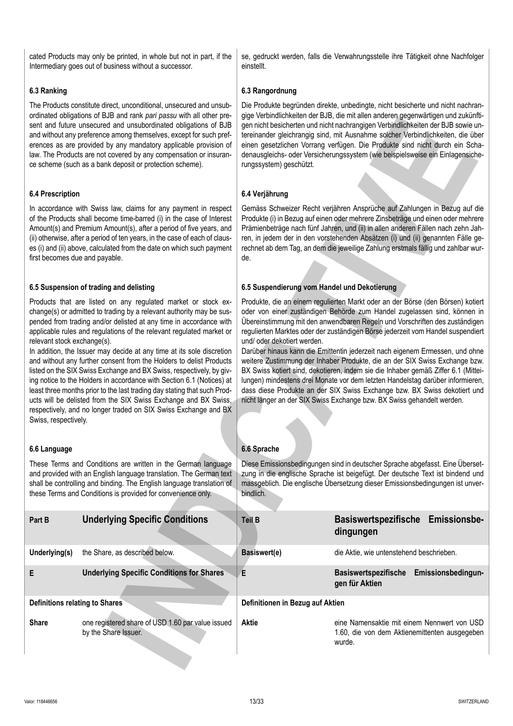# **6.3 Ranking**

The Products constitute direct, unconditional, unsecured and unsubordinated obligations of BJB and rank *pari passu* with all other present and future unsecured and unsubordinated obligations of BJB and without any preference among themselves, except for such preferences as are provided by any mandatory applicable provision of law. The Products are not covered by any compensation or insurance scheme (such as a bank deposit or protection scheme).

# **6.4 Prescription**

# **6.5 Suspension of trading and delisting**

# **6.6 Language**

se, gedruckt werden, falls die Verwahrungsstelle ihre Tätigkeit ohne Nachfolger einstellt.

# **6.3 Rangordnung**

Die Produkte begründen direkte, unbedingte, nicht besicherte und nicht nachrangige Verbindlichkeiten der BJB, die mit allen anderen gegenwärtigen und zukünftigen nicht besicherten und nicht nachrangigen Verbindlichkeiten der BJB sowie untereinander gleichrangig sind, mit Ausnahme solcher Verbindlichkeiten, die über einen gesetzlichen Vorrang verfügen. Die Produkte sind nicht durch ein Schadenausgleichs- oder Versicherungssystem (wie beispielsweise ein Einlagensicherungssystem) geschützt.

# **6.4 Verjährung**

# **6.5 Suspendierung vom Handel und Dekotierung**

# **6.6 Sprache**

| 6.4 Verjährung<br><b>6.4 Prescription</b><br>Gemäss Schweizer Recht verjähren Ansprüche auf Zahlungen in Bezug auf die<br>In accordance with Swiss law, claims for any payment in respect<br>Produkte (i) in Bezug auf einen oder mehrere Zinsbeträge und einen oder mehrere<br>of the Products shall become time-barred (i) in the case of Interest<br>Amount(s) and Premium Amount(s), after a period of five years, and<br>Prämienbeträge nach fünf Jahren, und (ii) in allen anderen Fällen nach zehn Jah-<br>ren, in jedem der in den vorstehenden Absätzen (i) und (ii) genannten Fälle ge-<br>(ii) otherwise, after a period of ten years, in the case of each of claus-<br>es (i) and (ii) above, calculated from the date on which such payment<br>rechnet ab dem Tag, an dem die jeweilige Zahlung erstmals fällig und zahlbar wur-<br>first becomes due and payable.<br>de.<br>6.5 Suspension of trading and delisting<br>6.5 Suspendierung vom Handel und Dekotierung<br>Products that are listed on any regulated market or stock ex-<br>Produkte, die an einem regulierten Markt oder an der Börse (den Börsen) kotiert<br>oder von einer zuständigen Behörde zum Handel zugelassen sind, können in<br>change(s) or admitted to trading by a relevant authority may be sus-<br>Übereinstimmung mit den anwendbaren Regeln und Vorschriften des zuständigen<br>pended from trading and/or delisted at any time in accordance with<br>applicable rules and regulations of the relevant regulated market or<br>regulierten Marktes oder der zuständigen Börse jederzeit vom Handel suspendiert<br>relevant stock exchange(s).<br>und/ oder dekotiert werden.<br>In addition, the Issuer may decide at any time at its sole discretion<br>Darüber hinaus kann die Emittentin jederzeit nach eigenem Ermessen, und ohne<br>and without any further consent from the Holders to delist Products<br>weitere Zustimmung der Inhaber Produkte, die an der SIX Swiss Exchange bzw.<br>listed on the SIX Swiss Exchange and BX Swiss, respectively, by giv-<br>BX Swiss kotiert sind, dekotieren, indem sie die Inhaber gemäß Ziffer 6.1 (Mittei-<br>ing notice to the Holders in accordance with Section 6.1 (Notices) at<br>lungen) mindestens drei Monate vor dem letzten Handelstag darüber informieren,<br>dass diese Produkte an der SIX Swiss Exchange bzw. BX Swiss dekotiert und<br>least three months prior to the last trading day stating that such Prod-<br>ucts will be delisted from the SIX Swiss Exchange and BX Swiss,<br>nicht länger an der SIX Swiss Exchange bzw. BX Swiss gehandelt werden.<br>respectively, and no longer traded on SIX Swiss Exchange and BX<br>Swiss, respectively.<br>6.6 Sprache<br>6.6 Language<br>These Terms and Conditions are written in the German language<br>Diese Emissionsbedingungen sind in deutscher Sprache abgefasst. Eine Überset-<br>zung in die englische Sprache ist beigefügt. Der deutsche Text ist bindend und<br>and provided with an English language translation. The German text<br>shall be controlling and binding. The English language translation of<br>massgeblich. Die englische Übersetzung dieser Emissionsbedingungen ist unver-<br>these Terms and Conditions is provided for convenience only.<br>bindlich.<br><b>Underlying Specific Conditions</b><br><b>Emissionsbe-</b><br><b>Basiswertspezifische</b><br><b>Teil B</b><br>Part B<br>dingungen<br>the Share, as described below.<br>Basiswert(e)<br>die Aktie, wie untenstehend beschrieben.<br>Underlying(s)<br><b>Underlying Specific Conditions for Shares</b><br>E<br><b>Basiswertspezifische</b><br>Emissionsbedingun-<br>Е<br>gen für Aktien<br><b>Definitions relating to Shares</b><br>Definitionen in Bezug auf Aktien<br>one registered share of USD 1.60 par value issued<br><b>Aktie</b><br>eine Namensaktie mit einem Nennwert von USD<br><b>Share</b><br>by the Share Issuer.<br>1.60, die von dem Aktienemittenten ausgegeben<br>wurde. | ordinated opilgations of BJB and rank pari passu with all other pre-<br>sent and future unsecured and unsubordinated obligations of BJB<br>and without any preference among themselves, except for such pref-<br>erences as are provided by any mandatory applicable provision of<br>law. The Products are not covered by any compensation or insuran-<br>ce scheme (such as a bank deposit or protection scheme). | gige verbindlichkeiten der BJB, die mit allen anderen gegenwartigen und zukunfti-<br>gen nicht besicherten und nicht nachrangigen Verbindlichkeiten der BJB sowie un-<br>tereinander gleichrangig sind, mit Ausnahme solcher Verbindlichkeiten, die über<br>einen gesetzlichen Vorrang verfügen. Die Produkte sind nicht durch ein Scha-<br>denausgleichs- oder Versicherungssystem (wie beispielsweise ein Einlagensiche-<br>rungssystem) geschützt. |  |  |
|-------------------------------------------------------------------------------------------------------------------------------------------------------------------------------------------------------------------------------------------------------------------------------------------------------------------------------------------------------------------------------------------------------------------------------------------------------------------------------------------------------------------------------------------------------------------------------------------------------------------------------------------------------------------------------------------------------------------------------------------------------------------------------------------------------------------------------------------------------------------------------------------------------------------------------------------------------------------------------------------------------------------------------------------------------------------------------------------------------------------------------------------------------------------------------------------------------------------------------------------------------------------------------------------------------------------------------------------------------------------------------------------------------------------------------------------------------------------------------------------------------------------------------------------------------------------------------------------------------------------------------------------------------------------------------------------------------------------------------------------------------------------------------------------------------------------------------------------------------------------------------------------------------------------------------------------------------------------------------------------------------------------------------------------------------------------------------------------------------------------------------------------------------------------------------------------------------------------------------------------------------------------------------------------------------------------------------------------------------------------------------------------------------------------------------------------------------------------------------------------------------------------------------------------------------------------------------------------------------------------------------------------------------------------------------------------------------------------------------------------------------------------------------------------------------------------------------------------------------------------------------------------------------------------------------------------------------------------------------------------------------------------------------------------------------------------------------------------------------------------------------------------------------------------------------------------------------------------------------------------------------------------------------------------------------------------------------------------------------------------------------------------------------------------------------------------------------------------------------------------------------------------------------------------------------------------------------------------------------------------------------------------------------------------------------------------------------------------------------------------------------------------------------------------------------------------------------------------------------------------------------------------------------------------------------------------------------------------------------------------------|--------------------------------------------------------------------------------------------------------------------------------------------------------------------------------------------------------------------------------------------------------------------------------------------------------------------------------------------------------------------------------------------------------------------|-------------------------------------------------------------------------------------------------------------------------------------------------------------------------------------------------------------------------------------------------------------------------------------------------------------------------------------------------------------------------------------------------------------------------------------------------------|--|--|
|                                                                                                                                                                                                                                                                                                                                                                                                                                                                                                                                                                                                                                                                                                                                                                                                                                                                                                                                                                                                                                                                                                                                                                                                                                                                                                                                                                                                                                                                                                                                                                                                                                                                                                                                                                                                                                                                                                                                                                                                                                                                                                                                                                                                                                                                                                                                                                                                                                                                                                                                                                                                                                                                                                                                                                                                                                                                                                                                                                                                                                                                                                                                                                                                                                                                                                                                                                                                                                                                                                                                                                                                                                                                                                                                                                                                                                                                                                                                                                                                 |                                                                                                                                                                                                                                                                                                                                                                                                                    |                                                                                                                                                                                                                                                                                                                                                                                                                                                       |  |  |
|                                                                                                                                                                                                                                                                                                                                                                                                                                                                                                                                                                                                                                                                                                                                                                                                                                                                                                                                                                                                                                                                                                                                                                                                                                                                                                                                                                                                                                                                                                                                                                                                                                                                                                                                                                                                                                                                                                                                                                                                                                                                                                                                                                                                                                                                                                                                                                                                                                                                                                                                                                                                                                                                                                                                                                                                                                                                                                                                                                                                                                                                                                                                                                                                                                                                                                                                                                                                                                                                                                                                                                                                                                                                                                                                                                                                                                                                                                                                                                                                 |                                                                                                                                                                                                                                                                                                                                                                                                                    |                                                                                                                                                                                                                                                                                                                                                                                                                                                       |  |  |
|                                                                                                                                                                                                                                                                                                                                                                                                                                                                                                                                                                                                                                                                                                                                                                                                                                                                                                                                                                                                                                                                                                                                                                                                                                                                                                                                                                                                                                                                                                                                                                                                                                                                                                                                                                                                                                                                                                                                                                                                                                                                                                                                                                                                                                                                                                                                                                                                                                                                                                                                                                                                                                                                                                                                                                                                                                                                                                                                                                                                                                                                                                                                                                                                                                                                                                                                                                                                                                                                                                                                                                                                                                                                                                                                                                                                                                                                                                                                                                                                 |                                                                                                                                                                                                                                                                                                                                                                                                                    |                                                                                                                                                                                                                                                                                                                                                                                                                                                       |  |  |
|                                                                                                                                                                                                                                                                                                                                                                                                                                                                                                                                                                                                                                                                                                                                                                                                                                                                                                                                                                                                                                                                                                                                                                                                                                                                                                                                                                                                                                                                                                                                                                                                                                                                                                                                                                                                                                                                                                                                                                                                                                                                                                                                                                                                                                                                                                                                                                                                                                                                                                                                                                                                                                                                                                                                                                                                                                                                                                                                                                                                                                                                                                                                                                                                                                                                                                                                                                                                                                                                                                                                                                                                                                                                                                                                                                                                                                                                                                                                                                                                 |                                                                                                                                                                                                                                                                                                                                                                                                                    |                                                                                                                                                                                                                                                                                                                                                                                                                                                       |  |  |
|                                                                                                                                                                                                                                                                                                                                                                                                                                                                                                                                                                                                                                                                                                                                                                                                                                                                                                                                                                                                                                                                                                                                                                                                                                                                                                                                                                                                                                                                                                                                                                                                                                                                                                                                                                                                                                                                                                                                                                                                                                                                                                                                                                                                                                                                                                                                                                                                                                                                                                                                                                                                                                                                                                                                                                                                                                                                                                                                                                                                                                                                                                                                                                                                                                                                                                                                                                                                                                                                                                                                                                                                                                                                                                                                                                                                                                                                                                                                                                                                 |                                                                                                                                                                                                                                                                                                                                                                                                                    |                                                                                                                                                                                                                                                                                                                                                                                                                                                       |  |  |
|                                                                                                                                                                                                                                                                                                                                                                                                                                                                                                                                                                                                                                                                                                                                                                                                                                                                                                                                                                                                                                                                                                                                                                                                                                                                                                                                                                                                                                                                                                                                                                                                                                                                                                                                                                                                                                                                                                                                                                                                                                                                                                                                                                                                                                                                                                                                                                                                                                                                                                                                                                                                                                                                                                                                                                                                                                                                                                                                                                                                                                                                                                                                                                                                                                                                                                                                                                                                                                                                                                                                                                                                                                                                                                                                                                                                                                                                                                                                                                                                 |                                                                                                                                                                                                                                                                                                                                                                                                                    |                                                                                                                                                                                                                                                                                                                                                                                                                                                       |  |  |
|                                                                                                                                                                                                                                                                                                                                                                                                                                                                                                                                                                                                                                                                                                                                                                                                                                                                                                                                                                                                                                                                                                                                                                                                                                                                                                                                                                                                                                                                                                                                                                                                                                                                                                                                                                                                                                                                                                                                                                                                                                                                                                                                                                                                                                                                                                                                                                                                                                                                                                                                                                                                                                                                                                                                                                                                                                                                                                                                                                                                                                                                                                                                                                                                                                                                                                                                                                                                                                                                                                                                                                                                                                                                                                                                                                                                                                                                                                                                                                                                 |                                                                                                                                                                                                                                                                                                                                                                                                                    |                                                                                                                                                                                                                                                                                                                                                                                                                                                       |  |  |
|                                                                                                                                                                                                                                                                                                                                                                                                                                                                                                                                                                                                                                                                                                                                                                                                                                                                                                                                                                                                                                                                                                                                                                                                                                                                                                                                                                                                                                                                                                                                                                                                                                                                                                                                                                                                                                                                                                                                                                                                                                                                                                                                                                                                                                                                                                                                                                                                                                                                                                                                                                                                                                                                                                                                                                                                                                                                                                                                                                                                                                                                                                                                                                                                                                                                                                                                                                                                                                                                                                                                                                                                                                                                                                                                                                                                                                                                                                                                                                                                 |                                                                                                                                                                                                                                                                                                                                                                                                                    |                                                                                                                                                                                                                                                                                                                                                                                                                                                       |  |  |
|                                                                                                                                                                                                                                                                                                                                                                                                                                                                                                                                                                                                                                                                                                                                                                                                                                                                                                                                                                                                                                                                                                                                                                                                                                                                                                                                                                                                                                                                                                                                                                                                                                                                                                                                                                                                                                                                                                                                                                                                                                                                                                                                                                                                                                                                                                                                                                                                                                                                                                                                                                                                                                                                                                                                                                                                                                                                                                                                                                                                                                                                                                                                                                                                                                                                                                                                                                                                                                                                                                                                                                                                                                                                                                                                                                                                                                                                                                                                                                                                 |                                                                                                                                                                                                                                                                                                                                                                                                                    |                                                                                                                                                                                                                                                                                                                                                                                                                                                       |  |  |
|                                                                                                                                                                                                                                                                                                                                                                                                                                                                                                                                                                                                                                                                                                                                                                                                                                                                                                                                                                                                                                                                                                                                                                                                                                                                                                                                                                                                                                                                                                                                                                                                                                                                                                                                                                                                                                                                                                                                                                                                                                                                                                                                                                                                                                                                                                                                                                                                                                                                                                                                                                                                                                                                                                                                                                                                                                                                                                                                                                                                                                                                                                                                                                                                                                                                                                                                                                                                                                                                                                                                                                                                                                                                                                                                                                                                                                                                                                                                                                                                 |                                                                                                                                                                                                                                                                                                                                                                                                                    |                                                                                                                                                                                                                                                                                                                                                                                                                                                       |  |  |
|                                                                                                                                                                                                                                                                                                                                                                                                                                                                                                                                                                                                                                                                                                                                                                                                                                                                                                                                                                                                                                                                                                                                                                                                                                                                                                                                                                                                                                                                                                                                                                                                                                                                                                                                                                                                                                                                                                                                                                                                                                                                                                                                                                                                                                                                                                                                                                                                                                                                                                                                                                                                                                                                                                                                                                                                                                                                                                                                                                                                                                                                                                                                                                                                                                                                                                                                                                                                                                                                                                                                                                                                                                                                                                                                                                                                                                                                                                                                                                                                 |                                                                                                                                                                                                                                                                                                                                                                                                                    |                                                                                                                                                                                                                                                                                                                                                                                                                                                       |  |  |
|                                                                                                                                                                                                                                                                                                                                                                                                                                                                                                                                                                                                                                                                                                                                                                                                                                                                                                                                                                                                                                                                                                                                                                                                                                                                                                                                                                                                                                                                                                                                                                                                                                                                                                                                                                                                                                                                                                                                                                                                                                                                                                                                                                                                                                                                                                                                                                                                                                                                                                                                                                                                                                                                                                                                                                                                                                                                                                                                                                                                                                                                                                                                                                                                                                                                                                                                                                                                                                                                                                                                                                                                                                                                                                                                                                                                                                                                                                                                                                                                 |                                                                                                                                                                                                                                                                                                                                                                                                                    |                                                                                                                                                                                                                                                                                                                                                                                                                                                       |  |  |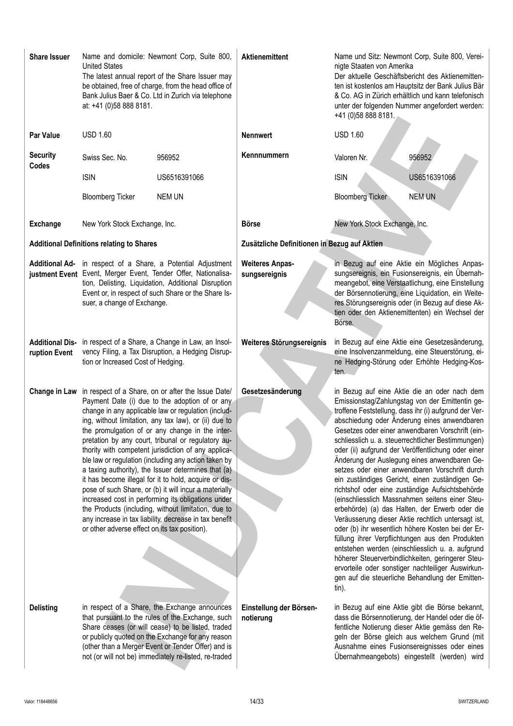| <b>Share Issuer</b>      | <b>United States</b><br>at: +41 (0)58 888 8181.  | Name and domicile: Newmont Corp, Suite 800,<br>The latest annual report of the Share Issuer may<br>be obtained, free of charge, from the head office of<br>Bank Julius Baer & Co. Ltd in Zurich via telephone                                                                                                                                                                                                                                                                                                                                                                                                                                                                                                                                                                                | <b>Aktienemittent</b>                        | nigte Staaten von Amerika<br>+41 (0) 58 888 8181. | Name und Sitz: Newmont Corp, Suite 800, Verei-<br>Der aktuelle Geschäftsbericht des Aktienemitten-<br>ten ist kostenlos am Hauptsitz der Bank Julius Bär<br>& Co. AG in Zürich erhältlich und kann telefonisch<br>unter der folgenden Nummer angefordert werden:                                                                                                                                                                                                                                                                                                                                                                                                                                                                                                                                                                                                                                                                                                                                                                                                   |
|--------------------------|--------------------------------------------------|----------------------------------------------------------------------------------------------------------------------------------------------------------------------------------------------------------------------------------------------------------------------------------------------------------------------------------------------------------------------------------------------------------------------------------------------------------------------------------------------------------------------------------------------------------------------------------------------------------------------------------------------------------------------------------------------------------------------------------------------------------------------------------------------|----------------------------------------------|---------------------------------------------------|--------------------------------------------------------------------------------------------------------------------------------------------------------------------------------------------------------------------------------------------------------------------------------------------------------------------------------------------------------------------------------------------------------------------------------------------------------------------------------------------------------------------------------------------------------------------------------------------------------------------------------------------------------------------------------------------------------------------------------------------------------------------------------------------------------------------------------------------------------------------------------------------------------------------------------------------------------------------------------------------------------------------------------------------------------------------|
| <b>Par Value</b>         | <b>USD 1.60</b>                                  |                                                                                                                                                                                                                                                                                                                                                                                                                                                                                                                                                                                                                                                                                                                                                                                              | <b>Nennwert</b>                              | <b>USD 1.60</b>                                   |                                                                                                                                                                                                                                                                                                                                                                                                                                                                                                                                                                                                                                                                                                                                                                                                                                                                                                                                                                                                                                                                    |
| <b>Security</b><br>Codes | Swiss Sec. No.                                   | 956952                                                                                                                                                                                                                                                                                                                                                                                                                                                                                                                                                                                                                                                                                                                                                                                       | Kennnummern                                  | Valoren Nr.                                       | 956952                                                                                                                                                                                                                                                                                                                                                                                                                                                                                                                                                                                                                                                                                                                                                                                                                                                                                                                                                                                                                                                             |
|                          | <b>ISIN</b>                                      | US6516391066                                                                                                                                                                                                                                                                                                                                                                                                                                                                                                                                                                                                                                                                                                                                                                                 |                                              | <b>ISIN</b>                                       | US6516391066                                                                                                                                                                                                                                                                                                                                                                                                                                                                                                                                                                                                                                                                                                                                                                                                                                                                                                                                                                                                                                                       |
|                          | <b>Bloomberg Ticker</b>                          | <b>NEM UN</b>                                                                                                                                                                                                                                                                                                                                                                                                                                                                                                                                                                                                                                                                                                                                                                                |                                              | <b>Bloomberg Ticker</b>                           | <b>NEM UN</b>                                                                                                                                                                                                                                                                                                                                                                                                                                                                                                                                                                                                                                                                                                                                                                                                                                                                                                                                                                                                                                                      |
| <b>Exchange</b>          | New York Stock Exchange, Inc.                    |                                                                                                                                                                                                                                                                                                                                                                                                                                                                                                                                                                                                                                                                                                                                                                                              | <b>Börse</b>                                 | New York Stock Exchange, Inc.                     |                                                                                                                                                                                                                                                                                                                                                                                                                                                                                                                                                                                                                                                                                                                                                                                                                                                                                                                                                                                                                                                                    |
|                          | <b>Additional Definitions relating to Shares</b> |                                                                                                                                                                                                                                                                                                                                                                                                                                                                                                                                                                                                                                                                                                                                                                                              | Zusätzliche Definitionen in Bezug auf Aktien |                                                   |                                                                                                                                                                                                                                                                                                                                                                                                                                                                                                                                                                                                                                                                                                                                                                                                                                                                                                                                                                                                                                                                    |
|                          | suer, a change of Exchange.                      | Additional Ad- in respect of a Share, a Potential Adjustment<br>justment Event Event, Merger Event, Tender Offer, Nationalisa-<br>tion, Delisting, Liquidation, Additional Disruption<br>Event or, in respect of such Share or the Share Is-                                                                                                                                                                                                                                                                                                                                                                                                                                                                                                                                                 | <b>Weiteres Anpas-</b><br>sungsereignis      | Börse.                                            | in Bezug auf eine Aktie ein Mögliches Anpas-<br>sungsereignis, ein Fusionsereignis, ein Übernah-<br>meangebot, eine Verstaatlichung, eine Einstellung<br>der Börsennotierung, eine Liquidation, ein Weite-<br>res Störungsereignis oder (in Bezug auf diese Ak-<br>tien oder den Aktienemittenten) ein Wechsel der                                                                                                                                                                                                                                                                                                                                                                                                                                                                                                                                                                                                                                                                                                                                                 |
| ruption Event            | tion or Increased Cost of Hedging.               | Additional Dis- in respect of a Share, a Change in Law, an Insol-<br>vency Filing, a Tax Disruption, a Hedging Disrup-                                                                                                                                                                                                                                                                                                                                                                                                                                                                                                                                                                                                                                                                       | Weiteres Störungsereignis                    | ten.                                              | in Bezug auf eine Aktie eine Gesetzesänderung,<br>eine Insolvenzanmeldung, eine Steuerstörung, ei-<br>ne Hedging-Störung oder Erhöhte Hedging-Kos-                                                                                                                                                                                                                                                                                                                                                                                                                                                                                                                                                                                                                                                                                                                                                                                                                                                                                                                 |
| Change in Law            | or other adverse effect on its tax position).    | in respect of a Share, on or after the Issue Date/<br>Payment Date (i) due to the adoption of or any<br>change in any applicable law or regulation (includ-<br>ing, without limitation, any tax law), or (ii) due to<br>the promulgation of or any change in the inter-<br>pretation by any court, tribunal or regulatory au-<br>thority with competent jurisdiction of any applica-<br>ble law or regulation (including any action taken by<br>a taxing authority), the Issuer determines that (a)<br>it has become illegal for it to hold, acquire or dis-<br>pose of such Share, or (b) it will incur a materially<br>increased cost in performing its obligations under<br>the Products (including, without limitation, due to<br>any increase in tax liability, decrease in tax benefit | Gesetzesänderung                             | tin).                                             | in Bezug auf eine Aktie die an oder nach dem<br>Emissionstag/Zahlungstag von der Emittentin ge-<br>troffene Feststellung, dass ihr (i) aufgrund der Ver-<br>abschiedung oder Änderung eines anwendbaren<br>Gesetzes oder einer anwendbaren Vorschrift (ein-<br>schliesslich u. a. steuerrechtlicher Bestimmungen)<br>oder (ii) aufgrund der Veröffentlichung oder einer<br>Änderung der Auslegung eines anwendbaren Ge-<br>setzes oder einer anwendbaren Vorschrift durch<br>ein zuständiges Gericht, einen zuständigen Ge-<br>richtshof oder eine zuständige Aufsichtsbehörde<br>(einschliesslich Massnahmen seitens einer Steu-<br>erbehörde) (a) das Halten, der Erwerb oder die<br>Veräusserung dieser Aktie rechtlich untersagt ist,<br>oder (b) ihr wesentlich höhere Kosten bei der Er-<br>füllung ihrer Verpflichtungen aus den Produkten<br>entstehen werden (einschliesslich u. a. aufgrund<br>höherer Steuerverbindlichkeiten, geringerer Steu-<br>ervorteile oder sonstiger nachteiliger Auswirkun-<br>gen auf die steuerliche Behandlung der Emitten- |
| <b>Delisting</b>         |                                                  | in respect of a Share, the Exchange announces<br>that pursuant to the rules of the Exchange, such<br>Share ceases (or will cease) to be listed, traded<br>or publicly quoted on the Exchange for any reason<br>(other than a Merger Event or Tender Offer) and is<br>not (or will not be) immediately re-listed, re-traded                                                                                                                                                                                                                                                                                                                                                                                                                                                                   | Einstellung der Börsen-<br>notierung         |                                                   | in Bezug auf eine Aktie gibt die Börse bekannt,<br>dass die Börsennotierung, der Handel oder die öf-<br>fentliche Notierung dieser Aktie gemäss den Re-<br>geln der Börse gleich aus welchem Grund (mit<br>Ausnahme eines Fusionsereignisses oder eines<br>Übernahmeangebots) eingestellt (werden) wird                                                                                                                                                                                                                                                                                                                                                                                                                                                                                                                                                                                                                                                                                                                                                            |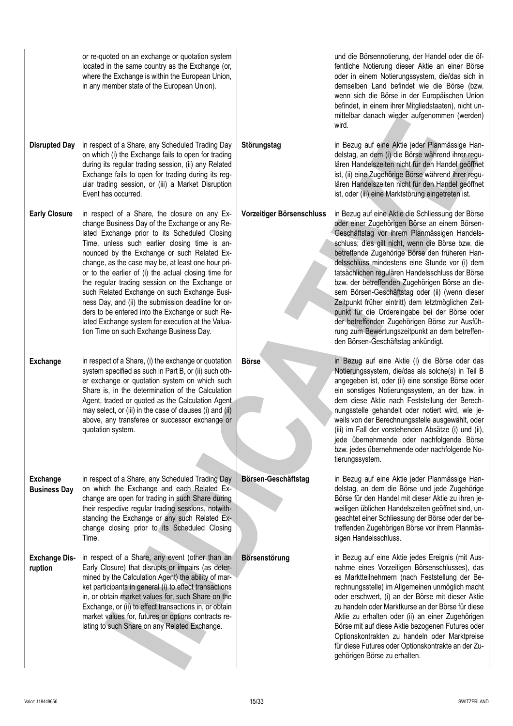|                                        | or re-quoted on an exchange or quotation system<br>located in the same country as the Exchange (or,<br>where the Exchange is within the European Union,<br>in any member state of the European Union).                                                                                                                                                                                                                                                                                                                                                                                                                                                                      |                           | und die Börsennotierung, der Handel oder die öf-<br>fentliche Notierung dieser Aktie an einer Börse<br>oder in einem Notierungssystem, die/das sich in<br>demselben Land befindet wie die Börse (bzw.<br>wenn sich die Börse in der Europäischen Union<br>befindet, in einem ihrer Mitgliedstaaten), nicht un-<br>mittelbar danach wieder aufgenommen (werden)<br>wird.                                                                                                                                                                                                                                                                                                                                                |
|----------------------------------------|-----------------------------------------------------------------------------------------------------------------------------------------------------------------------------------------------------------------------------------------------------------------------------------------------------------------------------------------------------------------------------------------------------------------------------------------------------------------------------------------------------------------------------------------------------------------------------------------------------------------------------------------------------------------------------|---------------------------|------------------------------------------------------------------------------------------------------------------------------------------------------------------------------------------------------------------------------------------------------------------------------------------------------------------------------------------------------------------------------------------------------------------------------------------------------------------------------------------------------------------------------------------------------------------------------------------------------------------------------------------------------------------------------------------------------------------------|
| <b>Disrupted Day</b>                   | in respect of a Share, any Scheduled Trading Day<br>on which (i) the Exchange fails to open for trading<br>during its regular trading session, (ii) any Related<br>Exchange fails to open for trading during its reg-<br>ular trading session, or (iii) a Market Disruption<br>Event has occurred.                                                                                                                                                                                                                                                                                                                                                                          | Störungstag               | in Bezug auf eine Aktie jeder Planmässige Han-<br>delstag, an dem (i) die Börse während ihrer regu-<br>lären Handelszeiten nicht für den Handel geöffnet<br>ist, (ii) eine Zugehörige Börse während ihrer regu-<br>lären Handelszeiten nicht für den Handel geöffnet<br>ist, oder (iii) eine Marktstörung eingetreten ist.                                                                                                                                                                                                                                                                                                                                                                                             |
| <b>Early Closure</b>                   | in respect of a Share, the closure on any Ex-<br>change Business Day of the Exchange or any Re-<br>lated Exchange prior to its Scheduled Closing<br>Time, unless such earlier closing time is an-<br>nounced by the Exchange or such Related Ex-<br>change, as the case may be, at least one hour pri-<br>or to the earlier of (i) the actual closing time for<br>the regular trading session on the Exchange or<br>such Related Exchange on such Exchange Busi-<br>ness Day, and (ii) the submission deadline for or-<br>ders to be entered into the Exchange or such Re-<br>lated Exchange system for execution at the Valua-<br>tion Time on such Exchange Business Day. | Vorzeitiger Börsenschluss | in Bezug auf eine Aktie die Schliessung der Börse<br>oder einer Zugehörigen Börse an einem Börsen-<br>Geschäftstag vor ihrem Planmässigen Handels-<br>schluss; dies gilt nicht, wenn die Börse bzw. die<br>betreffende Zugehörige Börse den früheren Han-<br>delsschluss mindestens eine Stunde vor (i) dem<br>tatsächlichen regulären Handelsschluss der Börse<br>bzw. der betreffenden Zugehörigen Börse an die-<br>sem Börsen-Geschäftstag oder (ii) (wenn dieser<br>Zeitpunkt früher eintritt) dem letztmöglichen Zeit-<br>punkt für die Ordereingabe bei der Börse oder<br>der betreffenden Zugehörigen Börse zur Ausfüh-<br>rung zum Bewertungszeitpunkt an dem betreffen-<br>den Börsen-Geschäftstag ankündigt. |
| <b>Exchange</b>                        | in respect of a Share, (i) the exchange or quotation<br>system specified as such in Part B, or (ii) such oth-<br>er exchange or quotation system on which such<br>Share is, in the determination of the Calculation<br>Agent, traded or quoted as the Calculation Agent<br>may select, or (iii) in the case of clauses (i) and (ii)<br>above, any transferee or successor exchange or<br>quotation system.                                                                                                                                                                                                                                                                  | <b>Börse</b>              | in Bezug auf eine Aktie (i) die Börse oder das<br>Notierungssystem, die/das als solche(s) in Teil B<br>angegeben ist, oder (ii) eine sonstige Börse oder<br>ein sonstiges Notierungssystem, an der bzw. in<br>dem diese Aktie nach Feststellung der Berech-<br>nungsstelle gehandelt oder notiert wird, wie je-<br>weils von der Berechnungsstelle ausgewählt, oder<br>(iii) im Fall der vorstehenden Absätze (i) und (ii),<br>jede übernehmende oder nachfolgende Börse<br>bzw. jedes übernehmende oder nachfolgende No-<br>tierungssystem.                                                                                                                                                                           |
| <b>Exchange</b><br><b>Business Day</b> | in respect of a Share, any Scheduled Trading Day<br>on which the Exchange and each Related Ex-<br>change are open for trading in such Share during<br>their respective regular trading sessions, notwith-<br>standing the Exchange or any such Related Ex-<br>change closing prior to its Scheduled Closing<br>Time.                                                                                                                                                                                                                                                                                                                                                        | Börsen-Geschäftstag       | in Bezug auf eine Aktie jeder Planmässige Han-<br>delstag, an dem die Börse und jede Zugehörige<br>Börse für den Handel mit dieser Aktie zu ihren je-<br>weiligen üblichen Handelszeiten geöffnet sind, un-<br>geachtet einer Schliessung der Börse oder der be-<br>treffenden Zugehörigen Börse vor ihrem Planmäs-<br>sigen Handelsschluss.                                                                                                                                                                                                                                                                                                                                                                           |
| <b>Exchange Dis-</b><br>ruption        | in respect of a Share, any event (other than an<br>Early Closure) that disrupts or impairs (as deter-<br>mined by the Calculation Agent) the ability of mar-<br>ket participants in general (i) to effect transactions<br>in, or obtain market values for, such Share on the<br>Exchange, or (ii) to effect transactions in, or obtain<br>market values for, futures or options contracts re-<br>lating to such Share on any Related Exchange.                                                                                                                                                                                                                              | Börsenstörung             | in Bezug auf eine Aktie jedes Ereignis (mit Aus-<br>nahme eines Vorzeitigen Börsenschlusses), das<br>es Marktteilnehmern (nach Feststellung der Be-<br>rechnungsstelle) im Allgemeinen unmöglich macht<br>oder erschwert, (i) an der Börse mit dieser Aktie<br>zu handeln oder Marktkurse an der Börse für diese<br>Aktie zu erhalten oder (ii) an einer Zugehörigen<br>Börse mit auf diese Aktie bezogenen Futures oder<br>Optionskontrakten zu handeln oder Marktpreise<br>für diese Futures oder Optionskontrakte an der Zu-<br>gehörigen Börse zu erhalten.                                                                                                                                                        |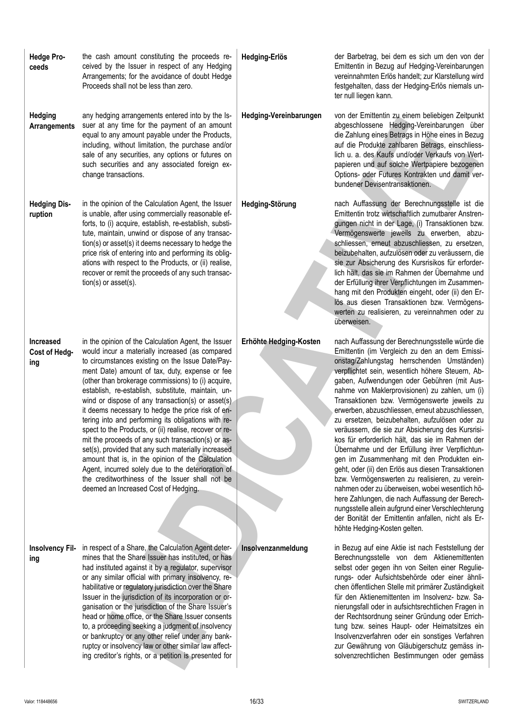| <b>Hedge Pro-</b><br>ceeds        | the cash amount constituting the proceeds re-<br>ceived by the Issuer in respect of any Hedging<br>Arrangements; for the avoidance of doubt Hedge<br>Proceeds shall not be less than zero.                                                                                                                                                                                                                                                                                                                                                                                                                                                                                                                                                                                                                                                                             | Hedging-Erlös          | der Barbetrag, bei dem es sich um den von der<br>Emittentin in Bezug auf Hedging-Vereinbarungen<br>vereinnahmten Erlös handelt; zur Klarstellung wird<br>festgehalten, dass der Hedging-Erlös niemals un-<br>ter null liegen kann.                                                                                                                                                                                                                                                                                                                                                                                                                                                                                                                                                                                                                                                                                                                                                                                               |
|-----------------------------------|------------------------------------------------------------------------------------------------------------------------------------------------------------------------------------------------------------------------------------------------------------------------------------------------------------------------------------------------------------------------------------------------------------------------------------------------------------------------------------------------------------------------------------------------------------------------------------------------------------------------------------------------------------------------------------------------------------------------------------------------------------------------------------------------------------------------------------------------------------------------|------------------------|----------------------------------------------------------------------------------------------------------------------------------------------------------------------------------------------------------------------------------------------------------------------------------------------------------------------------------------------------------------------------------------------------------------------------------------------------------------------------------------------------------------------------------------------------------------------------------------------------------------------------------------------------------------------------------------------------------------------------------------------------------------------------------------------------------------------------------------------------------------------------------------------------------------------------------------------------------------------------------------------------------------------------------|
| <b>Hedging</b><br>Arrangements    | any hedging arrangements entered into by the Is-<br>suer at any time for the payment of an amount<br>equal to any amount payable under the Products,<br>including, without limitation, the purchase and/or<br>sale of any securities, any options or futures on<br>such securities and any associated foreign ex-<br>change transactions.                                                                                                                                                                                                                                                                                                                                                                                                                                                                                                                              | Hedging-Vereinbarungen | von der Emittentin zu einem beliebigen Zeitpunkt<br>abgeschlossene Hedging-Vereinbarungen über<br>die Zahlung eines Betrags in Höhe eines in Bezug<br>auf die Produkte zahlbaren Betrags, einschliess-<br>lich u. a. des Kaufs und/oder Verkaufs von Wert-<br>papieren und auf solche Wertpapiere bezogenen<br>Options- oder Futures Kontrakten und damit ver-<br>bundener Devisentransaktionen.                                                                                                                                                                                                                                                                                                                                                                                                                                                                                                                                                                                                                                 |
| <b>Hedging Dis-</b><br>ruption    | in the opinion of the Calculation Agent, the Issuer<br>is unable, after using commercially reasonable ef-<br>forts, to (i) acquire, establish, re-establish, substi-<br>tute, maintain, unwind or dispose of any transac-<br>tion(s) or asset(s) it deems necessary to hedge the<br>price risk of entering into and performing its oblig-<br>ations with respect to the Products, or (ii) realise,<br>recover or remit the proceeds of any such transac-<br>$tion(s)$ or asset $(s)$ .                                                                                                                                                                                                                                                                                                                                                                                 | Hedging-Störung        | nach Auffassung der Berechnungsstelle ist die<br>Emittentin trotz wirtschaftlich zumutbarer Anstren-<br>gungen nicht in der Lage, (i) Transaktionen bzw.<br>Vermögenswerte jeweils zu erwerben, abzu-<br>schliessen, erneut abzuschliessen, zu ersetzen,<br>beizubehalten, aufzulösen oder zu veräussern, die<br>sie zur Absicherung des Kursrisikos für erforder-<br>lich hält, das sie im Rahmen der Übernahme und<br>der Erfüllung ihrer Verpflichtungen im Zusammen-<br>hang mit den Produkten eingeht, oder (ii) den Er-<br>lös aus diesen Transaktionen bzw. Vermögens-<br>werten zu realisieren, zu vereinnahmen oder zu<br>überweisen.                                                                                                                                                                                                                                                                                                                                                                                   |
| Increased<br>Cost of Hedg-<br>ing | in the opinion of the Calculation Agent, the Issuer<br>would incur a materially increased (as compared<br>to circumstances existing on the Issue Date/Pay-<br>ment Date) amount of tax, duty, expense or fee<br>(other than brokerage commissions) to (i) acquire,<br>establish, re-establish, substitute, maintain, un-<br>wind or dispose of any transaction(s) or asset(s)<br>it deems necessary to hedge the price risk of en-<br>tering into and performing its obligations with re-<br>spect to the Products, or (ii) realise, recover or re-<br>mit the proceeds of any such transaction(s) or as-<br>set(s), provided that any such materially increased<br>amount that is, in the opinion of the Calculation<br>Agent, incurred solely due to the deterioration of<br>the creditworthiness of the Issuer shall not be<br>deemed an Increased Cost of Hedging. | Erhöhte Hedging-Kosten | nach Auffassung der Berechnungsstelle würde die<br>Emittentin (im Vergleich zu den an dem Emissi-<br>onstag/Zahlungstag herrschenden Umständen)<br>verpflichtet sein, wesentlich höhere Steuern, Ab-<br>gaben, Aufwendungen oder Gebühren (mit Aus-<br>nahme von Maklerprovisionen) zu zahlen, um (i)<br>Transaktionen bzw. Vermögenswerte jeweils zu<br>erwerben, abzuschliessen, erneut abzuschliessen,<br>zu ersetzen, beizubehalten, aufzulösen oder zu<br>veräussern, die sie zur Absicherung des Kursrisi-<br>kos für erforderlich hält, das sie im Rahmen der<br>Übernahme und der Erfüllung ihrer Verpflichtun-<br>gen im Zusammenhang mit den Produkten ein-<br>geht, oder (ii) den Erlös aus diesen Transaktionen<br>bzw. Vermögenswerten zu realisieren, zu verein-<br>nahmen oder zu überweisen, wobei wesentlich hö-<br>here Zahlungen, die nach Auffassung der Berech-<br>nungsstelle allein aufgrund einer Verschlechterung<br>der Bonität der Emittentin anfallen, nicht als Er-<br>höhte Hedging-Kosten gelten. |
| <b>Insolvency Fil-</b><br>ing     | in respect of a Share, the Calculation Agent deter-<br>mines that the Share Issuer has instituted, or has<br>had instituted against it by a regulator, supervisor<br>or any similar official with primary insolvency, re-<br>habilitative or regulatory jurisdiction over the Share<br>Issuer in the jurisdiction of its incorporation or or-<br>ganisation or the jurisdiction of the Share Issuer's<br>head or home office, or the Share Issuer consents<br>to, a proceeding seeking a judgment of insolvency<br>or bankruptcy or any other relief under any bank-<br>ruptcy or insolvency law or other similar law affect-<br>ing creditor's rights, or a petition is presented for                                                                                                                                                                                 | Insolvenzanmeldung     | in Bezug auf eine Aktie ist nach Feststellung der<br>Berechnungsstelle von dem Aktienemittenten<br>selbst oder gegen ihn von Seiten einer Regulie-<br>rungs- oder Aufsichtsbehörde oder einer ähnli-<br>chen öffentlichen Stelle mit primärer Zuständigkeit<br>für den Aktienemittenten im Insolvenz- bzw. Sa-<br>nierungsfall oder in aufsichtsrechtlichen Fragen in<br>der Rechtsordnung seiner Gründung oder Errich-<br>tung bzw. seines Haupt- oder Heimatsitzes ein<br>Insolvenzverfahren oder ein sonstiges Verfahren<br>zur Gewährung von Gläubigerschutz gemäss in-<br>solvenzrechtlichen Bestimmungen oder gemäss                                                                                                                                                                                                                                                                                                                                                                                                       |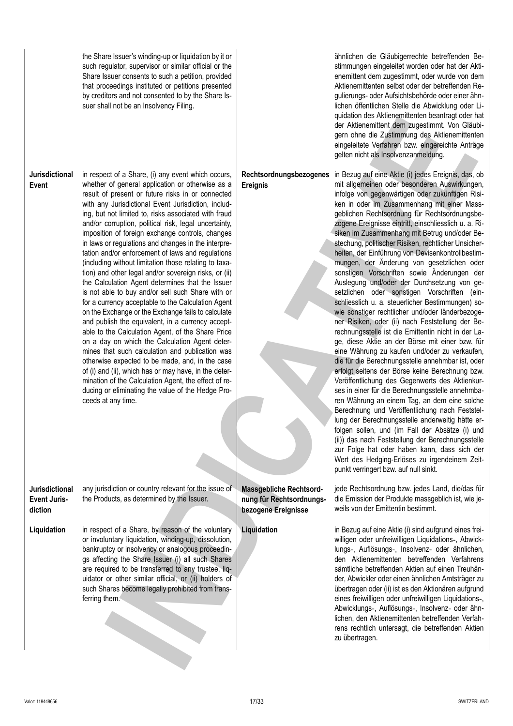the Share Issuer's winding-up or liquidation by it or such regulator, supervisor or similar official or the Share Issuer consents to such a petition, provided that proceedings instituted or petitions presented by creditors and not consented to by the Share Issuer shall not be an Insolvency Filing.

**Jurisdictional Event** in respect of a Share, (i) any event which occurs, whether of general application or otherwise as a result of present or future risks in or connected with any Jurisdictional Event Jurisdiction, including, but not limited to, risks associated with fraud and/or corruption, political risk, legal uncertainty, imposition of foreign exchange controls, changes in laws or regulations and changes in the interpretation and/or enforcement of laws and regulations (including without limitation those relating to taxation) and other legal and/or sovereign risks, or (ii) the Calculation Agent determines that the Issuer is not able to buy and/or sell such Share with or for a currency acceptable to the Calculation Agent on the Exchange or the Exchange fails to calculate and publish the equivalent, in a currency acceptable to the Calculation Agent, of the Share Price on a day on which the Calculation Agent determines that such calculation and publication was otherwise expected to be made, and, in the case of (i) and (ii), which has or may have, in the determination of the Calculation Agent, the effect of reducing or eliminating the value of the Hedge Proceeds at any time. **Ereignis Jurisdictional Event Jurisdiction** any jurisdiction or country relevant for the issue of the Products, as determined by the Issuer. **Massgebliche Rechtsordnung für Rechtsordnungsbezogene Ereignisse Liquidation** in respect of a Share, by reason of the voluntary or involuntary liquidation, winding-up, dissolution, bankruptcy or insolvency or analogous proceedin-**IND** of a Shame, i) any wore which source and a source the constrained to do Columbus and the subset of the stress where the interest of the stress of the stress of the stress of the stress of the stress of the stress o

gs affecting the Share Issuer (i) all such Shares are required to be transferred to any trustee, liquidator or other similar official, or (ii) holders of such Shares become legally prohibited from trans-

ferring them.

ähnlichen die Gläubigerrechte betreffenden Bestimmungen eingeleitet worden oder hat der Aktienemittent dem zugestimmt, oder wurde von dem Aktienemittenten selbst oder der betreffenden Regulierungs- oder Aufsichtsbehörde oder einer ähnlichen öffentlichen Stelle die Abwicklung oder Liquidation des Aktienemittenten beantragt oder hat der Aktienemittent dem zugestimmt. Von Gläubigern ohne die Zustimmung des Aktienemittenten eingeleitete Verfahren bzw. eingereichte Anträge gelten nicht als Insolvenzanmeldung.

**Rechtsordnungsbezogenes**

in Bezug auf eine Aktie (i) jedes Ereignis, das, ob mit allgemeinen oder besonderen Auswirkungen, infolge von gegenwärtigen oder zukünftigen Risiken in oder im Zusammenhang mit einer Massgeblichen Rechtsordnung für Rechtsordnungsbezogene Ereignisse eintritt, einschliesslich u. a. Risiken im Zusammenhang mit Betrug und/oder Bestechung, politischer Risiken, rechtlicher Unsicherheiten, der Einführung von Devisenkontrollbestimmungen, der Änderung von gesetzlichen oder sonstigen Vorschriften sowie Änderungen der Auslegung und/oder der Durchsetzung von gesetzlichen oder sonstigen Vorschriften (einschliesslich u. a. steuerlicher Bestimmungen) sowie sonstiger rechtlicher und/oder länderbezogener Risiken, oder (ii) nach Feststellung der Berechnungsstelle ist die Emittentin nicht in der Lage, diese Aktie an der Börse mit einer bzw. für eine Währung zu kaufen und/oder zu verkaufen, die für die Berechnungsstelle annehmbar ist, oder erfolgt seitens der Börse keine Berechnung bzw. Veröffentlichung des Gegenwerts des Aktienkurses in einer für die Berechnungsstelle annehmbaren Währung an einem Tag, an dem eine solche Berechnung und Veröffentlichung nach Feststellung der Berechnungsstelle anderweitig hätte erfolgen sollen, und (im Fall der Absätze (i) und (ii)) das nach Feststellung der Berechnungsstelle zur Folge hat oder haben kann, dass sich der Wert des Hedging-Erlöses zu irgendeinem Zeitpunkt verringert bzw. auf null sinkt.

jede Rechtsordnung bzw. jedes Land, die/das für die Emission der Produkte massgeblich ist, wie jeweils von der Emittentin bestimmt.

**Liquidation** in Bezug auf eine Aktie (i) sind aufgrund eines freiwilligen oder unfreiwilligen Liguidations-, Abwicklungs‑, Auflösungs‑, Insolvenz‑ oder ähnlichen, den Aktienemittenten betreffenden Verfahrens sämtliche betreffenden Aktien auf einen Treuhänder, Abwickler oder einen ähnlichen Amtsträger zu übertragen oder (ii) ist es den Aktionären aufgrund eines freiwilligen oder unfreiwilligen Liquidations‑, Abwicklungs‑, Auflösungs‑, Insolvenz‑ oder ähnlichen, den Aktienemittenten betreffenden Verfahrens rechtlich untersagt, die betreffenden Aktien zu übertragen.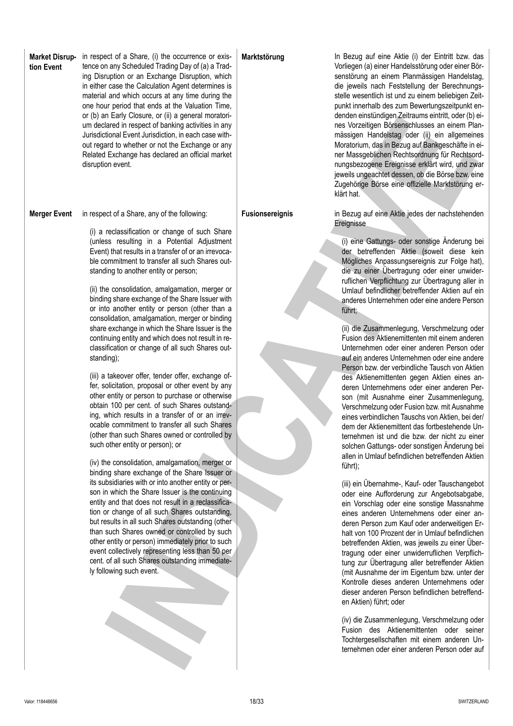| <b>Market Disrup-</b><br>tion Event | in respect of a Share, (i) the occurrence or exis-<br>tence on any Scheduled Trading Day of (a) a Trad-<br>ing Disruption or an Exchange Disruption, which<br>in either case the Calculation Agent determines is<br>material and which occurs at any time during the<br>one hour period that ends at the Valuation Time,<br>or (b) an Early Closure, or (ii) a general moratori-<br>um declared in respect of banking activities in any<br>Jurisdictional Event Jurisdiction, in each case with-<br>out regard to whether or not the Exchange or any<br>Related Exchange has declared an official market<br>disruption event.                                                                                                                                                                                                                                                                                                                                                                                                                                                                                                                                                                                                                                                                                                                                                                                                                                                                                                                                                                                                                                                                                        | Marktstörung           | In Bezug auf eine Aktie (i) der Eintritt bzw. das<br>Vorliegen (a) einer Handelsstörung oder einer Bör-<br>senstörung an einem Planmässigen Handelstag,<br>die jeweils nach Feststellung der Berechnungs-<br>stelle wesentlich ist und zu einem beliebigen Zeit-<br>punkt innerhalb des zum Bewertungszeitpunkt en-<br>denden einstündigen Zeitraums eintritt, oder (b) ei-<br>nes Vorzeitigen Börsenschlusses an einem Plan-<br>mässigen Handelstag oder (ii) ein allgemeines<br>Moratorium, das in Bezug auf Bankgeschäfte in ei-<br>ner Massgeblichen Rechtsordnung für Rechtsord-<br>nungsbezogene Ereignisse erklärt wird, und zwar<br>jeweils ungeachtet dessen, ob die Börse bzw. eine<br>Zugehörige Börse eine offizielle Marktstörung er-<br>klärt hat.                                                                                                                                                                                                                                                                                                                                                                                                                                                                                                                                                                                                                                                                                                                                                                                                                                                                                                                                                                                                                                                                                                                                                                                                 |
|-------------------------------------|----------------------------------------------------------------------------------------------------------------------------------------------------------------------------------------------------------------------------------------------------------------------------------------------------------------------------------------------------------------------------------------------------------------------------------------------------------------------------------------------------------------------------------------------------------------------------------------------------------------------------------------------------------------------------------------------------------------------------------------------------------------------------------------------------------------------------------------------------------------------------------------------------------------------------------------------------------------------------------------------------------------------------------------------------------------------------------------------------------------------------------------------------------------------------------------------------------------------------------------------------------------------------------------------------------------------------------------------------------------------------------------------------------------------------------------------------------------------------------------------------------------------------------------------------------------------------------------------------------------------------------------------------------------------------------------------------------------------|------------------------|------------------------------------------------------------------------------------------------------------------------------------------------------------------------------------------------------------------------------------------------------------------------------------------------------------------------------------------------------------------------------------------------------------------------------------------------------------------------------------------------------------------------------------------------------------------------------------------------------------------------------------------------------------------------------------------------------------------------------------------------------------------------------------------------------------------------------------------------------------------------------------------------------------------------------------------------------------------------------------------------------------------------------------------------------------------------------------------------------------------------------------------------------------------------------------------------------------------------------------------------------------------------------------------------------------------------------------------------------------------------------------------------------------------------------------------------------------------------------------------------------------------------------------------------------------------------------------------------------------------------------------------------------------------------------------------------------------------------------------------------------------------------------------------------------------------------------------------------------------------------------------------------------------------------------------------------------------------|
| <b>Merger Event</b>                 | in respect of a Share, any of the following:<br>(i) a reclassification or change of such Share<br>(unless resulting in a Potential Adjustment<br>Event) that results in a transfer of or an irrevoca-<br>ble commitment to transfer all such Shares out-<br>standing to another entity or person;<br>(ii) the consolidation, amalgamation, merger or<br>binding share exchange of the Share Issuer with<br>or into another entity or person (other than a<br>consolidation, amalgamation, merger or binding<br>share exchange in which the Share Issuer is the<br>continuing entity and which does not result in re-<br>classification or change of all such Shares out-<br>standing);<br>(iii) a takeover offer, tender offer, exchange of-<br>fer, solicitation, proposal or other event by any<br>other entity or person to purchase or otherwise<br>obtain 100 per cent. of such Shares outstand-<br>ing, which results in a transfer of or an irrev-<br>ocable commitment to transfer all such Shares<br>(other than such Shares owned or controlled by<br>such other entity or person); or<br>(iv) the consolidation, amalgamation, merger or<br>binding share exchange of the Share Issuer or<br>its subsidiaries with or into another entity or per-<br>son in which the Share Issuer is the continuing<br>entity and that does not result in a reclassifica-<br>tion or change of all such Shares outstanding,<br>but results in all such Shares outstanding (other<br>than such Shares owned or controlled by such<br>other entity or person) immediately prior to such<br>event collectively representing less than 50 per<br>cent. of all such Shares outstanding immediate-<br>ly following such event. | <b>Fusionsereignis</b> | in Bezug auf eine Aktie jedes der nachstehenden<br>Ereignisse<br>(i) eine Gattungs- oder sonstige Änderung bei<br>der betreffenden Aktie (soweit diese kein<br>Mögliches Anpassungsereignis zur Folge hat),<br>die zu einer Übertragung oder einer unwider-<br>ruflichen Verpflichtung zur Übertragung aller in<br>Umlauf befindlicher betreffender Aktien auf ein<br>anderes Unternehmen oder eine andere Person<br>führt;<br>(ii) die Zusammenlegung, Verschmelzung oder<br>Fusion des Aktienemittenten mit einem anderen<br>Unternehmen oder einer anderen Person oder<br>auf ein anderes Unternehmen oder eine andere<br>Person bzw. der verbindliche Tausch von Aktien<br>des Aktienemittenten gegen Aktien eines an-<br>deren Unternehmens oder einer anderen Per-<br>son (mit Ausnahme einer Zusammenlegung,<br>Verschmelzung oder Fusion bzw. mit Ausnahme<br>eines verbindlichen Tauschs von Aktien, bei der/<br>dem der Aktienemittent das fortbestehende Un-<br>ternehmen ist und die bzw. der nicht zu einer<br>solchen Gattungs- oder sonstigen Änderung bei<br>allen in Umlauf befindlichen betreffenden Aktien<br>führt);<br>(iii) ein Übernahme-, Kauf- oder Tauschangebot<br>oder eine Aufforderung zur Angebotsabgabe,<br>ein Vorschlag oder eine sonstige Massnahme<br>eines anderen Unternehmens oder einer an-<br>deren Person zum Kauf oder anderweitigen Er-<br>halt von 100 Prozent der in Umlauf befindlichen<br>betreffenden Aktien, was jeweils zu einer Über-<br>tragung oder einer unwiderruflichen Verpflich-<br>tung zur Übertragung aller betreffender Aktien<br>(mit Ausnahme der im Eigentum bzw. unter der<br>Kontrolle dieses anderen Unternehmens oder<br>dieser anderen Person befindlichen betreffend-<br>en Aktien) führt; oder<br>(iv) die Zusammenlegung, Verschmelzung oder<br>Fusion des Aktienemittenten oder seiner<br>Tochtergesellschaften mit einem anderen Un-<br>ternehmen oder einer anderen Person oder auf |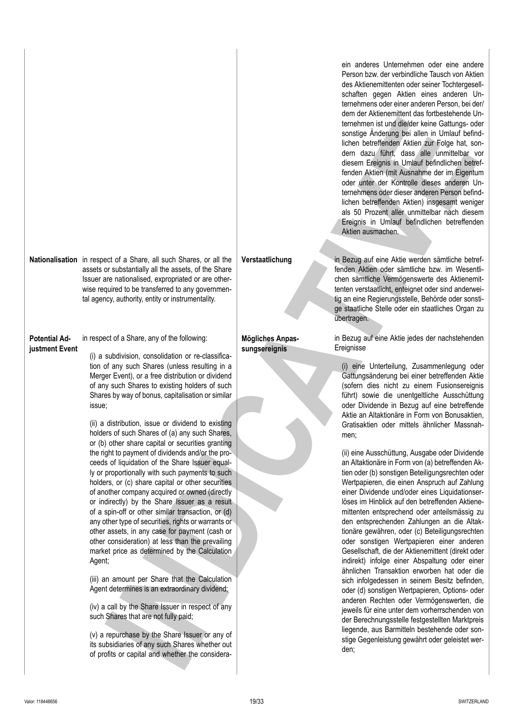ein anderes Unternehmen oder eine andere Person bzw. der verbindliche Tausch von Aktien des Aktienemittenten oder seiner Tochtergesellschaften gegen Aktien eines anderen Unternehmens oder einer anderen Person, bei der/ dem der Aktienemittent das fortbestehende Unternehmen ist und die/der keine Gattungs- oder sonstige Änderung bei allen in Umlauf befindlichen betreffenden Aktien zur Folge hat, sondern dazu führt, dass alle unmittelbar vor diesem Ereignis in Umlauf befindlichen betreffenden Aktien (mit Ausnahme der im Eigentum oder unter der Kontrolle dieses anderen Unternehmens oder dieser anderen Person befindlichen betreffenden Aktien) insgesamt weniger als 50 Prozent aller unmittelbar nach diesem Ereignis in Umlauf befindlichen betreffenden Aktien ausmachen.

**Mögliches Anpassungsereignis**

**Verstaatlichung** in Bezug auf eine Aktie werden sämtliche betreffenden Aktien oder sämtliche bzw. im Wesentlichen sämtliche Vermögenswerte des Aktienemittenten verstaatlicht, enteignet oder sind anderweitig an eine Regierungsstelle, Behörde oder sonstige staatliche Stelle oder ein staatliches Organ zu übertragen.

> in Bezug auf eine Aktie jedes der nachstehenden Ereignisse

(i) eine Unterteilung, Zusammenlegung oder Gattungsänderung bei einer betreffenden Aktie (sofern dies nicht zu einem Fusionsereignis führt) sowie die unentgeltliche Ausschüttung oder Dividende in Bezug auf eine betreffende Aktie an Altaktionäre in Form von Bonusaktien, Gratisaktien oder mittels ähnlicher Massnahmen;

(ii) eine Ausschüttung, Ausgabe oder Dividende an Altaktionäre in Form von (a) betreffenden Aktien oder (b) sonstigen Beteiligungsrechten oder Wertpapieren, die einen Anspruch auf Zahlung einer Dividende und/oder eines Liquidationserlöses im Hinblick auf den betreffenden Aktienemittenten entsprechend oder anteilsmässig zu den entsprechenden Zahlungen an die Altaktionäre gewähren, oder (c) Beteiligungsrechten oder sonstigen Wertpapieren einer anderen Gesellschaft, die der Aktienemittent (direkt oder indirekt) infolge einer Abspaltung oder einer ähnlichen Transaktion erworben hat oder die sich infolgedessen in seinem Besitz befinden, oder (d) sonstigen Wertpapieren, Options- oder anderen Rechten oder Vermögenswerten, die jeweils für eine unter dem vorherrschenden von der Berechnungsstelle festgestellten Marktpreis liegende, aus Barmitteln bestehende oder sonstige Gegenleistung gewährt oder geleistet werden; on extracted a strong the strong technical strong technical strong and the strong of the strong control intervention of the strong control intervention of the strong control intervention of the strong technical strong int

**Nationalisation** in respect of a Share, all such Shares, or all the assets or substantially all the assets, of the Share Issuer are nationalised, expropriated or are otherwise required to be transferred to any governmental agency, authority, entity or instrumentality.

### **Potential Adjustment Event** in respect of a Share, any of the following:

(i) a subdivision, consolidation or re-classification of any such Shares (unless resulting in a Merger Event), or a free distribution or dividend of any such Shares to existing holders of such Shares by way of bonus, capitalisation or similar issue;

(ii) a distribution, issue or dividend to existing holders of such Shares of (a) any such Shares, or (b) other share capital or securities granting the right to payment of dividends and/or the proceeds of liquidation of the Share Issuer equally or proportionally with such payments to such holders, or (c) share capital or other securities of another company acquired or owned (directly or indirectly) by the Share Issuer as a result of a spin-off or other similar transaction, or (d) any other type of securities, rights or warrants or other assets, in any case for payment (cash or other consideration) at less than the prevailing market price as determined by the Calculation Agent;

(iii) an amount per Share that the Calculation Agent determines is an extraordinary dividend;

(iv) a call by the Share Issuer in respect of any such Shares that are not fully paid;

(v) a repurchase by the Share Issuer or any of its subsidiaries of any such Shares whether out of profits or capital and whether the considera-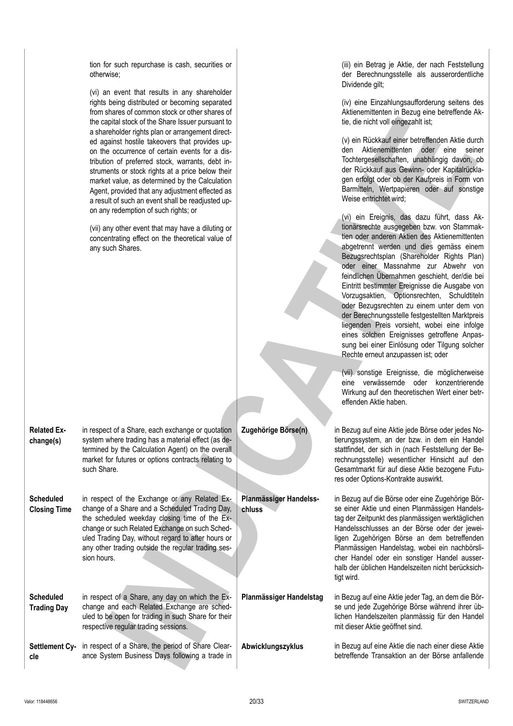|                                         | tion for such repurchase is cash, securities or<br>otherwise;<br>(vi) an event that results in any shareholder<br>rights being distributed or becoming separated<br>from shares of common stock or other shares of<br>the capital stock of the Share Issuer pursuant to<br>a shareholder rights plan or arrangement direct-<br>ed against hostile takeovers that provides up-<br>on the occurrence of certain events for a dis-<br>tribution of preferred stock, warrants, debt in-<br>struments or stock rights at a price below their<br>market value, as determined by the Calculation<br>Agent, provided that any adjustment effected as<br>a result of such an event shall be readjusted up-<br>on any redemption of such rights; or<br>(vii) any other event that may have a diluting or<br>concentrating effect on the theoretical value of<br>any such Shares. |                                  | (iii) ein Betrag je Aktie, der nach Feststellung<br>der Berechnungsstelle als ausserordentliche<br>Dividende gilt;<br>(iv) eine Einzahlungsaufforderung seitens des<br>Aktienemittenten in Bezug eine betreffende Ak-<br>tie, die nicht voll eingezahlt ist;<br>(v) ein Rückkauf einer betreffenden Aktie durch<br>den Aktienemittenten oder eine seiner<br>Tochtergesellschaften, unabhängig davon, ob<br>der Rückkauf aus Gewinn- oder Kapitalrückla-<br>gen erfolgt oder ob der Kaufpreis in Form von<br>Barmitteln, Wertpapieren oder auf sonstige<br>Weise entrichtet wird;<br>(vi) ein Ereignis, das dazu führt, dass Ak-<br>tionärsrechte ausgegeben bzw. von Stammak-<br>tien oder anderen Aktien des Aktienemittenten<br>abgetrennt werden und dies gemäss einem<br>Bezugsrechtsplan (Shareholder Rights Plan)<br>oder einer Massnahme zur Abwehr von<br>feindlichen Übernahmen geschieht, der/die bei<br>Eintritt bestimmter Ereignisse die Ausgabe von<br>Vorzugsaktien, Optionsrechten, Schuldtiteln<br>oder Bezugsrechten zu einem unter dem von<br>der Berechnungsstelle festgestellten Marktpreis<br>liegenden Preis vorsieht, wobei eine infolge<br>eines solchen Ereignisses getroffene Anpas-<br>sung bei einer Einlösung oder Tilgung solcher<br>Rechte erneut anzupassen ist; oder<br>(vii) sonstige Ereignisse, die möglicherweise<br>eine verwässernde oder konzentrierende<br>Wirkung auf den theoretischen Wert einer betr-<br>effenden Aktie haben. |
|-----------------------------------------|------------------------------------------------------------------------------------------------------------------------------------------------------------------------------------------------------------------------------------------------------------------------------------------------------------------------------------------------------------------------------------------------------------------------------------------------------------------------------------------------------------------------------------------------------------------------------------------------------------------------------------------------------------------------------------------------------------------------------------------------------------------------------------------------------------------------------------------------------------------------|----------------------------------|------------------------------------------------------------------------------------------------------------------------------------------------------------------------------------------------------------------------------------------------------------------------------------------------------------------------------------------------------------------------------------------------------------------------------------------------------------------------------------------------------------------------------------------------------------------------------------------------------------------------------------------------------------------------------------------------------------------------------------------------------------------------------------------------------------------------------------------------------------------------------------------------------------------------------------------------------------------------------------------------------------------------------------------------------------------------------------------------------------------------------------------------------------------------------------------------------------------------------------------------------------------------------------------------------------------------------------------------------------------------------------------------------------------------------------------------------------------------------|
| <b>Related Ex-</b><br>change(s)         | in respect of a Share, each exchange or quotation<br>system where trading has a material effect (as de-<br>termined by the Calculation Agent) on the overall<br>market for futures or options contracts relating to<br>such Share.                                                                                                                                                                                                                                                                                                                                                                                                                                                                                                                                                                                                                                     | Zugehörige Börse(n)              | in Bezug auf eine Aktie jede Börse oder jedes No-<br>tierungssystem, an der bzw. in dem ein Handel<br>stattfindet, der sich in (nach Feststellung der Be-<br>rechnungsstelle) wesentlicher Hinsicht auf den<br>Gesamtmarkt für auf diese Aktie bezogene Futu-<br>res oder Options-Kontrakte auswirkt.                                                                                                                                                                                                                                                                                                                                                                                                                                                                                                                                                                                                                                                                                                                                                                                                                                                                                                                                                                                                                                                                                                                                                                        |
| <b>Scheduled</b><br><b>Closing Time</b> | in respect of the Exchange or any Related Ex-<br>change of a Share and a Scheduled Trading Day,<br>the scheduled weekday closing time of the Ex-<br>change or such Related Exchange on such Sched-<br>uled Trading Day, without regard to after hours or<br>any other trading outside the regular trading ses-<br>sion hours.                                                                                                                                                                                                                                                                                                                                                                                                                                                                                                                                          | Planmässiger Handelss-<br>chluss | in Bezug auf die Börse oder eine Zugehörige Bör-<br>se einer Aktie und einen Planmässigen Handels-<br>tag der Zeitpunkt des planmässigen werktäglichen<br>Handelsschlusses an der Börse oder der jewei-<br>ligen Zugehörigen Börse an dem betreffenden<br>Planmässigen Handelstag, wobei ein nachbörsli-<br>cher Handel oder ein sonstiger Handel ausser-<br>halb der üblichen Handelszeiten nicht berücksich-<br>tigt wird.                                                                                                                                                                                                                                                                                                                                                                                                                                                                                                                                                                                                                                                                                                                                                                                                                                                                                                                                                                                                                                                 |
| <b>Scheduled</b><br><b>Trading Day</b>  | in respect of a Share, any day on which the Ex-<br>change and each Related Exchange are sched-<br>uled to be open for trading in such Share for their<br>respective regular trading sessions.                                                                                                                                                                                                                                                                                                                                                                                                                                                                                                                                                                                                                                                                          | Planmässiger Handelstag          | in Bezug auf eine Aktie jeder Tag, an dem die Bör-<br>se und jede Zugehörige Börse während ihrer üb-<br>lichen Handelszeiten planmässig für den Handel<br>mit dieser Aktie geöffnet sind.                                                                                                                                                                                                                                                                                                                                                                                                                                                                                                                                                                                                                                                                                                                                                                                                                                                                                                                                                                                                                                                                                                                                                                                                                                                                                    |
| cle                                     | Settlement Cy- in respect of a Share, the period of Share Clear-<br>ance System Business Days following a trade in                                                                                                                                                                                                                                                                                                                                                                                                                                                                                                                                                                                                                                                                                                                                                     | Abwicklungszyklus                | in Bezug auf eine Aktie die nach einer diese Aktie<br>betreffende Transaktion an der Börse anfallende                                                                                                                                                                                                                                                                                                                                                                                                                                                                                                                                                                                                                                                                                                                                                                                                                                                                                                                                                                                                                                                                                                                                                                                                                                                                                                                                                                        |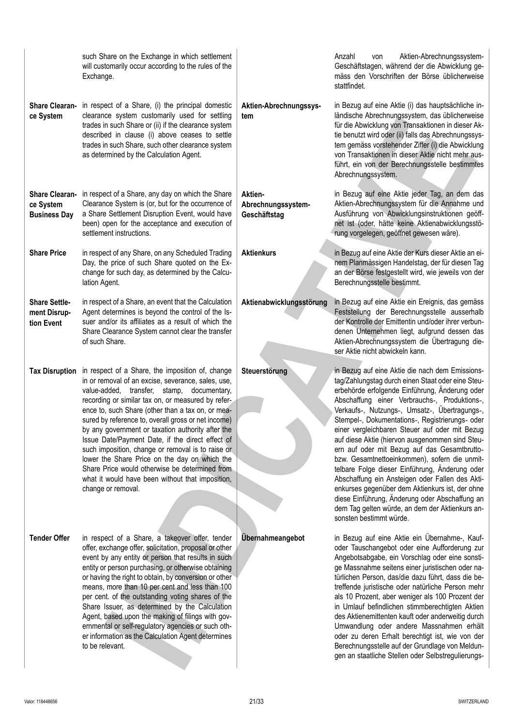| <b>Share Clearan-</b><br>ce System                        | such Share on the Exchange in which settlement<br>will customarily occur according to the rules of the<br>Exchange.<br>in respect of a Share, (i) the principal domestic<br>clearance system customarily used for settling<br>trades in such Share or (ii) if the clearance system<br>described in clause (i) above ceases to settle<br>trades in such Share, such other clearance system                                                                                                                                                                                                                                                                         | Aktien-Abrechnungssys-<br>tem                 | Aktien-Abrechnungssystem-<br>Anzahl<br>von<br>Geschäftstagen, während der die Abwicklung ge-<br>mäss den Vorschriften der Börse üblicherweise<br>stattfindet.<br>in Bezug auf eine Aktie (i) das hauptsächliche in-<br>ländische Abrechnungssystem, das üblicherweise<br>für die Abwicklung von Transaktionen in dieser Ak-<br>tie benutzt wird oder (ii) falls das Abrechnungssys-<br>tem gemäss vorstehender Ziffer (i) die Abwicklung                                                                                                                                                                                                                                                                                                                                                                 |
|-----------------------------------------------------------|-------------------------------------------------------------------------------------------------------------------------------------------------------------------------------------------------------------------------------------------------------------------------------------------------------------------------------------------------------------------------------------------------------------------------------------------------------------------------------------------------------------------------------------------------------------------------------------------------------------------------------------------------------------------|-----------------------------------------------|----------------------------------------------------------------------------------------------------------------------------------------------------------------------------------------------------------------------------------------------------------------------------------------------------------------------------------------------------------------------------------------------------------------------------------------------------------------------------------------------------------------------------------------------------------------------------------------------------------------------------------------------------------------------------------------------------------------------------------------------------------------------------------------------------------|
|                                                           | as determined by the Calculation Agent.                                                                                                                                                                                                                                                                                                                                                                                                                                                                                                                                                                                                                           |                                               | von Transaktionen in dieser Aktie nicht mehr aus-<br>führt, ein von der Berechnungsstelle bestimmtes<br>Abrechnungssystem.                                                                                                                                                                                                                                                                                                                                                                                                                                                                                                                                                                                                                                                                               |
| <b>Share Clearan-</b><br>ce System<br><b>Business Day</b> | in respect of a Share, any day on which the Share<br>Clearance System is (or, but for the occurrence of<br>a Share Settlement Disruption Event, would have<br>been) open for the acceptance and execution of<br>settlement instructions.                                                                                                                                                                                                                                                                                                                                                                                                                          | Aktien-<br>Abrechnungssystem-<br>Geschäftstag | in Bezug auf eine Aktie jeder Tag, an dem das<br>Aktien-Abrechnungssystem für die Annahme und<br>Ausführung von Abwicklungsinstruktionen geöff-<br>net ist (oder, hätte keine Aktienabwicklungsstö-<br>rung vorgelegen, geöffnet gewesen wäre).                                                                                                                                                                                                                                                                                                                                                                                                                                                                                                                                                          |
| <b>Share Price</b>                                        | in respect of any Share, on any Scheduled Trading<br>Day, the price of such Share quoted on the Ex-<br>change for such day, as determined by the Calcu-<br>lation Agent.                                                                                                                                                                                                                                                                                                                                                                                                                                                                                          | <b>Aktienkurs</b>                             | in Bezug auf eine Aktie der Kurs dieser Aktie an ei-<br>nem Planmässigen Handelstag, der für diesen Tag<br>an der Börse festgestellt wird, wie jeweils von der<br>Berechnungsstelle bestimmt.                                                                                                                                                                                                                                                                                                                                                                                                                                                                                                                                                                                                            |
| <b>Share Settle-</b><br>ment Disrup-<br>tion Event        | in respect of a Share, an event that the Calculation<br>Agent determines is beyond the control of the Is-<br>suer and/or its affiliates as a result of which the<br>Share Clearance System cannot clear the transfer<br>of such Share.                                                                                                                                                                                                                                                                                                                                                                                                                            | Aktienabwicklungsstörung                      | in Bezug auf eine Aktie ein Ereignis, das gemäss<br>Feststellung der Berechnungsstelle ausserhalb<br>der Kontrolle der Emittentin und/oder ihrer verbun-<br>denen Unternehmen liegt, aufgrund dessen das<br>Aktien-Abrechnungssystem die Übertragung die-<br>ser Aktie nicht abwickeln kann.                                                                                                                                                                                                                                                                                                                                                                                                                                                                                                             |
| <b>Tax Disruption</b>                                     | in respect of a Share, the imposition of, change<br>in or removal of an excise, severance, sales, use,<br>value-added, transfer, stamp, documentary,<br>recording or similar tax on, or measured by refer-<br>ence to, such Share (other than a tax on, or mea-<br>sured by reference to, overall gross or net income)<br>by any government or taxation authority after the<br>Issue Date/Payment Date, if the direct effect of<br>such imposition, change or removal is to raise or<br>lower the Share Price on the day on which the<br>Share Price would otherwise be determined from<br>what it would have been without that imposition,<br>change or removal. | Steuerstörung                                 | in Bezug auf eine Aktie die nach dem Emissions-<br>tag/Zahlungstag durch einen Staat oder eine Steu-<br>erbehörde erfolgende Einführung, Änderung oder<br>Abschaffung einer Verbrauchs-, Produktions-,<br>Verkaufs-, Nutzungs-, Umsatz-, Übertragungs-,<br>Stempel-, Dokumentations-, Registrierungs- oder<br>einer vergleichbaren Steuer auf oder mit Bezug<br>auf diese Aktie (hiervon ausgenommen sind Steu-<br>ern auf oder mit Bezug auf das Gesamtbrutto-<br>bzw. Gesamtnettoeinkommen), sofern die unmit-<br>telbare Folge dieser Einführung, Änderung oder<br>Abschaffung ein Ansteigen oder Fallen des Akti-<br>enkurses gegenüber dem Aktienkurs ist, der ohne<br>diese Einführung, Änderung oder Abschaffung an<br>dem Tag gelten würde, an dem der Aktienkurs an-<br>sonsten bestimmt würde. |
| <b>Tender Offer</b>                                       | in respect of a Share, a takeover offer, tender<br>offer, exchange offer, solicitation, proposal or other<br>event by any entity or person that results in such<br>entity or person purchasing, or otherwise obtaining<br>or having the right to obtain, by conversion or other<br>means, more than 10 per cent and less than 100<br>per cent. of the outstanding voting shares of the<br>Share Issuer, as determined by the Calculation<br>Agent, based upon the making of filings with gov-<br>ernmental or self-regulatory agencies or such oth-<br>er information as the Calculation Agent determines<br>to be relevant.                                      | Übernahmeangebot                              | in Bezug auf eine Aktie ein Übernahme-, Kauf-<br>oder Tauschangebot oder eine Aufforderung zur<br>Angebotsabgabe, ein Vorschlag oder eine sonsti-<br>ge Massnahme seitens einer juristischen oder na-<br>türlichen Person, das/die dazu führt, dass die be-<br>treffende juristische oder natürliche Person mehr<br>als 10 Prozent, aber weniger als 100 Prozent der<br>in Umlauf befindlichen stimmberechtigten Aktien<br>des Aktienemittenten kauft oder anderweitig durch<br>Umwandlung oder andere Massnahmen erhält<br>oder zu deren Erhalt berechtigt ist, wie von der<br>Berechnungsstelle auf der Grundlage von Meldun-<br>gen an staatliche Stellen oder Selbstregulierungs-                                                                                                                    |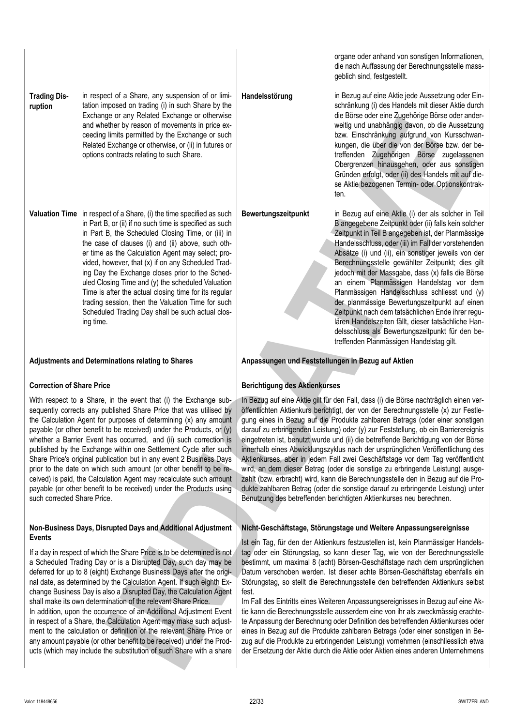| <b>Trading Dis-</b> | in respect of a Share, any suspension of or limi-<br>tation imposed on trading (i) in such Share by the |
|---------------------|---------------------------------------------------------------------------------------------------------|
| ruption             |                                                                                                         |
|                     | Exchange or any Related Exchange or otherwise                                                           |
|                     | and whether by reason of movements in price ex-                                                         |
|                     | ceeding limits permitted by the Exchange or such                                                        |
|                     | Related Exchange or otherwise, or (ii) in futures or                                                    |
|                     | options contracts relating to such Share.                                                               |

**Valuation Time** in respect of a Share, (i) the time specified as such in Part B, or (ii) if no such time is specified as such in Part B, the Scheduled Closing Time, or (iii) in the case of clauses (i) and (ii) above, such other time as the Calculation Agent may select; provided, however, that (x) if on any Scheduled Trading Day the Exchange closes prior to the Scheduled Closing Time and (y) the scheduled Valuation Time is after the actual closing time for its regular trading session, then the Valuation Time for such Scheduled Trading Day shall be such actual closing time.

### **Correction of Share Price**

With respect to a Share, in the event that (i) the Exchange subsequently corrects any published Share Price that was utilised by the Calculation Agent for purposes of determining (x) any amount payable (or other benefit to be received) under the Products, or (y) whether a Barrier Event has occurred, and (ii) such correction is published by the Exchange within one Settlement Cycle after such Share Price's original publication but in any event 2 Business Days prior to the date on which such amount (or other benefit to be received) is paid, the Calculation Agent may recalculate such amount payable (or other benefit to be received) under the Products using such corrected Share Price.

### **Non-Business Days, Disrupted Days and Additional Adjustment Events**

If a day in respect of which the Share Price is to be determined is not a Scheduled Trading Day or is a Disrupted Day, such day may be deferred for up to 8 (eight) Exchange Business Days after the original date, as determined by the Calculation Agent. If such eighth Exchange Business Day is also a Disrupted Day, the Calculation Agent shall make its own determination of the relevant Share Price.

In addition, upon the occurrence of an Additional Adjustment Event in respect of a Share, the Calculation Agent may make such adjustment to the calculation or definition of the relevant Share Price or any amount payable (or other benefit to be received) under the Products (which may include the substitution of such Share with a share organe oder anhand von sonstigen Informationen, die nach Auffassung der Berechnungsstelle massgeblich sind, festgestellt.

**Handelsstörung** in Bezug auf eine Aktie jede Aussetzung oder Einschränkung (i) des Handels mit dieser Aktie durch die Börse oder eine Zugehörige Börse oder anderweitig und unabhängig davon, ob die Aussetzung bzw. Einschränkung aufgrund von Kursschwankungen, die über die von der Börse bzw. der betreffenden Zugehörigen Börse zugelassenen Obergrenzen hinausgehen, oder aus sonstigen Gründen erfolgt, oder (ii) des Handels mit auf diese Aktie bezogenen Termin- oder Optionskontrakten.

**Bewertungszeitpunkt** in Bezug auf eine Aktie (i) der als solcher in Teil B angegebene Zeitpunkt oder (ii) falls kein solcher Zeitpunkt in Teil B angegeben ist, der Planmässige Handelsschluss, oder (iii) im Fall der vorstehenden Absätze (i) und (ii), ein sonstiger jeweils von der Berechnungsstelle gewählter Zeitpunkt; dies gilt jedoch mit der Massgabe, dass (x) falls die Börse an einem Planmässigen Handelstag vor dem Planmässigen Handelsschluss schliesst und (y) der planmässige Bewertungszeitpunkt auf einen Zeitpunkt nach dem tatsächlichen Ende ihrer regulären Handelszeiten fällt, dieser tatsächliche Handelsschluss als Bewertungszeitpunkt für den betreffenden Planmässigen Handelstag gilt.

### **Adjustments and Determinations relating to Shares Anpassungen und Feststellungen in Bezug auf Aktien**

### **Berichtigung des Aktienkurses**

In Bezug auf eine Aktie gilt für den Fall, dass (i) die Börse nachträglich einen veröffentlichten Aktienkurs berichtigt, der von der Berechnungsstelle (x) zur Festlegung eines in Bezug auf die Produkte zahlbaren Betrags (oder einer sonstigen darauf zu erbringenden Leistung) oder (y) zur Feststellung, ob ein Barrierereignis eingetreten ist, benutzt wurde und (ii) die betreffende Berichtigung von der Börse innerhalb eines Abwicklungszyklus nach der ursprünglichen Veröffentlichung des Aktienkurses, aber in jedem Fall zwei Geschäftstage vor dem Tag veröffentlicht wird, an dem dieser Betrag (oder die sonstige zu erbringende Leistung) ausgezahlt (bzw. erbracht) wird, kann die Berechnungsstelle den in Bezug auf die Produkte zahlbaren Betrag (oder die sonstige darauf zu erbringende Leistung) unter Benutzung des betreffenden berichtigten Aktienkurses neu berechnen. **EVERY THE CONFIDENTIAL CONFIDENTIAL CONFIDENTIAL CONFIDENTIAL CONFIDENTIAL CONFIDENTIAL CONFIDENTIAL CONFIDENTIAL CONFIDENTIAL CONFIDENTIAL CONFIDENTIAL CONFIDENTIAL CONFIDENTIAL CONFIDENTIAL CONFIDENTIAL CONFIDENTIAL CO** 

### **Nicht-Geschäftstage, Störungstage und Weitere Anpassungsereignisse**

Ist ein Tag, für den der Aktienkurs festzustellen ist, kein Planmässiger Handelstag oder ein Störungstag, so kann dieser Tag, wie von der Berechnungsstelle bestimmt, um maximal 8 (acht) Börsen-Geschäftstage nach dem ursprünglichen Datum verschoben werden. Ist dieser achte Börsen-Geschäftstag ebenfalls ein Störungstag, so stellt die Berechnungsstelle den betreffenden Aktienkurs selbst fest.

Im Fall des Eintritts eines Weiteren Anpassungsereignisses in Bezug auf eine Aktie kann die Berechnungsstelle ausserdem eine von ihr als zweckmässig erachtete Anpassung der Berechnung oder Definition des betreffenden Aktienkurses oder eines in Bezug auf die Produkte zahlbaren Betrags (oder einer sonstigen in Bezug auf die Produkte zu erbringenden Leistung) vornehmen (einschliesslich etwa der Ersetzung der Aktie durch die Aktie oder Aktien eines anderen Unternehmens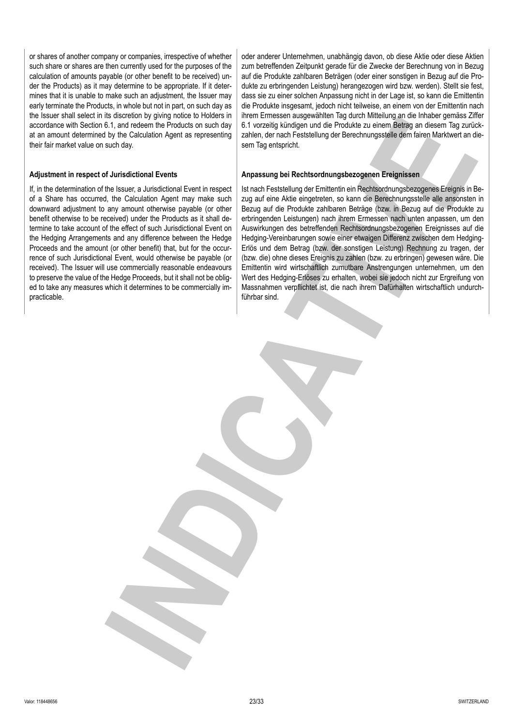or shares of another company or companies, irrespective of whether such share or shares are then currently used for the purposes of the calculation of amounts payable (or other benefit to be received) under the Products) as it may determine to be appropriate. If it determines that it is unable to make such an adjustment, the Issuer may early terminate the Products, in whole but not in part, on such day as the Issuer shall select in its discretion by giving notice to Holders in accordance with Section 6.1, and redeem the Products on such day at an amount determined by the Calculation Agent as representing their fair market value on such day.

### **Adjustment in respect of Jurisdictional Events**

If, in the determination of the Issuer, a Jurisdictional Event in respect of a Share has occurred, the Calculation Agent may make such downward adjustment to any amount otherwise payable (or other benefit otherwise to be received) under the Products as it shall determine to take account of the effect of such Jurisdictional Event on the Hedging Arrangements and any difference between the Hedge Proceeds and the amount (or other benefit) that, but for the occurrence of such Jurisdictional Event, would otherwise be payable (or received). The Issuer will use commercially reasonable endeavours to preserve the value of the Hedge Proceeds, but it shall not be obliged to take any measures which it determines to be commercially impracticable.

oder anderer Unternehmen, unabhängig davon, ob diese Aktie oder diese Aktien zum betreffenden Zeitpunkt gerade für die Zwecke der Berechnung von in Bezug auf die Produkte zahlbaren Beträgen (oder einer sonstigen in Bezug auf die Produkte zu erbringenden Leistung) herangezogen wird bzw. werden). Stellt sie fest, dass sie zu einer solchen Anpassung nicht in der Lage ist, so kann die Emittentin die Produkte insgesamt, jedoch nicht teilweise, an einem von der Emittentin nach ihrem Ermessen ausgewählten Tag durch Mitteilung an die Inhaber gemäss Ziffer 6.1 vorzeitig kündigen und die Produkte zu einem Betrag an diesem Tag zurückzahlen, der nach Feststellung der Berechnungsstelle dem fairen Marktwert an diesem Tag entspricht.

### **Anpassung bei Rechtsordnungsbezogenen Ereignissen**

Ist nach Feststellung der Emittentin ein Rechtsordnungsbezogenes Ereignis in Bezug auf eine Aktie eingetreten, so kann die Berechnungsstelle alle ansonsten in Bezug auf die Produkte zahlbaren Beträge (bzw. in Bezug auf die Produkte zu erbringenden Leistungen) nach ihrem Ermessen nach unten anpassen, um den Auswirkungen des betreffenden Rechtsordnungsbezogenen Ereignisses auf die Hedging-Vereinbarungen sowie einer etwaigen Differenz zwischen dem Hedging-Erlös und dem Betrag (bzw. der sonstigen Leistung) Rechnung zu tragen, der (bzw. die) ohne dieses Ereignis zu zahlen (bzw. zu erbringen) gewesen wäre. Die Emittentin wird wirtschaftlich zumutbare Anstrengungen unternehmen, um den Wert des Hedging-Erlöses zu erhalten, wobei sie jedoch nicht zur Ergreifung von Massnahmen verpflichtet ist, die nach ihrem Dafürhalten wirtschaftlich undurchführbar sind. **EXERCISE THE MANUFATURE IN CONSULTER AND INTERFERING CONSULTER AND INTERFERING CONSULTER AND INTERFERING CONSULTER AND INTERFERING CONSULTER AND INTERFERING CONSULTER AND INTERFERING CONSULTER AND INTERFERING CONSULTER AN**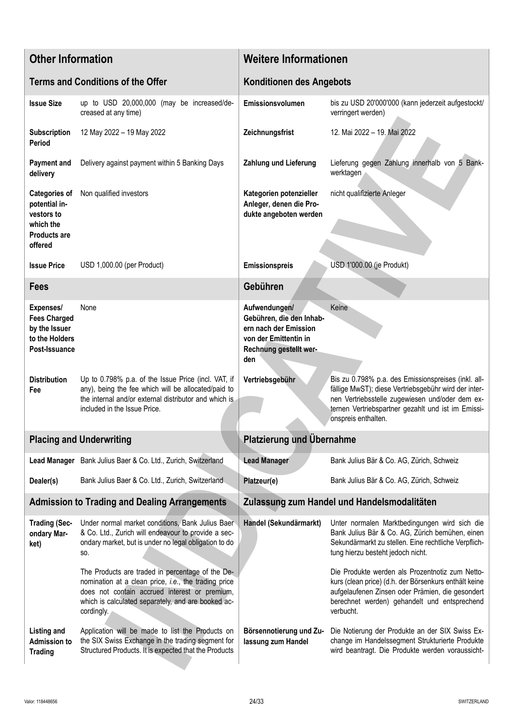| <b>Other Information</b>                                                                           |                                                                                                                                                                                                                               | <b>Weitere Informationen</b>                                                                                                 |                                                                                                                                                                                                                                             |  |
|----------------------------------------------------------------------------------------------------|-------------------------------------------------------------------------------------------------------------------------------------------------------------------------------------------------------------------------------|------------------------------------------------------------------------------------------------------------------------------|---------------------------------------------------------------------------------------------------------------------------------------------------------------------------------------------------------------------------------------------|--|
|                                                                                                    | <b>Terms and Conditions of the Offer</b>                                                                                                                                                                                      | <b>Konditionen des Angebots</b>                                                                                              |                                                                                                                                                                                                                                             |  |
| <b>Issue Size</b>                                                                                  | up to USD 20,000,000 (may be increased/de-<br>creased at any time)                                                                                                                                                            | Emissionsvolumen                                                                                                             | bis zu USD 20'000'000 (kann jederzeit aufgestockt/<br>verringert werden)                                                                                                                                                                    |  |
| Subscription<br>Period                                                                             | 12 May 2022 - 19 May 2022                                                                                                                                                                                                     | Zeichnungsfrist                                                                                                              | 12. Mai 2022 - 19. Mai 2022                                                                                                                                                                                                                 |  |
| <b>Payment and</b><br>delivery                                                                     | Delivery against payment within 5 Banking Days                                                                                                                                                                                | Zahlung und Lieferung                                                                                                        | Lieferung gegen Zahlung innerhalb von 5 Bank-<br>werktagen                                                                                                                                                                                  |  |
| <b>Categories of</b><br>potential in-<br>vestors to<br>which the<br><b>Products are</b><br>offered | Non qualified investors                                                                                                                                                                                                       | Kategorien potenzieller<br>Anleger, denen die Pro-<br>dukte angeboten werden                                                 | nicht qualifizierte Anleger                                                                                                                                                                                                                 |  |
| <b>Issue Price</b>                                                                                 | USD 1,000.00 (per Product)                                                                                                                                                                                                    | <b>Emissionspreis</b>                                                                                                        | USD 1'000.00 (je Produkt)                                                                                                                                                                                                                   |  |
| <b>Fees</b>                                                                                        |                                                                                                                                                                                                                               | Gebühren                                                                                                                     |                                                                                                                                                                                                                                             |  |
| Expenses/<br><b>Fees Charged</b><br>by the Issuer<br>to the Holders<br>Post-Issuance               | None                                                                                                                                                                                                                          | Aufwendungen/<br>Gebühren, die den Inhab-<br>ern nach der Emission<br>von der Emittentin in<br>Rechnung gestellt wer-<br>den | Keine                                                                                                                                                                                                                                       |  |
| <b>Distribution</b><br>Fee                                                                         | Up to 0.798% p.a. of the Issue Price (incl. VAT, if<br>any), being the fee which will be allocated/paid to<br>the internal and/or external distributor and which is<br>included in the Issue Price.                           | Vertriebsgebühr                                                                                                              | Bis zu 0.798% p.a. des Emissionspreises (inkl. all-<br>fällige MwST); diese Vertriebsgebühr wird der inter-<br>nen Vertriebsstelle zugewiesen und/oder dem ex-<br>ternen Vertriebspartner gezahlt und ist im Emissi-<br>onspreis enthalten. |  |
|                                                                                                    | <b>Placing and Underwriting</b>                                                                                                                                                                                               | <b>Platzierung und Übernahme</b>                                                                                             |                                                                                                                                                                                                                                             |  |
|                                                                                                    | Lead Manager Bank Julius Baer & Co. Ltd., Zurich, Switzerland                                                                                                                                                                 | <b>Lead Manager</b>                                                                                                          | Bank Julius Bär & Co. AG, Zürich, Schweiz                                                                                                                                                                                                   |  |
| Dealer(s)                                                                                          | Bank Julius Baer & Co. Ltd., Zurich, Switzerland.                                                                                                                                                                             | Platzeur(e)                                                                                                                  | Bank Julius Bär & Co. AG, Zürich, Schweiz                                                                                                                                                                                                   |  |
|                                                                                                    | <b>Admission to Trading and Dealing Arrangements</b>                                                                                                                                                                          |                                                                                                                              | Zulassung zum Handel und Handelsmodalitäten                                                                                                                                                                                                 |  |
| <b>Trading (Sec-</b><br>ondary Mar-<br>ket)                                                        | Under normal market conditions, Bank Julius Baer<br>& Co. Ltd., Zurich will endeavour to provide a sec-<br>ondary market, but is under no legal obligation to do<br>SO.                                                       | Handel (Sekundärmarkt)                                                                                                       | Unter normalen Marktbedingungen wird sich die<br>Bank Julius Bär & Co. AG, Zürich bemühen, einen<br>Sekundärmarkt zu stellen. Eine rechtliche Verpflich-<br>tung hierzu besteht jedoch nicht.                                               |  |
|                                                                                                    | The Products are traded in percentage of the De-<br>nomination at a clean price, i.e., the trading price<br>does not contain accrued interest or premium,<br>which is calculated separately, and are booked ac-<br>cordingly. |                                                                                                                              | Die Produkte werden als Prozentnotiz zum Netto-<br>kurs (clean price) (d.h. der Börsenkurs enthält keine<br>aufgelaufenen Zinsen oder Prämien, die gesondert<br>berechnet werden) gehandelt und entsprechend<br>verbucht.                   |  |
| <b>Listing and</b><br><b>Admission to</b><br><b>Trading</b>                                        | Application will be made to list the Products on<br>the SIX Swiss Exchange in the trading segment for<br>Structured Products. It is expected that the Products                                                                | Börsennotierung und Zu-<br>lassung zum Handel                                                                                | Die Notierung der Produkte an der SIX Swiss Ex-<br>change im Handelssegment Strukturierte Produkte<br>wird beantragt. Die Produkte werden voraussicht-                                                                                      |  |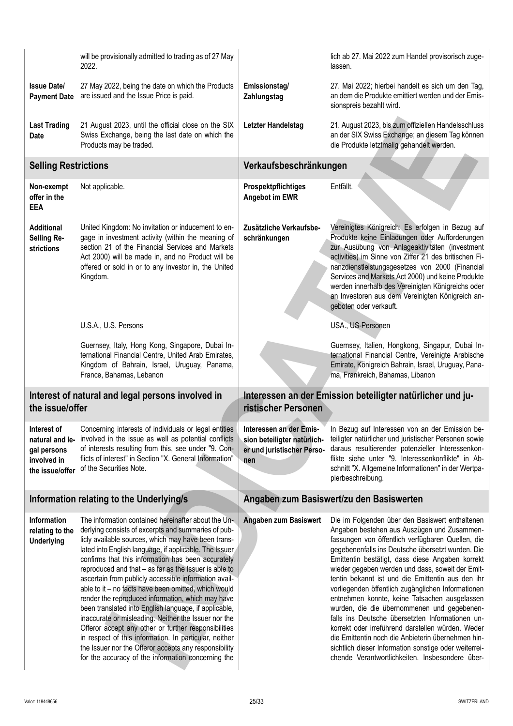|                                                                                                                                                                          | will be provisionally admitted to trading as of 27 May<br>2022.                                                                                                                                                                                                                                                                                                                                                                                                                                                                                                                                                                                                                                                                                                                                                                                                    |                                                                                             | lich ab 27. Mai 2022 zum Handel provisorisch zuge-<br>lassen.                                                                                                                                                                                                                                                                                                                                                                                                                                                                                                                                                                                                                                                                                                                                          |
|--------------------------------------------------------------------------------------------------------------------------------------------------------------------------|--------------------------------------------------------------------------------------------------------------------------------------------------------------------------------------------------------------------------------------------------------------------------------------------------------------------------------------------------------------------------------------------------------------------------------------------------------------------------------------------------------------------------------------------------------------------------------------------------------------------------------------------------------------------------------------------------------------------------------------------------------------------------------------------------------------------------------------------------------------------|---------------------------------------------------------------------------------------------|--------------------------------------------------------------------------------------------------------------------------------------------------------------------------------------------------------------------------------------------------------------------------------------------------------------------------------------------------------------------------------------------------------------------------------------------------------------------------------------------------------------------------------------------------------------------------------------------------------------------------------------------------------------------------------------------------------------------------------------------------------------------------------------------------------|
| <b>Issue Date/</b><br><b>Payment Date</b>                                                                                                                                | 27 May 2022, being the date on which the Products<br>are issued and the Issue Price is paid.                                                                                                                                                                                                                                                                                                                                                                                                                                                                                                                                                                                                                                                                                                                                                                       | Emissionstag/<br>Zahlungstag                                                                | 27. Mai 2022; hierbei handelt es sich um den Tag,<br>an dem die Produkte emittiert werden und der Emis-<br>sionspreis bezahlt wird.                                                                                                                                                                                                                                                                                                                                                                                                                                                                                                                                                                                                                                                                    |
| <b>Last Trading</b><br>21 August 2023, until the official close on the SIX<br>Swiss Exchange, being the last date on which the<br><b>Date</b><br>Products may be traded. |                                                                                                                                                                                                                                                                                                                                                                                                                                                                                                                                                                                                                                                                                                                                                                                                                                                                    | Letzter Handelstag                                                                          | 21. August 2023, bis zum offiziellen Handelsschluss<br>an der SIX Swiss Exchange; an diesem Tag können<br>die Produkte letztmalig gehandelt werden.                                                                                                                                                                                                                                                                                                                                                                                                                                                                                                                                                                                                                                                    |
| <b>Selling Restrictions</b>                                                                                                                                              |                                                                                                                                                                                                                                                                                                                                                                                                                                                                                                                                                                                                                                                                                                                                                                                                                                                                    | Verkaufsbeschränkungen                                                                      |                                                                                                                                                                                                                                                                                                                                                                                                                                                                                                                                                                                                                                                                                                                                                                                                        |
| Non-exempt<br>offer in the<br><b>EEA</b>                                                                                                                                 | Not applicable.                                                                                                                                                                                                                                                                                                                                                                                                                                                                                                                                                                                                                                                                                                                                                                                                                                                    | Prospektpflichtiges<br>Angebot im EWR                                                       | Entfällt.                                                                                                                                                                                                                                                                                                                                                                                                                                                                                                                                                                                                                                                                                                                                                                                              |
| <b>Additional</b><br>Selling Re-<br>strictions                                                                                                                           | United Kingdom: No invitation or inducement to en-<br>gage in investment activity (within the meaning of<br>section 21 of the Financial Services and Markets<br>Act 2000) will be made in, and no Product will be<br>offered or sold in or to any investor in, the United<br>Kingdom.                                                                                                                                                                                                                                                                                                                                                                                                                                                                                                                                                                              | Zusätzliche Verkaufsbe-<br>schränkungen                                                     | Vereinigtes Königreich: Es erfolgen in Bezug auf<br>Produkte keine Einladungen oder Aufforderungen<br>zur Ausübung von Anlageaktivitäten (investment<br>activities) im Sinne von Ziffer 21 des britischen Fi-<br>nanzdienstleistungsgesetzes von 2000 (Financial<br>Services and Markets Act 2000) und keine Produkte<br>werden innerhalb des Vereinigten Königreichs oder<br>an Investoren aus dem Vereinigten Königreich an-<br>geboten oder verkauft.                                                                                                                                                                                                                                                                                                                                               |
|                                                                                                                                                                          | U.S.A., U.S. Persons                                                                                                                                                                                                                                                                                                                                                                                                                                                                                                                                                                                                                                                                                                                                                                                                                                               |                                                                                             | USA., US-Personen                                                                                                                                                                                                                                                                                                                                                                                                                                                                                                                                                                                                                                                                                                                                                                                      |
|                                                                                                                                                                          | Guernsey, Italy, Hong Kong, Singapore, Dubai In-<br>ternational Financial Centre, United Arab Emirates,<br>Kingdom of Bahrain, Israel, Uruguay, Panama,<br>France, Bahamas, Lebanon                                                                                                                                                                                                                                                                                                                                                                                                                                                                                                                                                                                                                                                                                |                                                                                             | Guernsey, Italien, Hongkong, Singapur, Dubai In-<br>ternational Financial Centre, Vereinigte Arabische<br>Emirate, Königreich Bahrain, Israel, Uruguay, Pana-<br>ma, Frankreich, Bahamas, Libanon                                                                                                                                                                                                                                                                                                                                                                                                                                                                                                                                                                                                      |
| the issue/offer                                                                                                                                                          | Interest of natural and legal persons involved in                                                                                                                                                                                                                                                                                                                                                                                                                                                                                                                                                                                                                                                                                                                                                                                                                  | Interessen an der Emission beteiligter natürlicher und ju-<br>ristischer Personen           |                                                                                                                                                                                                                                                                                                                                                                                                                                                                                                                                                                                                                                                                                                                                                                                                        |
| Interest of<br>natural and le-<br>gal persons<br>involved in<br>the issue/offer                                                                                          | Concerning interests of individuals or legal entities<br>involved in the issue as well as potential conflicts<br>of interests resulting from this, see under "9. Con-<br>flicts of interest" in Section "X. General Information"<br>of the Securities Note.                                                                                                                                                                                                                                                                                                                                                                                                                                                                                                                                                                                                        | Interessen an der Emis-<br>sion beteiligter natürlich-<br>er und juristischer Perso-<br>nen | In Bezug auf Interessen von an der Emission be-<br>teiligter natürlicher und juristischer Personen sowie<br>daraus resultierender potenzieller Interessenkon-<br>flikte siehe unter "9. Interessenkonflikte" in Ab-<br>schnitt "X. Allgemeine Informationen" in der Wertpa-<br>pierbeschreibung.                                                                                                                                                                                                                                                                                                                                                                                                                                                                                                       |
|                                                                                                                                                                          | Information relating to the Underlying/s                                                                                                                                                                                                                                                                                                                                                                                                                                                                                                                                                                                                                                                                                                                                                                                                                           | Angaben zum Basiswert/zu den Basiswerten                                                    |                                                                                                                                                                                                                                                                                                                                                                                                                                                                                                                                                                                                                                                                                                                                                                                                        |
| <b>Information</b><br>relating to the<br><b>Underlying</b>                                                                                                               | The information contained hereinafter about the Un-<br>derlying consists of excerpts and summaries of pub-<br>licly available sources, which may have been trans-<br>lated into English language, if applicable. The Issuer<br>confirms that this information has been accurately<br>reproduced and that - as far as the Issuer is able to<br>ascertain from publicly accessible information avail-<br>able to it - no facts have been omitted, which would<br>render the reproduced information, which may have<br>been translated into English language, if applicable,<br>inaccurate or misleading. Neither the Issuer nor the<br>Offeror accept any other or further responsibilities<br>in respect of this information. In particular, neither<br>the Issuer nor the Offeror accepts any responsibility<br>for the accuracy of the information concerning the | Angaben zum Basiswert                                                                       | Die im Folgenden über den Basiswert enthaltenen<br>Angaben bestehen aus Auszügen und Zusammen-<br>fassungen von öffentlich verfügbaren Quellen, die<br>gegebenenfalls ins Deutsche übersetzt wurden. Die<br>Emittentin bestätigt, dass diese Angaben korrekt<br>wieder gegeben werden und dass, soweit der Emit-<br>tentin bekannt ist und die Emittentin aus den ihr<br>vorliegenden öffentlich zugänglichen Informationen<br>entnehmen konnte, keine Tatsachen ausgelassen<br>wurden, die die übernommenen und gegebenen-<br>falls ins Deutsche übersetzten Informationen un-<br>korrekt oder irreführend darstellen würden. Weder<br>die Emittentin noch die Anbieterin übernehmen hin-<br>sichtlich dieser Information sonstige oder weiterrei-<br>chende Verantwortlichkeiten. Insbesondere über- |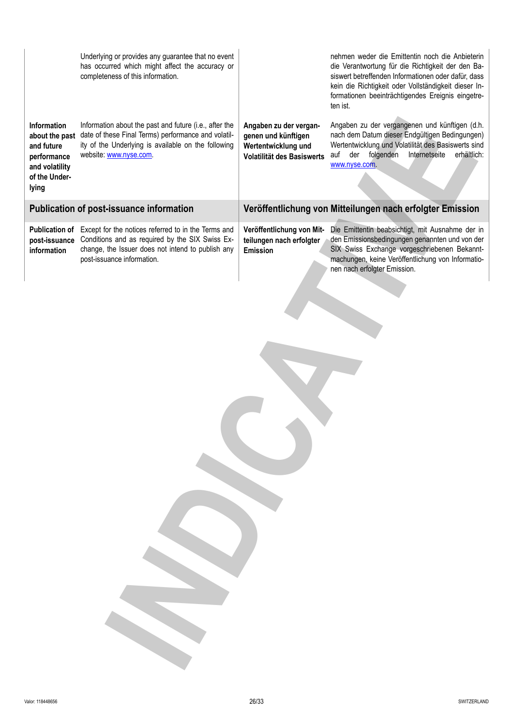| Information<br>about the past<br>and future<br>performance<br>and volatility<br>of the Under-<br>lying | Underlying or provides any guarantee that no event<br>has occurred which might affect the accuracy or<br>completeness of this information.<br>Information about the past and future (i.e., after the<br>date of these Final Terms) performance and volatil-<br>ity of the Underlying is available on the following<br>website: www.nyse.com. | Angaben zu der vergan-<br>genen und künftigen<br>Wertentwicklung und<br>Volatilität des Basiswerts | nehmen weder die Emittentin noch die Anbieterin<br>die Verantwortung für die Richtigkeit der den Ba-<br>siswert betreffenden Informationen oder dafür, dass<br>kein die Richtigkeit oder Vollständigkeit dieser In-<br>formationen beeinträchtigendes Ereignis eingetre-<br>ten ist.<br>Angaben zu der vergangenen und künftigen (d.h.<br>nach dem Datum dieser Endgültigen Bedingungen)<br>Wertentwicklung und Volatilität des Basiswerts sind<br>auf der folgenden<br>Internetseite<br>erhältlich:<br>www.nyse.com |
|--------------------------------------------------------------------------------------------------------|----------------------------------------------------------------------------------------------------------------------------------------------------------------------------------------------------------------------------------------------------------------------------------------------------------------------------------------------|----------------------------------------------------------------------------------------------------|----------------------------------------------------------------------------------------------------------------------------------------------------------------------------------------------------------------------------------------------------------------------------------------------------------------------------------------------------------------------------------------------------------------------------------------------------------------------------------------------------------------------|
|                                                                                                        | Publication of post-issuance information                                                                                                                                                                                                                                                                                                     |                                                                                                    | Veröffentlichung von Mitteilungen nach erfolgter Emission                                                                                                                                                                                                                                                                                                                                                                                                                                                            |
| <b>Publication of</b><br>post-issuance<br>information                                                  | Except for the notices referred to in the Terms and<br>Conditions and as required by the SIX Swiss Ex-<br>change, the Issuer does not intend to publish any<br>post-issuance information.                                                                                                                                                    | Veröffentlichung von Mit-<br>teilungen nach erfolgter<br>Emission                                  | Die Emittentin beabsichtigt, mit Ausnahme der in<br>den Emissionsbedingungen genannten und von der<br>SIX Swiss Exchange vorgeschriebenen Bekannt-<br>machungen, keine Veröffentlichung von Informatio-<br>nen nach erfolgter Emission.                                                                                                                                                                                                                                                                              |
|                                                                                                        |                                                                                                                                                                                                                                                                                                                                              |                                                                                                    |                                                                                                                                                                                                                                                                                                                                                                                                                                                                                                                      |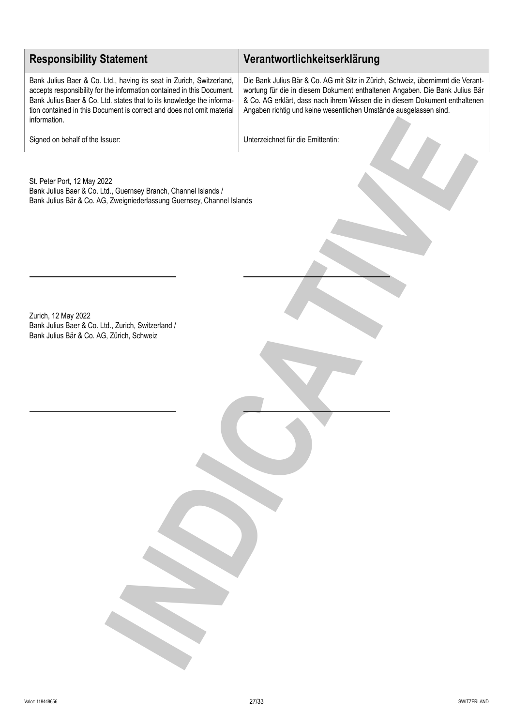# **Responsibility Statement Verantwortlichkeitserklärung**

Bank Julius Baer & Co. Ltd., having its seat in Zurich, Switzerland, accepts responsibility for the information contained in this Document. Bank Julius Baer & Co. Ltd. states that to its knowledge the information contained in this Document is correct and does not omit material information.

Die Bank Julius Bär & Co. AG mit Sitz in Zürich, Schweiz, übernimmt die Verantwortung für die in diesem Dokument enthaltenen Angaben. Die Bank Julius Bär & Co. AG erklärt, dass nach ihrem Wissen die in diesem Dokument enthaltenen Angaben richtig und keine wesentlichen Umstände ausgelassen sind.

Signed on behalf of the Issuer: Unterzeichnet für die Emittentin:

St. Peter Port, 12 May 2022 Bank Julius Baer & Co. Ltd., Guernsey Branch, Channel Islands / Bank Julius Bär & Co. AG, Zweigniederlassung Guernsey, Channel Islands **INDICATIVE**

Zurich, 12 May 2022 Bank Julius Baer & Co. Ltd., Zurich, Switzerland / Bank Julius Bär & Co. AG, Zürich, Schweiz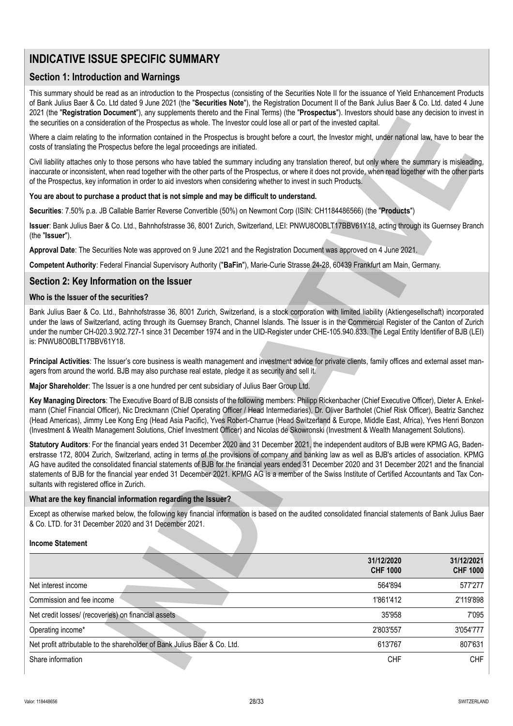# **INDICATIVE ISSUE SPECIFIC SUMMARY**

# **Section 1: Introduction and Warnings**

This summary should be read as an introduction to the Prospectus (consisting of the Securities Note II for the issuance of Yield Enhancement Products of Bank Julius Baer & Co. Ltd dated 9 June 2021 (the "**Securities Note**"), the Registration Document II of the Bank Julius Baer & Co. Ltd. dated 4 June 2021 (the "**Registration Document**"), any supplements thereto and the Final Terms) (the "**Prospectus**"). Investors should base any decision to invest in the securities on a consideration of the Prospectus as whole. The Investor could lose all or part of the invested capital.

### **You are about to purchase a product that is not simple and may be difficult to understand.**

# **Section 2: Key Information on the Issuer**

### **Who is the Issuer of the securities?**

### **What are the key financial information regarding the Issuer?**

### **Income Statement**

| the securities on a consideration of the Prospectus as whole. The Investor could lose all or part of the invested capital.                                                                                                                                                                                                                                                                                                                                                                                                                                                                                            |                                                                                                                                                                                                                                                                                                                                                                                                                                                                                                                                                                                                                                                                                                                                                                                                                                                                                                                                                                                                                                                                                                                                                                                                                                                                                                                                                                                                                                                                                                                                                                                                                                          |  |  |  |
|-----------------------------------------------------------------------------------------------------------------------------------------------------------------------------------------------------------------------------------------------------------------------------------------------------------------------------------------------------------------------------------------------------------------------------------------------------------------------------------------------------------------------------------------------------------------------------------------------------------------------|------------------------------------------------------------------------------------------------------------------------------------------------------------------------------------------------------------------------------------------------------------------------------------------------------------------------------------------------------------------------------------------------------------------------------------------------------------------------------------------------------------------------------------------------------------------------------------------------------------------------------------------------------------------------------------------------------------------------------------------------------------------------------------------------------------------------------------------------------------------------------------------------------------------------------------------------------------------------------------------------------------------------------------------------------------------------------------------------------------------------------------------------------------------------------------------------------------------------------------------------------------------------------------------------------------------------------------------------------------------------------------------------------------------------------------------------------------------------------------------------------------------------------------------------------------------------------------------------------------------------------------------|--|--|--|
| Where a claim relating to the information contained in the Prospectus is brought before a court, the Investor might, under national law, have to bear the<br>costs of translating the Prospectus before the legal proceedings are initiated.                                                                                                                                                                                                                                                                                                                                                                          |                                                                                                                                                                                                                                                                                                                                                                                                                                                                                                                                                                                                                                                                                                                                                                                                                                                                                                                                                                                                                                                                                                                                                                                                                                                                                                                                                                                                                                                                                                                                                                                                                                          |  |  |  |
|                                                                                                                                                                                                                                                                                                                                                                                                                                                                                                                                                                                                                       |                                                                                                                                                                                                                                                                                                                                                                                                                                                                                                                                                                                                                                                                                                                                                                                                                                                                                                                                                                                                                                                                                                                                                                                                                                                                                                                                                                                                                                                                                                                                                                                                                                          |  |  |  |
|                                                                                                                                                                                                                                                                                                                                                                                                                                                                                                                                                                                                                       |                                                                                                                                                                                                                                                                                                                                                                                                                                                                                                                                                                                                                                                                                                                                                                                                                                                                                                                                                                                                                                                                                                                                                                                                                                                                                                                                                                                                                                                                                                                                                                                                                                          |  |  |  |
|                                                                                                                                                                                                                                                                                                                                                                                                                                                                                                                                                                                                                       |                                                                                                                                                                                                                                                                                                                                                                                                                                                                                                                                                                                                                                                                                                                                                                                                                                                                                                                                                                                                                                                                                                                                                                                                                                                                                                                                                                                                                                                                                                                                                                                                                                          |  |  |  |
|                                                                                                                                                                                                                                                                                                                                                                                                                                                                                                                                                                                                                       |                                                                                                                                                                                                                                                                                                                                                                                                                                                                                                                                                                                                                                                                                                                                                                                                                                                                                                                                                                                                                                                                                                                                                                                                                                                                                                                                                                                                                                                                                                                                                                                                                                          |  |  |  |
|                                                                                                                                                                                                                                                                                                                                                                                                                                                                                                                                                                                                                       |                                                                                                                                                                                                                                                                                                                                                                                                                                                                                                                                                                                                                                                                                                                                                                                                                                                                                                                                                                                                                                                                                                                                                                                                                                                                                                                                                                                                                                                                                                                                                                                                                                          |  |  |  |
|                                                                                                                                                                                                                                                                                                                                                                                                                                                                                                                                                                                                                       |                                                                                                                                                                                                                                                                                                                                                                                                                                                                                                                                                                                                                                                                                                                                                                                                                                                                                                                                                                                                                                                                                                                                                                                                                                                                                                                                                                                                                                                                                                                                                                                                                                          |  |  |  |
|                                                                                                                                                                                                                                                                                                                                                                                                                                                                                                                                                                                                                       |                                                                                                                                                                                                                                                                                                                                                                                                                                                                                                                                                                                                                                                                                                                                                                                                                                                                                                                                                                                                                                                                                                                                                                                                                                                                                                                                                                                                                                                                                                                                                                                                                                          |  |  |  |
|                                                                                                                                                                                                                                                                                                                                                                                                                                                                                                                                                                                                                       |                                                                                                                                                                                                                                                                                                                                                                                                                                                                                                                                                                                                                                                                                                                                                                                                                                                                                                                                                                                                                                                                                                                                                                                                                                                                                                                                                                                                                                                                                                                                                                                                                                          |  |  |  |
|                                                                                                                                                                                                                                                                                                                                                                                                                                                                                                                                                                                                                       |                                                                                                                                                                                                                                                                                                                                                                                                                                                                                                                                                                                                                                                                                                                                                                                                                                                                                                                                                                                                                                                                                                                                                                                                                                                                                                                                                                                                                                                                                                                                                                                                                                          |  |  |  |
|                                                                                                                                                                                                                                                                                                                                                                                                                                                                                                                                                                                                                       |                                                                                                                                                                                                                                                                                                                                                                                                                                                                                                                                                                                                                                                                                                                                                                                                                                                                                                                                                                                                                                                                                                                                                                                                                                                                                                                                                                                                                                                                                                                                                                                                                                          |  |  |  |
|                                                                                                                                                                                                                                                                                                                                                                                                                                                                                                                                                                                                                       |                                                                                                                                                                                                                                                                                                                                                                                                                                                                                                                                                                                                                                                                                                                                                                                                                                                                                                                                                                                                                                                                                                                                                                                                                                                                                                                                                                                                                                                                                                                                                                                                                                          |  |  |  |
|                                                                                                                                                                                                                                                                                                                                                                                                                                                                                                                                                                                                                       |                                                                                                                                                                                                                                                                                                                                                                                                                                                                                                                                                                                                                                                                                                                                                                                                                                                                                                                                                                                                                                                                                                                                                                                                                                                                                                                                                                                                                                                                                                                                                                                                                                          |  |  |  |
| Key Managing Directors: The Executive Board of BJB consists of the following members: Philipp Rickenbacher (Chief Executive Officer), Dieter A. Enkel-<br>mann (Chief Financial Officer), Nic Dreckmann (Chief Operating Officer / Head Intermediaries), Dr. Oliver Bartholet (Chief Risk Officer), Beatriz Sanchez<br>(Head Americas), Jimmy Lee Kong Eng (Head Asia Pacific), Yves Robert-Charrue (Head Switzerland & Europe, Middle East, Africa), Yves Henri Bonzon<br>(Investment & Wealth Management Solutions, Chief Investment Officer) and Nicolas de Skowronski (Investment & Wealth Management Solutions). |                                                                                                                                                                                                                                                                                                                                                                                                                                                                                                                                                                                                                                                                                                                                                                                                                                                                                                                                                                                                                                                                                                                                                                                                                                                                                                                                                                                                                                                                                                                                                                                                                                          |  |  |  |
| Statutory Auditors: For the financial years ended 31 December 2020 and 31 December 2021, the independent auditors of BJB were KPMG AG, Baden-<br>erstrasse 172, 8004 Zurich, Switzerland, acting in terms of the provisions of company and banking law as well as BJB's articles of association. KPMG<br>AG have audited the consolidated financial statements of BJB for the financial years ended 31 December 2020 and 31 December 2021 and the financial<br>statements of BJB for the financial year ended 31 December 2021. KPMG AG is a member of the Swiss Institute of Certified Accountants and Tax Con-      |                                                                                                                                                                                                                                                                                                                                                                                                                                                                                                                                                                                                                                                                                                                                                                                                                                                                                                                                                                                                                                                                                                                                                                                                                                                                                                                                                                                                                                                                                                                                                                                                                                          |  |  |  |
|                                                                                                                                                                                                                                                                                                                                                                                                                                                                                                                                                                                                                       |                                                                                                                                                                                                                                                                                                                                                                                                                                                                                                                                                                                                                                                                                                                                                                                                                                                                                                                                                                                                                                                                                                                                                                                                                                                                                                                                                                                                                                                                                                                                                                                                                                          |  |  |  |
| Except as otherwise marked below, the following key financial information is based on the audited consolidated financial statements of Bank Julius Baer                                                                                                                                                                                                                                                                                                                                                                                                                                                               |                                                                                                                                                                                                                                                                                                                                                                                                                                                                                                                                                                                                                                                                                                                                                                                                                                                                                                                                                                                                                                                                                                                                                                                                                                                                                                                                                                                                                                                                                                                                                                                                                                          |  |  |  |
|                                                                                                                                                                                                                                                                                                                                                                                                                                                                                                                                                                                                                       |                                                                                                                                                                                                                                                                                                                                                                                                                                                                                                                                                                                                                                                                                                                                                                                                                                                                                                                                                                                                                                                                                                                                                                                                                                                                                                                                                                                                                                                                                                                                                                                                                                          |  |  |  |
| 31/12/2020<br><b>CHF 1000</b>                                                                                                                                                                                                                                                                                                                                                                                                                                                                                                                                                                                         | 31/12/2021<br><b>CHF 1000</b>                                                                                                                                                                                                                                                                                                                                                                                                                                                                                                                                                                                                                                                                                                                                                                                                                                                                                                                                                                                                                                                                                                                                                                                                                                                                                                                                                                                                                                                                                                                                                                                                            |  |  |  |
| 564'894                                                                                                                                                                                                                                                                                                                                                                                                                                                                                                                                                                                                               | 577'277                                                                                                                                                                                                                                                                                                                                                                                                                                                                                                                                                                                                                                                                                                                                                                                                                                                                                                                                                                                                                                                                                                                                                                                                                                                                                                                                                                                                                                                                                                                                                                                                                                  |  |  |  |
| 1'861'412                                                                                                                                                                                                                                                                                                                                                                                                                                                                                                                                                                                                             | 2'119'898                                                                                                                                                                                                                                                                                                                                                                                                                                                                                                                                                                                                                                                                                                                                                                                                                                                                                                                                                                                                                                                                                                                                                                                                                                                                                                                                                                                                                                                                                                                                                                                                                                |  |  |  |
| 35'958                                                                                                                                                                                                                                                                                                                                                                                                                                                                                                                                                                                                                | 7'095                                                                                                                                                                                                                                                                                                                                                                                                                                                                                                                                                                                                                                                                                                                                                                                                                                                                                                                                                                                                                                                                                                                                                                                                                                                                                                                                                                                                                                                                                                                                                                                                                                    |  |  |  |
| 2'803'557                                                                                                                                                                                                                                                                                                                                                                                                                                                                                                                                                                                                             | 3'054'777                                                                                                                                                                                                                                                                                                                                                                                                                                                                                                                                                                                                                                                                                                                                                                                                                                                                                                                                                                                                                                                                                                                                                                                                                                                                                                                                                                                                                                                                                                                                                                                                                                |  |  |  |
| 613'767                                                                                                                                                                                                                                                                                                                                                                                                                                                                                                                                                                                                               | 807'631                                                                                                                                                                                                                                                                                                                                                                                                                                                                                                                                                                                                                                                                                                                                                                                                                                                                                                                                                                                                                                                                                                                                                                                                                                                                                                                                                                                                                                                                                                                                                                                                                                  |  |  |  |
|                                                                                                                                                                                                                                                                                                                                                                                                                                                                                                                                                                                                                       | Civil liability attaches only to those persons who have tabled the summary including any translation thereof, but only where the summary is misleading,<br>inaccurate or inconsistent, when read together with the other parts of the Prospectus, or where it does not provide, when read together with the other parts<br>of the Prospectus, key information in order to aid investors when considering whether to invest in such Products.<br>Securities: 7.50% p.a. JB Callable Barrier Reverse Convertible (50%) on Newmont Corp (ISIN: CH1184486566) (the "Products")<br>Issuer: Bank Julius Baer & Co. Ltd., Bahnhofstrasse 36, 8001 Zurich, Switzerland, LEI: PNWU8O0BLT17BBV61Y18, acting through its Guernsey Branch<br>Approval Date: The Securities Note was approved on 9 June 2021 and the Registration Document was approved on 4 June 2021.<br>Competent Authority: Federal Financial Supervisory Authority ("BaFin"), Marie-Curie Strasse 24-28, 60439 Frankfurt am Main, Germany.<br>Bank Julius Baer & Co. Ltd., Bahnhofstrasse 36, 8001 Zurich, Switzerland, is a stock corporation with limited liability (Aktiengesellschaft) incorporated<br>under the laws of Switzerland, acting through its Guernsey Branch, Channel Islands. The Issuer is in the Commercial Register of the Canton of Zurich<br>under the number CH-020.3.902.727-1 since 31 December 1974 and in the UID-Register under CHE-105.940.833. The Legal Entity Identifier of BJB (LEI)<br>Principal Activities: The Issuer's core business is wealth management and investment advice for private clients, family offices and external asset man- |  |  |  |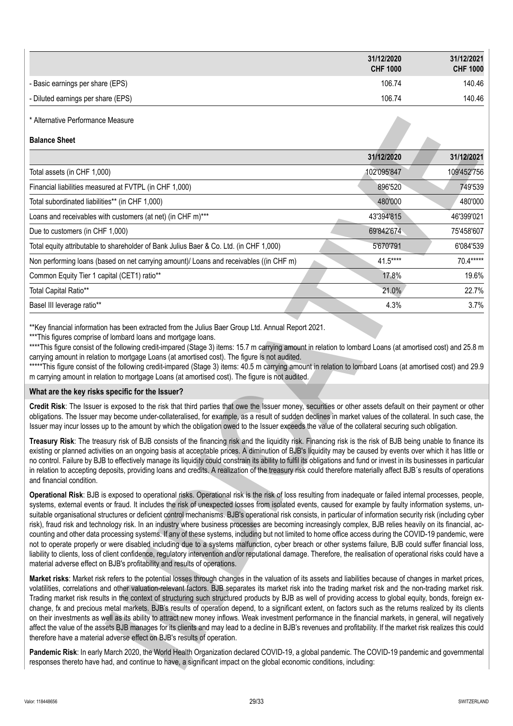|                                                                                                                                                                                                                                                                                                                                                                                                                                                                                                                                                                                                                                                                                                                                                                                                                                                                                                                                                                                                                                                                                                                                                                                                                                    | 31/12/2020<br><b>CHF 1000</b> | 31/12/2021<br><b>CHF 1000</b> |
|------------------------------------------------------------------------------------------------------------------------------------------------------------------------------------------------------------------------------------------------------------------------------------------------------------------------------------------------------------------------------------------------------------------------------------------------------------------------------------------------------------------------------------------------------------------------------------------------------------------------------------------------------------------------------------------------------------------------------------------------------------------------------------------------------------------------------------------------------------------------------------------------------------------------------------------------------------------------------------------------------------------------------------------------------------------------------------------------------------------------------------------------------------------------------------------------------------------------------------|-------------------------------|-------------------------------|
| - Basic earnings per share (EPS)                                                                                                                                                                                                                                                                                                                                                                                                                                                                                                                                                                                                                                                                                                                                                                                                                                                                                                                                                                                                                                                                                                                                                                                                   | 106.74                        | 140.46                        |
| - Diluted earnings per share (EPS)                                                                                                                                                                                                                                                                                                                                                                                                                                                                                                                                                                                                                                                                                                                                                                                                                                                                                                                                                                                                                                                                                                                                                                                                 | 106.74                        | 140.46                        |
| * Alternative Performance Measure                                                                                                                                                                                                                                                                                                                                                                                                                                                                                                                                                                                                                                                                                                                                                                                                                                                                                                                                                                                                                                                                                                                                                                                                  |                               |                               |
| <b>Balance Sheet</b>                                                                                                                                                                                                                                                                                                                                                                                                                                                                                                                                                                                                                                                                                                                                                                                                                                                                                                                                                                                                                                                                                                                                                                                                               |                               |                               |
|                                                                                                                                                                                                                                                                                                                                                                                                                                                                                                                                                                                                                                                                                                                                                                                                                                                                                                                                                                                                                                                                                                                                                                                                                                    | 31/12/2020                    | 31/12/2021                    |
| Total assets (in CHF 1,000)                                                                                                                                                                                                                                                                                                                                                                                                                                                                                                                                                                                                                                                                                                                                                                                                                                                                                                                                                                                                                                                                                                                                                                                                        | 102'095'847                   | 109'452'756                   |
| Financial liabilities measured at FVTPL (in CHF 1,000)                                                                                                                                                                                                                                                                                                                                                                                                                                                                                                                                                                                                                                                                                                                                                                                                                                                                                                                                                                                                                                                                                                                                                                             | 896'520                       | 749'539                       |
| Total subordinated liabilities** (in CHF 1,000)                                                                                                                                                                                                                                                                                                                                                                                                                                                                                                                                                                                                                                                                                                                                                                                                                                                                                                                                                                                                                                                                                                                                                                                    | 480'000                       | 480'000                       |
| Loans and receivables with customers (at net) (in CHF m)***                                                                                                                                                                                                                                                                                                                                                                                                                                                                                                                                                                                                                                                                                                                                                                                                                                                                                                                                                                                                                                                                                                                                                                        | 43'394'815                    | 46'399'021                    |
| Due to customers (in CHF 1,000)                                                                                                                                                                                                                                                                                                                                                                                                                                                                                                                                                                                                                                                                                                                                                                                                                                                                                                                                                                                                                                                                                                                                                                                                    | 69'842'674                    | 75'458'607                    |
| Total equity attributable to shareholder of Bank Julius Baer & Co. Ltd. (in CHF 1,000)                                                                                                                                                                                                                                                                                                                                                                                                                                                                                                                                                                                                                                                                                                                                                                                                                                                                                                                                                                                                                                                                                                                                             | 5'670'791                     | 6'084'539                     |
| Non performing loans (based on net carrying amount)/ Loans and receivables ((in CHF m)                                                                                                                                                                                                                                                                                                                                                                                                                                                                                                                                                                                                                                                                                                                                                                                                                                                                                                                                                                                                                                                                                                                                             | 41.5****                      | 70.4*****                     |
| Common Equity Tier 1 capital (CET1) ratio**                                                                                                                                                                                                                                                                                                                                                                                                                                                                                                                                                                                                                                                                                                                                                                                                                                                                                                                                                                                                                                                                                                                                                                                        | 17.8%                         | 19.6%                         |
| Total Capital Ratio**                                                                                                                                                                                                                                                                                                                                                                                                                                                                                                                                                                                                                                                                                                                                                                                                                                                                                                                                                                                                                                                                                                                                                                                                              | 21.0%                         | 22.7%                         |
| Basel III leverage ratio**                                                                                                                                                                                                                                                                                                                                                                                                                                                                                                                                                                                                                                                                                                                                                                                                                                                                                                                                                                                                                                                                                                                                                                                                         | 4.3%                          | 3.7%                          |
| m carrying amount in relation to mortgage Loans (at amortised cost). The figure is not audited.<br>What are the key risks specific for the Issuer?                                                                                                                                                                                                                                                                                                                                                                                                                                                                                                                                                                                                                                                                                                                                                                                                                                                                                                                                                                                                                                                                                 |                               |                               |
| Credit Risk: The Issuer is exposed to the risk that third parties that owe the Issuer money, securities or other assets default on their payment or other<br>obligations. The Issuer may become under-collateralised, for example, as a result of sudden declines in market values of the collateral. In such case, the<br>Issuer may incur losses up to the amount by which the obligation owed to the Issuer exceeds the value of the collateral securing such obligation.                                                                                                                                                                                                                                                                                                                                                                                                                                                                                                                                                                                                                                                                                                                                                       |                               |                               |
| Treasury Risk: The treasury risk of BJB consists of the financing risk and the liquidity risk. Financing risk is the risk of BJB being unable to finance its<br>existing or planned activities on an ongoing basis at acceptable prices. A diminution of BJB's liquidity may be caused by events over which it has little or<br>no control. Failure by BJB to effectively manage its liquidity could constrain its ability to fulfil its obligations and fund or invest in its businesses in particular<br>in relation to accepting deposits, providing loans and credits. A realization of the treasury risk could therefore materially affect BJB's results of operations<br>and financial condition.                                                                                                                                                                                                                                                                                                                                                                                                                                                                                                                            |                               |                               |
| Operational Risk: BJB is exposed to operational risks. Operational risk is the risk of loss resulting from inadequate or failed internal processes, people,<br>systems, external events or fraud. It includes the risk of unexpected losses from isolated events, caused for example by faulty information systems, un-<br>suitable organisational structures or deficient control mechanisms. BJB's operational risk consists, in particular of information security risk (including cyber<br>risk), fraud risk and technology risk. In an industry where business processes are becoming increasingly complex, BJB relies heavily on its financial, ac-<br>counting and other data processing systems. If any of these systems, including but not limited to home office access during the COVID-19 pandemic, were<br>not to operate properly or were disabled including due to a systems malfunction, cyber breach or other systems failure, BJB could suffer financial loss,<br>liability to clients, loss of client confidence, regulatory intervention and/or reputational damage. Therefore, the realisation of operational risks could have a<br>material adverse effect on BJB's profitability and results of operations. |                               |                               |
| Market risks: Market risk refers to the potential losses through changes in the valuation of its assets and liabilities because of changes in market prices,<br>volatilities, correlations and other valuation-relevant factors. BJB separates its market risk into the trading market risk and the non-trading market risk.<br>Trading market risk results in the context of structuring such structured products by BJB as well of providing access to global equity, bonds, foreign ex-<br>change, fx and precious metal markets. BJB's results of operation depend, to a significant extent, on factors such as the returns realized by its clients<br>on their investments as well as its ability to attract new money inflows. Weak investment performance in the financial markets, in general, will negatively<br>affect the value of the assets BJB manages for its clients and may lead to a decline in BJB's revenues and profitability. If the market risk realizes this could<br>therefore have a material adverse effect on BJB's results of operation.                                                                                                                                                              |                               |                               |
| Pandemic Risk: In early March 2020, the World Health Organization declared COVID-19, a global pandemic. The COVID-19 pandemic and governmental<br>responses thereto have had, and continue to have, a significant impact on the global economic conditions, including:                                                                                                                                                                                                                                                                                                                                                                                                                                                                                                                                                                                                                                                                                                                                                                                                                                                                                                                                                             |                               |                               |

### **What are the key risks specific for the Issuer?**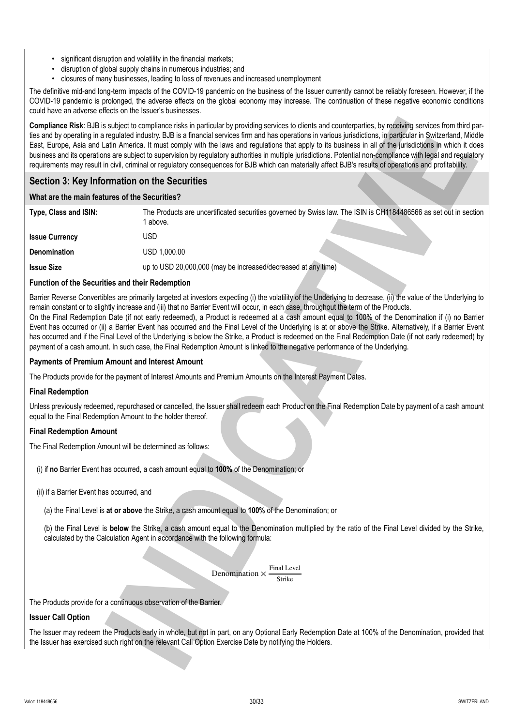- significant disruption and volatility in the financial markets;
- disruption of global supply chains in numerous industries; and
- closures of many businesses, leading to loss of revenues and increased unemployment

The definitive mid-and long-term impacts of the COVID-19 pandemic on the business of the Issuer currently cannot be reliably foreseen. However, if the COVID-19 pandemic is prolonged, the adverse effects on the global economy may increase. The continuation of these negative economic conditions could have an adverse effects on the Issuer's businesses.

# **Section 3: Key Information on the Securities**

### **What are the main features of the Securities?**

|                                                                   | Compliance Risk: BJB is subject to compliance risks in particular by providing services to clients and counterparties, by receiving services from third par-<br>ties and by operating in a regulated industry. BJB is a financial services firm and has operations in various jurisdictions, in particular in Switzerland, Middle<br>East, Europe, Asia and Latin America. It must comply with the laws and regulations that apply to its business in all of the jurisdictions in which it does<br>business and its operations are subject to supervision by regulatory authorities in multiple jurisdictions. Potential non-compliance with legal and regulatory<br>requirements may result in civil, criminal or regulatory consequences for BJB which can materially affect BJB's results of operations and profitability.                                                                                            |
|-------------------------------------------------------------------|--------------------------------------------------------------------------------------------------------------------------------------------------------------------------------------------------------------------------------------------------------------------------------------------------------------------------------------------------------------------------------------------------------------------------------------------------------------------------------------------------------------------------------------------------------------------------------------------------------------------------------------------------------------------------------------------------------------------------------------------------------------------------------------------------------------------------------------------------------------------------------------------------------------------------|
| Section 3: Key Information on the Securities                      |                                                                                                                                                                                                                                                                                                                                                                                                                                                                                                                                                                                                                                                                                                                                                                                                                                                                                                                          |
| What are the main features of the Securities?                     |                                                                                                                                                                                                                                                                                                                                                                                                                                                                                                                                                                                                                                                                                                                                                                                                                                                                                                                          |
| Type, Class and ISIN:                                             | The Products are uncertificated securities governed by Swiss law. The ISIN is CH1184486566 as set out in section<br>1 above.                                                                                                                                                                                                                                                                                                                                                                                                                                                                                                                                                                                                                                                                                                                                                                                             |
| <b>Issue Currency</b>                                             | <b>USD</b>                                                                                                                                                                                                                                                                                                                                                                                                                                                                                                                                                                                                                                                                                                                                                                                                                                                                                                               |
| Denomination                                                      | USD 1,000.00                                                                                                                                                                                                                                                                                                                                                                                                                                                                                                                                                                                                                                                                                                                                                                                                                                                                                                             |
| <b>Issue Size</b>                                                 | up to USD 20,000,000 (may be increased/decreased at any time)                                                                                                                                                                                                                                                                                                                                                                                                                                                                                                                                                                                                                                                                                                                                                                                                                                                            |
| <b>Function of the Securities and their Redemption</b>            |                                                                                                                                                                                                                                                                                                                                                                                                                                                                                                                                                                                                                                                                                                                                                                                                                                                                                                                          |
|                                                                   | Barrier Reverse Convertibles are primarily targeted at investors expecting (i) the volatility of the Underlying to decrease, (ii) the value of the Underlying to<br>remain constant or to slightly increase and (iii) that no Barrier Event will occur, in each case, throughout the term of the Products.<br>On the Final Redemption Date (if not early redeemed), a Product is redeemed at a cash amount equal to 100% of the Denomination if (i) no Barrier<br>Event has occurred or (ii) a Barrier Event has occurred and the Final Level of the Underlying is at or above the Strike. Alternatively, if a Barrier Event<br>has occurred and if the Final Level of the Underlying is below the Strike, a Product is redeemed on the Final Redemption Date (if not early redeemed) by<br>payment of a cash amount. In such case, the Final Redemption Amount is linked to the negative performance of the Underlying. |
| <b>Payments of Premium Amount and Interest Amount</b>             |                                                                                                                                                                                                                                                                                                                                                                                                                                                                                                                                                                                                                                                                                                                                                                                                                                                                                                                          |
|                                                                   | The Products provide for the payment of Interest Amounts and Premium Amounts on the Interest Payment Dates.                                                                                                                                                                                                                                                                                                                                                                                                                                                                                                                                                                                                                                                                                                                                                                                                              |
| <b>Final Redemption</b>                                           |                                                                                                                                                                                                                                                                                                                                                                                                                                                                                                                                                                                                                                                                                                                                                                                                                                                                                                                          |
| equal to the Final Redemption Amount to the holder thereof.       | Unless previously redeemed, repurchased or cancelled, the Issuer shall redeem each Product on the Final Redemption Date by payment of a cash amount                                                                                                                                                                                                                                                                                                                                                                                                                                                                                                                                                                                                                                                                                                                                                                      |
| <b>Final Redemption Amount</b>                                    |                                                                                                                                                                                                                                                                                                                                                                                                                                                                                                                                                                                                                                                                                                                                                                                                                                                                                                                          |
| The Final Redemption Amount will be determined as follows:        |                                                                                                                                                                                                                                                                                                                                                                                                                                                                                                                                                                                                                                                                                                                                                                                                                                                                                                                          |
|                                                                   | (i) if no Barrier Event has occurred, a cash amount equal to 100% of the Denomination; or                                                                                                                                                                                                                                                                                                                                                                                                                                                                                                                                                                                                                                                                                                                                                                                                                                |
| (ii) if a Barrier Event has occurred, and                         |                                                                                                                                                                                                                                                                                                                                                                                                                                                                                                                                                                                                                                                                                                                                                                                                                                                                                                                          |
|                                                                   | (a) the Final Level is at or above the Strike, a cash amount equal to 100% of the Denomination; or                                                                                                                                                                                                                                                                                                                                                                                                                                                                                                                                                                                                                                                                                                                                                                                                                       |
|                                                                   | (b) the Final Level is below the Strike, a cash amount equal to the Denomination multiplied by the ratio of the Final Level divided by the Strike,<br>calculated by the Calculation Agent in accordance with the following formula:                                                                                                                                                                                                                                                                                                                                                                                                                                                                                                                                                                                                                                                                                      |
|                                                                   | Final Level<br>Denomination $\times$                                                                                                                                                                                                                                                                                                                                                                                                                                                                                                                                                                                                                                                                                                                                                                                                                                                                                     |
| The Products provide for a continuous observation of the Barrier. |                                                                                                                                                                                                                                                                                                                                                                                                                                                                                                                                                                                                                                                                                                                                                                                                                                                                                                                          |
| <b>Issuer Call Option</b>                                         |                                                                                                                                                                                                                                                                                                                                                                                                                                                                                                                                                                                                                                                                                                                                                                                                                                                                                                                          |
|                                                                   | The Issuer may redeem the Products early in whole, but not in part, on any Optional Early Redemption Date at 100% of the Denomination, provided that<br>the Issuer has exercised such right on the relevant Call Option Exercise Date by notifying the Holders.                                                                                                                                                                                                                                                                                                                                                                                                                                                                                                                                                                                                                                                          |
|                                                                   |                                                                                                                                                                                                                                                                                                                                                                                                                                                                                                                                                                                                                                                                                                                                                                                                                                                                                                                          |

### **Function of the Securities and their Redemption**

### **Payments of Premium Amount and Interest Amount**

### **Final Redemption**

# **Final Redemption Amount**



### **Issuer Call Option**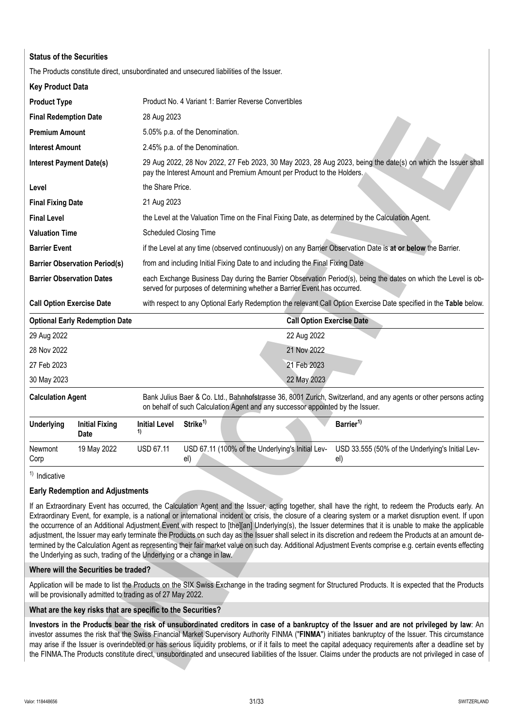| <b>Status of the Securities</b>  |                                                                                         |                      |                                 |                                                                                |                                  |                                                                                                                                                                                                                                                                                                                                                                                                                                                                                                                                                                                                                                                                                                                                                                                                             |
|----------------------------------|-----------------------------------------------------------------------------------------|----------------------|---------------------------------|--------------------------------------------------------------------------------|----------------------------------|-------------------------------------------------------------------------------------------------------------------------------------------------------------------------------------------------------------------------------------------------------------------------------------------------------------------------------------------------------------------------------------------------------------------------------------------------------------------------------------------------------------------------------------------------------------------------------------------------------------------------------------------------------------------------------------------------------------------------------------------------------------------------------------------------------------|
|                                  | The Products constitute direct, unsubordinated and unsecured liabilities of the Issuer. |                      |                                 |                                                                                |                                  |                                                                                                                                                                                                                                                                                                                                                                                                                                                                                                                                                                                                                                                                                                                                                                                                             |
| <b>Key Product Data</b>          |                                                                                         |                      |                                 |                                                                                |                                  |                                                                                                                                                                                                                                                                                                                                                                                                                                                                                                                                                                                                                                                                                                                                                                                                             |
| <b>Product Type</b>              |                                                                                         |                      |                                 | Product No. 4 Variant 1: Barrier Reverse Convertibles                          |                                  |                                                                                                                                                                                                                                                                                                                                                                                                                                                                                                                                                                                                                                                                                                                                                                                                             |
| <b>Final Redemption Date</b>     |                                                                                         | 28 Aug 2023          |                                 |                                                                                |                                  |                                                                                                                                                                                                                                                                                                                                                                                                                                                                                                                                                                                                                                                                                                                                                                                                             |
| <b>Premium Amount</b>            |                                                                                         |                      | 5.05% p.a. of the Denomination. |                                                                                |                                  |                                                                                                                                                                                                                                                                                                                                                                                                                                                                                                                                                                                                                                                                                                                                                                                                             |
| <b>Interest Amount</b>           |                                                                                         |                      | 2.45% p.a. of the Denomination. |                                                                                |                                  |                                                                                                                                                                                                                                                                                                                                                                                                                                                                                                                                                                                                                                                                                                                                                                                                             |
| <b>Interest Payment Date(s)</b>  |                                                                                         |                      |                                 | pay the Interest Amount and Premium Amount per Product to the Holders.         |                                  | 29 Aug 2022, 28 Nov 2022, 27 Feb 2023, 30 May 2023, 28 Aug 2023, being the date(s) on which the Issuer shall                                                                                                                                                                                                                                                                                                                                                                                                                                                                                                                                                                                                                                                                                                |
| Level                            |                                                                                         | the Share Price.     |                                 |                                                                                |                                  |                                                                                                                                                                                                                                                                                                                                                                                                                                                                                                                                                                                                                                                                                                                                                                                                             |
| <b>Final Fixing Date</b>         |                                                                                         | 21 Aug 2023          |                                 |                                                                                |                                  |                                                                                                                                                                                                                                                                                                                                                                                                                                                                                                                                                                                                                                                                                                                                                                                                             |
| <b>Final Level</b>               |                                                                                         |                      |                                 |                                                                                |                                  | the Level at the Valuation Time on the Final Fixing Date, as determined by the Calculation Agent.                                                                                                                                                                                                                                                                                                                                                                                                                                                                                                                                                                                                                                                                                                           |
| <b>Valuation Time</b>            |                                                                                         |                      | <b>Scheduled Closing Time</b>   |                                                                                |                                  |                                                                                                                                                                                                                                                                                                                                                                                                                                                                                                                                                                                                                                                                                                                                                                                                             |
| <b>Barrier Event</b>             |                                                                                         |                      |                                 |                                                                                |                                  | if the Level at any time (observed continuously) on any Barrier Observation Date is at or below the Barrier.                                                                                                                                                                                                                                                                                                                                                                                                                                                                                                                                                                                                                                                                                                |
|                                  | <b>Barrier Observation Period(s)</b>                                                    |                      |                                 | from and including Initial Fixing Date to and including the Final Fixing Date  |                                  |                                                                                                                                                                                                                                                                                                                                                                                                                                                                                                                                                                                                                                                                                                                                                                                                             |
| <b>Barrier Observation Dates</b> |                                                                                         |                      |                                 | served for purposes of determining whether a Barrier Event has occurred.       |                                  | each Exchange Business Day during the Barrier Observation Period(s), being the dates on which the Level is ob-                                                                                                                                                                                                                                                                                                                                                                                                                                                                                                                                                                                                                                                                                              |
| <b>Call Option Exercise Date</b> |                                                                                         |                      |                                 |                                                                                |                                  | with respect to any Optional Early Redemption the relevant Call Option Exercise Date specified in the Table below.                                                                                                                                                                                                                                                                                                                                                                                                                                                                                                                                                                                                                                                                                          |
|                                  | <b>Optional Early Redemption Date</b>                                                   |                      |                                 |                                                                                | <b>Call Option Exercise Date</b> |                                                                                                                                                                                                                                                                                                                                                                                                                                                                                                                                                                                                                                                                                                                                                                                                             |
| 29 Aug 2022                      |                                                                                         |                      |                                 |                                                                                | 22 Aug 2022                      |                                                                                                                                                                                                                                                                                                                                                                                                                                                                                                                                                                                                                                                                                                                                                                                                             |
| 28 Nov 2022                      |                                                                                         |                      |                                 |                                                                                | 21 Nov 2022                      |                                                                                                                                                                                                                                                                                                                                                                                                                                                                                                                                                                                                                                                                                                                                                                                                             |
| 27 Feb 2023                      |                                                                                         |                      |                                 |                                                                                | 21 Feb 2023                      |                                                                                                                                                                                                                                                                                                                                                                                                                                                                                                                                                                                                                                                                                                                                                                                                             |
| 30 May 2023                      |                                                                                         |                      |                                 |                                                                                | 22 May 2023                      |                                                                                                                                                                                                                                                                                                                                                                                                                                                                                                                                                                                                                                                                                                                                                                                                             |
| <b>Calculation Agent</b>         |                                                                                         |                      |                                 | on behalf of such Calculation Agent and any successor appointed by the Issuer. |                                  | Bank Julius Baer & Co. Ltd., Bahnhofstrasse 36, 8001 Zurich, Switzerland, and any agents or other persons acting                                                                                                                                                                                                                                                                                                                                                                                                                                                                                                                                                                                                                                                                                            |
| <b>Underlying</b>                | <b>Initial Fixing</b><br>Date                                                           | <b>Initial Level</b> | Strike <sup>1)</sup>            |                                                                                |                                  | Barrier <sup>1)</sup>                                                                                                                                                                                                                                                                                                                                                                                                                                                                                                                                                                                                                                                                                                                                                                                       |
| Newmont<br>Corp                  | 19 May 2022                                                                             | <b>USD 67.11</b>     | el)                             | USD 67.11 (100% of the Underlying's Initial Lev-                               |                                  | USD 33.555 (50% of the Underlying's Initial Lev-<br>el)                                                                                                                                                                                                                                                                                                                                                                                                                                                                                                                                                                                                                                                                                                                                                     |
| $1)$ Indicative                  |                                                                                         |                      |                                 |                                                                                |                                  |                                                                                                                                                                                                                                                                                                                                                                                                                                                                                                                                                                                                                                                                                                                                                                                                             |
|                                  | <b>Early Redemption and Adjustments</b>                                                 |                      |                                 |                                                                                |                                  |                                                                                                                                                                                                                                                                                                                                                                                                                                                                                                                                                                                                                                                                                                                                                                                                             |
|                                  | the Underlying as such, trading of the Underlying or a change in law.                   |                      |                                 |                                                                                |                                  | If an Extraordinary Event has occurred, the Calculation Agent and the Issuer, acting together, shall have the right, to redeem the Products early. An<br>Extraordinary Event, for example, is a national or international incident or crisis, the closure of a clearing system or a market disruption event. If upon<br>the occurrence of an Additional Adjustment Event with respect to [the][an] Underlying(s), the Issuer determines that it is unable to make the applicable<br>adjustment, the Issuer may early terminate the Products on such day as the Issuer shall select in its discretion and redeem the Products at an amount de-<br>termined by the Calculation Agent as representing their fair market value on such day. Additional Adjustment Events comprise e.g. certain events effecting |
|                                  | Where will the Securities be traded?                                                    |                      |                                 |                                                                                |                                  |                                                                                                                                                                                                                                                                                                                                                                                                                                                                                                                                                                                                                                                                                                                                                                                                             |
|                                  | will be provisionally admitted to trading as of 27 May 2022.                            |                      |                                 |                                                                                |                                  | Application will be made to list the Products on the SIX Swiss Exchange in the trading segment for Structured Products. It is expected that the Products                                                                                                                                                                                                                                                                                                                                                                                                                                                                                                                                                                                                                                                    |
|                                  | What are the key risks that are specific to the Securities?                             |                      |                                 |                                                                                |                                  |                                                                                                                                                                                                                                                                                                                                                                                                                                                                                                                                                                                                                                                                                                                                                                                                             |
|                                  |                                                                                         |                      |                                 |                                                                                |                                  | Investors in the Products bear the risk of unsubordinated creditors in case of a bankruptcy of the Issuer and are not privileged by law: An<br>investor assumes the risk that the Swiss Financial Market Supervisory Authority FINMA ("FINMA") initiates bankruptcy of the Issuer. This circumstance<br>may arise if the Issuer is overindebted or has serious liquidity problems, or if it fails to meet the capital adequacy requirements after a deadline set by<br>the FINMA. The Products constitute direct, unsubordinated and unsecured liabilities of the Issuer. Claims under the products are not privileged in case of                                                                                                                                                                           |

# **Early Redemption and Adjustments**

### **Where will the Securities be traded?**

### **What are the key risks that are specific to the Securities?**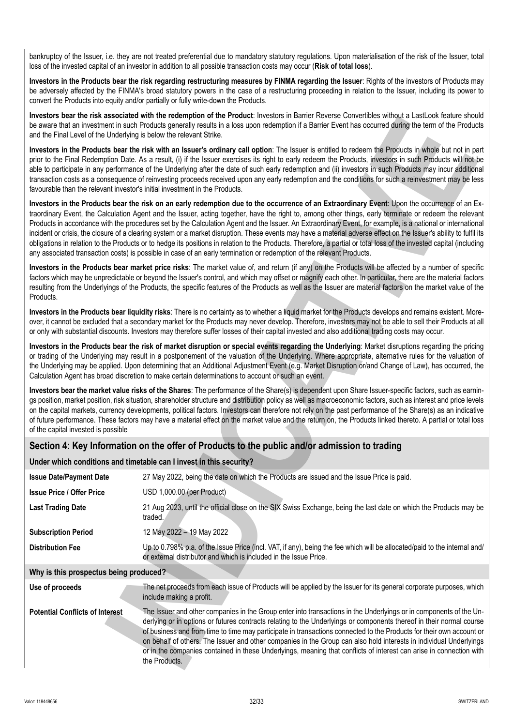bankruptcy of the Issuer, i.e. they are not treated preferential due to mandatory statutory regulations. Upon materialisation of the risk of the Issuer, total loss of the invested capital of an investor in addition to all possible transaction costs may occur (**Risk of total loss**).

Investors in the Products bear the risk regarding restructuring measures by FINMA regarding the Issuer: Rights of the investors of Products may be adversely affected by the FINMA's broad statutory powers in the case of a restructuring proceeding in relation to the Issuer, including its power to convert the Products into equity and/or partially or fully write-down the Products.

**Investors bear the risk associated with the redemption of the Product**: Investors in Barrier Reverse Convertibles without a LastLook feature should be aware that an investment in such Products generally results in a loss upon redemption if a Barrier Event has occurred during the term of the Products and the Final Level of the Underlying is below the relevant Strike.

# **Section 4: Key Information on the offer of Products to the public and/or admission to trading**

# **Under which conditions and timetable can I invest in this security?**

| and the Final Level of the Underlying is below the relevant Strike.         | investors bear the risk associated with the regemption of the Product. Investors in Barner Reverse Conventiones without a lastLook reature should<br>be aware that an investment in such Products generally results in a loss upon redemption if a Barrier Event has occurred during the term of the Products                                                                                                                                                                                                                                                                                                                                                                                                                                                                                                                                                                                                                                  |
|-----------------------------------------------------------------------------|------------------------------------------------------------------------------------------------------------------------------------------------------------------------------------------------------------------------------------------------------------------------------------------------------------------------------------------------------------------------------------------------------------------------------------------------------------------------------------------------------------------------------------------------------------------------------------------------------------------------------------------------------------------------------------------------------------------------------------------------------------------------------------------------------------------------------------------------------------------------------------------------------------------------------------------------|
| favourable than the relevant investor's initial investment in the Products. | Investors in the Products bear the risk with an Issuer's ordinary call option: The Issuer is entitled to redeem the Products in whole but not in part<br>prior to the Final Redemption Date. As a result, (i) if the Issuer exercises its right to early redeem the Products, investors in such Products will not be<br>able to participate in any performance of the Underlying after the date of such early redemption and (ii) investors in such Products may incur additional<br>transaction costs as a consequence of reinvesting proceeds received upon any early redemption and the conditions for such a reinvestment may be less                                                                                                                                                                                                                                                                                                      |
|                                                                             | Investors in the Products bear the risk on an early redemption due to the occurrence of an Extraordinary Event: Upon the occurrence of an Ex-<br>traordinary Event, the Calculation Agent and the Issuer, acting together, have the right to, among other things, early terminate or redeem the relevant<br>Products in accordance with the procedures set by the Calculation Agent and the Issuer. An Extraordinary Event, for example, is a national or international<br>incident or crisis, the closure of a clearing system or a market disruption. These events may have a material adverse effect on the Issuer's ability to fulfil its<br>obligations in relation to the Products or to hedge its positions in relation to the Products. Therefore, a partial or total loss of the invested capital (including<br>any associated transaction costs) is possible in case of an early termination or redemption of the relevant Products. |
| Products.                                                                   | Investors in the Products bear market price risks: The market value of, and return (if any) on the Products will be affected by a number of specific<br>factors which may be unpredictable or beyond the Issuer's control, and which may offset or magnify each other. In particular, there are the material factors<br>resulting from the Underlyings of the Products, the specific features of the Products as well as the Issuer are material factors on the market value of the                                                                                                                                                                                                                                                                                                                                                                                                                                                            |
|                                                                             | Investors in the Products bear liquidity risks: There is no certainty as to whether a liquid market for the Products develops and remains existent. More-<br>over, it cannot be excluded that a secondary market for the Products may never develop. Therefore, investors may not be able to sell their Products at all<br>or only with substantial discounts. Investors may therefore suffer losses of their capital invested and also additional trading costs may occur.                                                                                                                                                                                                                                                                                                                                                                                                                                                                    |
|                                                                             | Investors in the Products bear the risk of market disruption or special events regarding the Underlying: Market disruptions regarding the pricing<br>or trading of the Underlying may result in a postponement of the valuation of the Underlying. Where appropriate, alternative rules for the valuation of<br>the Underlying may be applied. Upon determining that an Additional Adjustment Event (e.g. Market Disruption or/and Change of Law), has occurred, the<br>Calculation Agent has broad discretion to make certain determinations to account or such an event.                                                                                                                                                                                                                                                                                                                                                                     |
| of the capital invested is possible                                         | Investors bear the market value risks of the Shares: The performance of the Share(s) is dependent upon Share Issuer-specific factors, such as earnin-<br>gs position, market position, risk situation, shareholder structure and distribution policy as well as macroeconomic factors, such as interest and price levels<br>on the capital markets, currency developments, political factors. Investors can therefore not rely on the past performance of the Share(s) as an indicative<br>of future performance. These factors may have a material effect on the market value and the return on, the Products linked thereto. A partial or total loss                                                                                                                                                                                                                                                                                         |
|                                                                             | Section 4: Key Information on the offer of Products to the public and/or admission to trading                                                                                                                                                                                                                                                                                                                                                                                                                                                                                                                                                                                                                                                                                                                                                                                                                                                  |
|                                                                             | Under which conditions and timetable can I invest in this security?                                                                                                                                                                                                                                                                                                                                                                                                                                                                                                                                                                                                                                                                                                                                                                                                                                                                            |
| <b>Issue Date/Payment Date</b>                                              | 27 May 2022, being the date on which the Products are issued and the Issue Price is paid.                                                                                                                                                                                                                                                                                                                                                                                                                                                                                                                                                                                                                                                                                                                                                                                                                                                      |
| <b>Issue Price / Offer Price</b>                                            | USD 1,000.00 (per Product)                                                                                                                                                                                                                                                                                                                                                                                                                                                                                                                                                                                                                                                                                                                                                                                                                                                                                                                     |
| <b>Last Trading Date</b>                                                    | 21 Aug 2023, until the official close on the SIX Swiss Exchange, being the last date on which the Products may be<br>traded.                                                                                                                                                                                                                                                                                                                                                                                                                                                                                                                                                                                                                                                                                                                                                                                                                   |
| <b>Subscription Period</b>                                                  | 12 May 2022 - 19 May 2022                                                                                                                                                                                                                                                                                                                                                                                                                                                                                                                                                                                                                                                                                                                                                                                                                                                                                                                      |
| <b>Distribution Fee</b>                                                     | Up to 0.798% p.a. of the Issue Price (incl. VAT, if any), being the fee which will be allocated/paid to the internal and/<br>or external distributor and which is included in the Issue Price.                                                                                                                                                                                                                                                                                                                                                                                                                                                                                                                                                                                                                                                                                                                                                 |
| Why is this prospectus being produced?                                      |                                                                                                                                                                                                                                                                                                                                                                                                                                                                                                                                                                                                                                                                                                                                                                                                                                                                                                                                                |
| Use of proceeds                                                             | The net proceeds from each issue of Products will be applied by the Issuer for its general corporate purposes, which<br>include making a profit.                                                                                                                                                                                                                                                                                                                                                                                                                                                                                                                                                                                                                                                                                                                                                                                               |
| <b>Potential Conflicts of Interest</b>                                      | The Issuer and other companies in the Group enter into transactions in the Underlyings or in components of the Un-<br>derlying or in options or futures contracts relating to the Underlyings or components thereof in their normal course<br>of business and from time to time may participate in transactions connected to the Products for their own account or<br>on behalf of others. The Issuer and other companies in the Group can also hold interests in individual Underlyings<br>or in the companies contained in these Underlyings, meaning that conflicts of interest can arise in connection with<br>the Products.                                                                                                                                                                                                                                                                                                               |